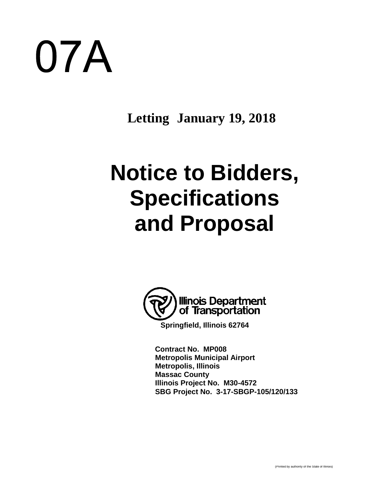# 07A

**Letting January 19, 2018**

# **Notice to Bidders, Specifications and Proposal**



**Springfield, Illinois 62764** 

**Contract No. MP008 Metropolis Municipal Airport Metropolis, Illinois Massac County Illinois Project No. M30-4572 SBG Project No. 3-17-SBGP-105/120/133**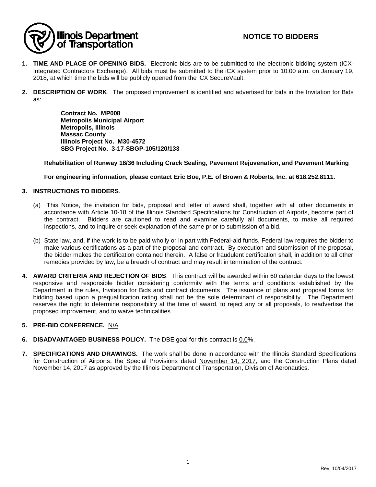# Illinois Department of Transportation

- **1. TIME AND PLACE OF OPENING BIDS.** Electronic bids are to be submitted to the electronic bidding system (iCX-Integrated Contractors Exchange). All bids must be submitted to the iCX system prior to 10:00 a.m. on January 19, 2018, at which time the bids will be publicly opened from the iCX SecureVault.
- **2. DESCRIPTION OF WORK**. The proposed improvement is identified and advertised for bids in the Invitation for Bids as:

**Contract No. MP008 Metropolis Municipal Airport Metropolis, Illinois Massac County Illinois Project No. M30-4572 SBG Project No. 3-17-SBGP-105/120/133**

**Rehabilitation of Runway 18/36 Including Crack Sealing, Pavement Rejuvenation, and Pavement Marking**

**For engineering information, please contact Eric Boe, P.E. of Brown & Roberts, Inc. at 618.252.8111.**

# **3. INSTRUCTIONS TO BIDDERS**.

- (a) This Notice, the invitation for bids, proposal and letter of award shall, together with all other documents in accordance with Article 10-18 of the Illinois Standard Specifications for Construction of Airports, become part of the contract. Bidders are cautioned to read and examine carefully all documents, to make all required inspections, and to inquire or seek explanation of the same prior to submission of a bid.
- (b) State law, and, if the work is to be paid wholly or in part with Federal-aid funds, Federal law requires the bidder to make various certifications as a part of the proposal and contract. By execution and submission of the proposal, the bidder makes the certification contained therein. A false or fraudulent certification shall, in addition to all other remedies provided by law, be a breach of contract and may result in termination of the contract.
- **4. AWARD CRITERIA AND REJECTION OF BIDS**. This contract will be awarded within 60 calendar days to the lowest responsive and responsible bidder considering conformity with the terms and conditions established by the Department in the rules, Invitation for Bids and contract documents. The issuance of plans and proposal forms for bidding based upon a prequalification rating shall not be the sole determinant of responsibility. The Department reserves the right to determine responsibility at the time of award, to reject any or all proposals, to readvertise the proposed improvement, and to waive technicalities.

#### **5. PRE-BID CONFERENCE.** N/A

- **6. DISADVANTAGED BUSINESS POLICY.** The DBE goal for this contract is 0.0%.
- **7. SPECIFICATIONS AND DRAWINGS.** The work shall be done in accordance with the Illinois Standard Specifications for Construction of Airports, the Special Provisions dated November 14, 2017, and the Construction Plans dated November 14, 2017 as approved by the Illinois Department of Transportation, Division of Aeronautics.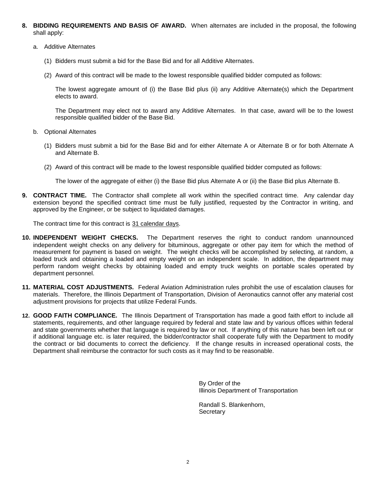- **8. BIDDING REQUIREMENTS AND BASIS OF AWARD.** When alternates are included in the proposal, the following shall apply:
	- a. Additive Alternates
		- (1) Bidders must submit a bid for the Base Bid and for all Additive Alternates.
		- (2) Award of this contract will be made to the lowest responsible qualified bidder computed as follows:

The lowest aggregate amount of (i) the Base Bid plus (ii) any Additive Alternate(s) which the Department elects to award.

The Department may elect not to award any Additive Alternates. In that case, award will be to the lowest responsible qualified bidder of the Base Bid.

- b. Optional Alternates
	- (1) Bidders must submit a bid for the Base Bid and for either Alternate A or Alternate B or for both Alternate A and Alternate B.
	- (2) Award of this contract will be made to the lowest responsible qualified bidder computed as follows:

The lower of the aggregate of either (i) the Base Bid plus Alternate A or (ii) the Base Bid plus Alternate B.

**9. CONTRACT TIME.** The Contractor shall complete all work within the specified contract time. Any calendar day extension beyond the specified contract time must be fully justified, requested by the Contractor in writing, and approved by the Engineer, or be subject to liquidated damages.

The contract time for this contract is 31 calendar days.

- **10. INDEPENDENT WEIGHT CHECKS.** The Department reserves the right to conduct random unannounced independent weight checks on any delivery for bituminous, aggregate or other pay item for which the method of measurement for payment is based on weight. The weight checks will be accomplished by selecting, at random, a loaded truck and obtaining a loaded and empty weight on an independent scale. In addition, the department may perform random weight checks by obtaining loaded and empty truck weights on portable scales operated by department personnel.
- **11. MATERIAL COST ADJUSTMENTS.** Federal Aviation Administration rules prohibit the use of escalation clauses for materials. Therefore, the Illinois Department of Transportation, Division of Aeronautics cannot offer any material cost adjustment provisions for projects that utilize Federal Funds.
- **12. GOOD FAITH COMPLIANCE.** The Illinois Department of Transportation has made a good faith effort to include all statements, requirements, and other language required by federal and state law and by various offices within federal and state governments whether that language is required by law or not. If anything of this nature has been left out or if additional language etc. is later required, the bidder/contractor shall cooperate fully with the Department to modify the contract or bid documents to correct the deficiency. If the change results in increased operational costs, the Department shall reimburse the contractor for such costs as it may find to be reasonable.

By Order of the Illinois Department of Transportation

Randall S. Blankenhorn, **Secretary**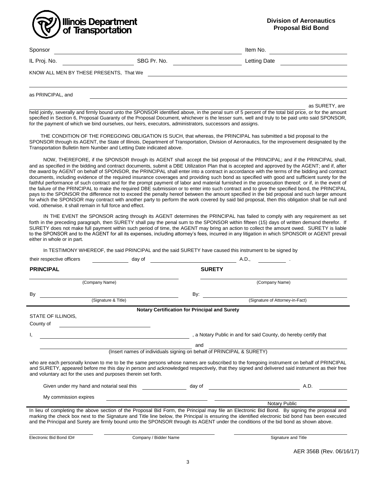

#### **Division of Aeronautics Proposal Bid Bond**

| Sponsor                                 |  | Item No.     |                |
|-----------------------------------------|--|--------------|----------------|
| IL Proj. No.<br>SBG Pr. No.             |  | Letting Date |                |
| KNOW ALL MEN BY THESE PRESENTS, That We |  |              |                |
|                                         |  |              |                |
| as PRINCIPAL, and                       |  |              |                |
|                                         |  |              | as SURETY, are |

held jointly, severally and firmly bound unto the SPONSOR identified above, in the penal sum of 5 percent of the total bid price, or for the amount specified in Section 6, Proposal Guaranty of the Proposal Document, whichever is the lesser sum, well and truly to be paid unto said SPONSOR, for the payment of which we bind ourselves, our heirs, executors, administrators, successors and assigns.

THE CONDITION OF THE FOREGOING OBLIGATION IS SUCH, that whereas, the PRINCIPAL has submitted a bid proposal to the SPONSOR through its AGENT, the State of Illinois, Department of Transportation, Division of Aeronautics, for the improvement designated by the Transportation Bulletin Item Number and Letting Date indicated above.

NOW, THEREFORE, if the SPONSOR through its AGENT shall accept the bid proposal of the PRINCIPAL; and if the PRINCIPAL shall, and as specified in the bidding and contract documents, submit a DBE Utilization Plan that is accepted and approved by the AGENT; and if, after the award by AGENT on behalf of SPONSOR, the PRINCIPAL shall enter into a contract in accordance with the terms of the bidding and contract documents, including evidence of the required insurance coverages and providing such bond as specified with good and sufficient surety for the faithful performance of such contract and for the prompt payment of labor and material furnished in the prosecution thereof; or if, in the event of the failure of the PRINCIPAL to make the required DBE submission or to enter into such contract and to give the specified bond, the PRINCIPAL pays to the SPONSOR the difference not to exceed the penalty hereof between the amount specified in the bid proposal and such larger amount for which the SPONSOR may contract with another party to perform the work covered by said bid proposal, then this obligation shall be null and void, otherwise, it shall remain in full force and effect.

IN THE EVENT the SPONSOR acting through its AGENT determines the PRINCIPAL has failed to comply with any requirement as set forth in the preceding paragraph, then SURETY shall pay the penal sum to the SPONSOR within fifteen (15) days of written demand therefor. If SURETY does not make full payment within such period of time, the AGENT may bring an action to collect the amount owed. SURETY is liable to the SPONSOR and to the AGENT for all its expenses, including attorney's fees, incurred in any litigation in which SPONSOR or AGENT prevail either in whole or in part.

|                                                                |                                                                       |                                                      | In TESTIMONY WHEREOF, the said PRINCIPAL and the said SURETY have caused this instrument to be signed by                                                                                                                                                                                                                                                                                                                                  |
|----------------------------------------------------------------|-----------------------------------------------------------------------|------------------------------------------------------|-------------------------------------------------------------------------------------------------------------------------------------------------------------------------------------------------------------------------------------------------------------------------------------------------------------------------------------------------------------------------------------------------------------------------------------------|
| their respective officers                                      | day of                                                                |                                                      | A.D.,                                                                                                                                                                                                                                                                                                                                                                                                                                     |
| <b>PRINCIPAL</b>                                               |                                                                       | <b>SURETY</b>                                        |                                                                                                                                                                                                                                                                                                                                                                                                                                           |
| (Company Name)                                                 |                                                                       |                                                      | (Company Name)                                                                                                                                                                                                                                                                                                                                                                                                                            |
| By                                                             |                                                                       | By:                                                  |                                                                                                                                                                                                                                                                                                                                                                                                                                           |
|                                                                | (Signature & Title)                                                   |                                                      | (Signature of Attorney-in-Fact)                                                                                                                                                                                                                                                                                                                                                                                                           |
|                                                                |                                                                       | <b>Notary Certification for Principal and Surety</b> |                                                                                                                                                                                                                                                                                                                                                                                                                                           |
| STATE OF ILLINOIS,<br>County of                                |                                                                       |                                                      |                                                                                                                                                                                                                                                                                                                                                                                                                                           |
|                                                                |                                                                       |                                                      | , a Notary Public in and for said County, do hereby certify that                                                                                                                                                                                                                                                                                                                                                                          |
|                                                                |                                                                       | and                                                  |                                                                                                                                                                                                                                                                                                                                                                                                                                           |
|                                                                | (Insert names of individuals signing on behalf of PRINCIPAL & SURETY) |                                                      |                                                                                                                                                                                                                                                                                                                                                                                                                                           |
| and voluntary act for the uses and purposes therein set forth. |                                                                       |                                                      | who are each personally known to me to be the same persons whose names are subscribed to the foregoing instrument on behalf of PRINCIPAL<br>and SURETY, appeared before me this day in person and acknowledged respectively, that they signed and delivered said instrument as their free                                                                                                                                                 |
| Given under my hand and notarial seal this                     |                                                                       | day of                                               | A.D.                                                                                                                                                                                                                                                                                                                                                                                                                                      |
| My commission expires                                          |                                                                       |                                                      |                                                                                                                                                                                                                                                                                                                                                                                                                                           |
|                                                                |                                                                       |                                                      | <b>Notary Public</b>                                                                                                                                                                                                                                                                                                                                                                                                                      |
|                                                                |                                                                       |                                                      | In lieu of completing the above section of the Proposal Bid Form, the Principal may file an Electronic Bid Bond. By signing the proposal and<br>marking the check box next to the Signature and Title line below, the Principal is ensuring the identified electronic bid bond has been executed<br>and the Principal and Surety are firmly bound unto the SPONSOR through its AGENT under the conditions of the bid bond as shown above. |

Electronic Bid Bond ID# Company / Bidder Name Signature and Title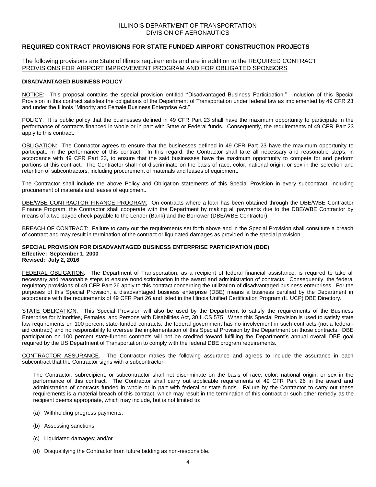#### ILLINOIS DEPARTMENT OF TRANSPORTATION DIVISION OF AERONAUTICS

#### **REQUIRED CONTRACT PROVISIONS FOR STATE FUNDED AIRPORT CONSTRUCTION PROJECTS**

#### The following provisions are State of Illinois requirements and are in addition to the REQUIRED CONTRACT PROVISIONS FOR AIRPORT IMPROVEMENT PROGRAM AND FOR OBLIGATED SPONSORS

#### **DISADVANTAGED BUSINESS POLICY**

NOTICE: This proposal contains the special provision entitled "Disadvantaged Business Participation." Inclusion of this Special Provision in this contract satisfies the obligations of the Department of Transportation under federal law as implemented by 49 CFR 23 and under the Illinois "Minority and Female Business Enterprise Act."

POLICY: It is public policy that the businesses defined in 49 CFR Part 23 shall have the maximum opportunity to participate in the performance of contracts financed in whole or in part with State or Federal funds. Consequently, the requirements of 49 CFR Part 23 apply to this contract.

OBLIGATION: The Contractor agrees to ensure that the businesses defined in 49 CFR Part 23 have the maximum opportunity to participate in the performance of this contract. In this regard, the Contractor shall take all necessary and reasonable steps, in accordance with 49 CFR Part 23, to ensure that the said businesses have the maximum opportunity to compete for and perform portions of this contract. The Contractor shall not discriminate on the basis of race, color, national origin, or sex in the selection and retention of subcontractors, including procurement of materials and leases of equipment.

The Contractor shall include the above Policy and Obligation statements of this Special Provision in every subcontract, including procurement of materials and leases of equipment.

DBE/WBE CONTRACTOR FINANCE PROGRAM: On contracts where a loan has been obtained through the DBE/WBE Contractor Finance Program, the Contractor shall cooperate with the Department by making all payments due to the DBE/WBE Contractor by means of a two-payee check payable to the Lender (Bank) and the Borrower (DBE/WBE Contractor).

BREACH OF CONTRACT: Failure to carry out the requirements set forth above and in the Special Provision shall constitute a breach of contract and may result in termination of the contract or liquidated damages as provided in the special provision.

#### **SPECIAL PROVISION FOR DISADVANTAGED BUSINESS ENTERPRISE PARTICIPATION (BDE) Effective: September 1, 2000 Revised: July 2, 2016**

FEDERAL OBLIGATION. The Department of Transportation, as a recipient of federal financial assistance, is required to take all necessary and reasonable steps to ensure nondiscrimination in the award and administration of contracts. Consequently, the federal regulatory provisions of 49 CFR Part 26 apply to this contract concerning the utilization of disadvantaged business enterprises. For the purposes of this Special Provision, a disadvantaged business enterprise (DBE) means a business certified by the Department in accordance with the requirements of 49 CFR Part 26 and listed in the Illinois Unified Certification Program (IL UCP) DBE Directory.

STATE OBLIGATION. This Special Provision will also be used by the Department to satisfy the requirements of the Business Enterprise for Minorities, Females, and Persons with Disabilities Act, 30 ILCS 575. When this Special Provision is used to satisfy state law requirements on 100 percent state-funded contracts, the federal government has no involvement in such contracts (not a federalaid contract) and no responsibility to oversee the implementation of this Special Provision by the Department on those contracts. DBE participation on 100 percent state-funded contracts will not be credited toward fulfilling the Department's annual overall DBE goal required by the US Department of Transportation to comply with the federal DBE program requirements.

CONTRACTOR ASSURANCE. The Contractor makes the following assurance and agrees to include the assurance in each subcontract that the Contractor signs with a subcontractor.

The Contractor, subrecipient, or subcontractor shall not discriminate on the basis of race, color, national origin, or sex in the performance of this contract. The Contractor shall carry out applicable requirements of 49 CFR Part 26 in the award and administration of contracts funded in whole or in part with federal or state funds. Failure by the Contractor to carry out these requirements is a material breach of this contract, which may result in the termination of this contract or such other remedy as the recipient deems appropriate, which may include, but is not limited to:

- (a) Withholding progress payments;
- (b) Assessing sanctions;
- (c) Liquidated damages; and/or
- (d) Disqualifying the Contractor from future bidding as non-responsible.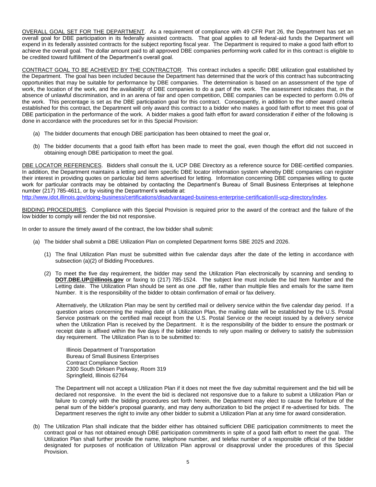OVERALL GOAL SET FOR THE DEPARTMENT. As a requirement of compliance with 49 CFR Part 26, the Department has set an overall goal for DBE participation in its federally assisted contracts. That goal applies to all federal-aid funds the Department will expend in its federally assisted contracts for the subject reporting fiscal year. The Department is required to make a good faith effort to achieve the overall goal. The dollar amount paid to all approved DBE companies performing work called for in this contract is eligible to be credited toward fulfillment of the Department's overall goal.

CONTRACT GOAL TO BE ACHIEVED BY THE CONTRACTOR. This contract includes a specific DBE utilization goal established by the Department. The goal has been included because the Department has determined that the work of this contract has subcontracting opportunities that may be suitable for performance by DBE companies. The determination is based on an assessment of the type of work, the location of the work, and the availability of DBE companies to do a part of the work. The assessment indicates that, in the absence of unlawful discrimination, and in an arena of fair and open competition, DBE companies can be expected to perform 0.0% of the work. This percentage is set as the DBE participation goal for this contract. Consequently, in addition to the other award criteria established for this contract, the Department will only award this contract to a bidder who makes a good faith effort to meet this goal of DBE participation in the performance of the work. A bidder makes a good faith effort for award consideration if either of the following is done in accordance with the procedures set for in this Special Provision:

- (a) The bidder documents that enough DBE participation has been obtained to meet the goal or,
- (b) The bidder documents that a good faith effort has been made to meet the goal, even though the effort did not succeed in obtaining enough DBE participation to meet the goal.

DBE LOCATOR REFERENCES. Bidders shall consult the IL UCP DBE Directory as a reference source for DBE-certified companies. In addition, the Department maintains a letting and item specific DBE locator information system whereby DBE companies can register their interest in providing quotes on particular bid items advertised for letting. Information concerning DBE companies willing to quote work for particular contracts may be obtained by contacting the Department's Bureau of Small Business Enterprises at telephone number (217) 785-4611, or by visiting the Department's website at:

[http://www.idot.illinois.gov/doing-business/certifications/disadvantaged-business-enterprise-certification/il-ucp-directory/index.](http://www.idot.illinois.gov/doing-business/certifications/disadvantaged-business-enterprise-certification/il-ucp-directory/index)

BIDDING PROCEDURES. Compliance with this Special Provision is required prior to the award of the contract and the failure of the low bidder to comply will render the bid not responsive.

In order to assure the timely award of the contract, the low bidder shall submit:

- (a) The bidder shall submit a DBE Utilization Plan on completed Department forms SBE 2025 and 2026.
	- (1) The final Utilization Plan must be submitted within five calendar days after the date of the letting in accordance with subsection (a)(2) of Bidding Procedures.
	- (2) To meet the five day requirement, the bidder may send the Utilization Plan electronically by scanning and sending to **[DOT.DBE.UP@illinois.gov](mailto:DOT.DBE.UP@illinois.gov)** or faxing to (217) 785-1524. The subject line must include the bid Item Number and the Letting date. The Utilization Plan should be sent as one .pdf file, rather than multiple files and emails for the same Item Number. It is the responsibility of the bidder to obtain confirmation of email or fax delivery.

Alternatively, the Utilization Plan may be sent by certified mail or delivery service within the five calendar day period. If a question arises concerning the mailing date of a Utilization Plan, the mailing date will be established by the U.S. Postal Service postmark on the certified mail receipt from the U.S. Postal Service or the receipt issued by a delivery service when the Utilization Plan is received by the Department. It is the responsibility of the bidder to ensure the postmark or receipt date is affixed within the five days if the bidder intends to rely upon mailing or delivery to satisfy the submission day requirement. The Utilization Plan is to be submitted to:

Illinois Department of Transportation Bureau of Small Business Enterprises Contract Compliance Section 2300 South Dirksen Parkway, Room 319 Springfield, Illinois 62764

The Department will not accept a Utilization Plan if it does not meet the five day submittal requirement and the bid will be declared not responsive. In the event the bid is declared not responsive due to a failure to submit a Utilization Plan or failure to comply with the bidding procedures set forth herein, the Department may elect to cause the forfeiture of the penal sum of the bidder's proposal guaranty, and may deny authorization to bid the project if re-advertised for bids. The Department reserves the right to invite any other bidder to submit a Utilization Plan at any time for award consideration.

(b) The Utilization Plan shall indicate that the bidder either has obtained sufficient DBE participation commitments to meet the contract goal or has not obtained enough DBE participation commitments in spite of a good faith effort to meet the goal. The Utilization Plan shall further provide the name, telephone number, and telefax number of a responsible official of the bidder designated for purposes of notification of Utilization Plan approval or disapproval under the procedures of this Special Provision.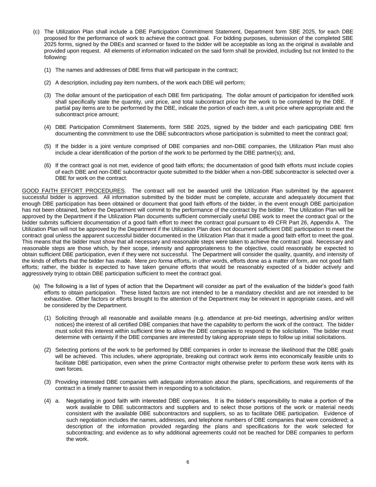- (c) The Utilization Plan shall include a DBE Participation Commitment Statement, Department form SBE 2025, for each DBE proposed for the performance of work to achieve the contract goal. For bidding purposes, submission of the completed SBE 2025 forms, signed by the DBEs and scanned or faxed to the bidder will be acceptable as long as the original is available and provided upon request. All elements of information indicated on the said form shall be provided, including but not limited to the following:
	- (1) The names and addresses of DBE firms that will participate in the contract;
	- (2) A description, including pay item numbers, of the work each DBE will perform;
	- (3) The dollar amount of the participation of each DBE firm participating. The dollar amount of participation for identified work shall specifically state the quantity, unit price, and total subcontract price for the work to be completed by the DBE. If partial pay items are to be performed by the DBE, indicate the portion of each item, a unit price where appropriate and the subcontract price amount;
	- (4) DBE Participation Commitment Statements, form SBE 2025, signed by the bidder and each participating DBE firm documenting the commitment to use the DBE subcontractors whose participation is submitted to meet the contract goal;
	- (5) If the bidder is a joint venture comprised of DBE companies and non-DBE companies, the Utilization Plan must also include a clear identification of the portion of the work to be performed by the DBE partner(s); and,
	- (6) If the contract goal is not met, evidence of good faith efforts; the documentation of good faith efforts must include copies of each DBE and non-DBE subcontractor quote submitted to the bidder when a non-DBE subcontractor is selected over a DBE for work on the contract.

GOOD FAITH EFFORT PROCEDURES. The contract will not be awarded until the Utilization Plan submitted by the apparent successful bidder is approved. All information submitted by the bidder must be complete, accurate and adequately document that enough DBE participation has been obtained or document that good faith efforts of the bidder, in the event enough DBE participation has not been obtained, before the Department will commit to the performance of the contract by the bidder. The Utilization Plan will be approved by the Department if the Utilization Plan documents sufficient commercially useful DBE work to meet the contract goal or the bidder submits sufficient documentation of a good faith effort to meet the contract goal pursuant to 49 CFR Part 26, Appendix A. The Utilization Plan will not be approved by the Department if the Utilization Plan does not document sufficient DBE participation to meet the contract goal unless the apparent successful bidder documented in the Utilization Plan that it made a good faith effort to meet the goal. This means that the bidder must show that all necessary and reasonable steps were taken to achieve the contract goal. Necessary and reasonable steps are those which, by their scope, intensity and appropriateness to the objective, could reasonably be expected to obtain sufficient DBE participation, even if they were not successful. The Department will consider the quality, quantity, and intensity of the kinds of efforts that the bidder has made. Mere *pro forma* efforts, in other words, efforts done as a matter of form, are not good faith efforts; rather, the bidder is expected to have taken genuine efforts that would be reasonably expected of a bidder actively and aggressively trying to obtain DBE participation sufficient to meet the contract goal.

- (a) The following is a list of types of action that the Department will consider as part of the evaluation of the bidder's good faith efforts to obtain participation. These listed factors are not intended to be a mandatory checklist and are not intended to be exhaustive. Other factors or efforts brought to the attention of the Department may be relevant in appropriate cases, and will be considered by the Department.
	- (1) Soliciting through all reasonable and available means (e.g. attendance at pre-bid meetings, advertising and/or written notices) the interest of all certified DBE companies that have the capability to perform the work of the contract. The bidder must solicit this interest within sufficient time to allow the DBE companies to respond to the solicitation. The bidder must determine with certainty if the DBE companies are interested by taking appropriate steps to follow up initial solicitations.
	- (2) Selecting portions of the work to be performed by DBE companies in order to increase the likelihood that the DBE goals will be achieved. This includes, where appropriate, breaking out contract work items into economically feasible units to facilitate DBE participation, even when the prime Contractor might otherwise prefer to perform these work items with its own forces.
	- (3) Providing interested DBE companies with adequate information about the plans, specifications, and requirements of the contract in a timely manner to assist them in responding to a solicitation.
	- (4) a. Negotiating in good faith with interested DBE companies. It is the bidder's responsibility to make a portion of the work available to DBE subcontractors and suppliers and to select those portions of the work or material needs consistent with the available DBE subcontractors and suppliers, so as to facilitate DBE participation. Evidence of such negotiation includes the names, addresses, and telephone numbers of DBE companies that were considered; a description of the information provided regarding the plans and specifications for the work selected for subcontracting; and evidence as to why additional agreements could not be reached for DBE companies to perform the work.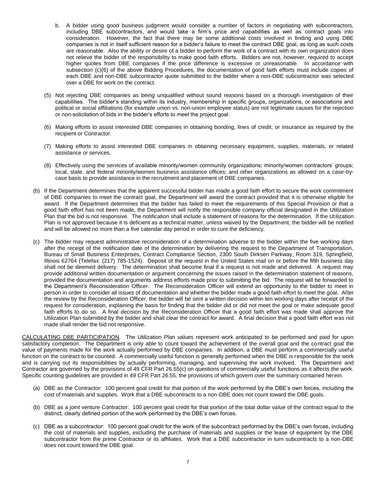- b. A bidder using good business judgment would consider a number of factors in negotiating with subcontractors, including DBE subcontractors, and would take a firm's price and capabilities as well as contract goals into consideration. However, the fact that there may be some additional costs involved in finding and using DBE companies is not in itself sufficient reason for a bidder's failure to meet the contract DBE goal, as long as such costs are reasonable. Also the ability or desire of a bidder to perform the work of a contract with its own organization does not relieve the bidder of the responsibility to make good faith efforts. Bidders are not, however, required to accept higher quotes from DBE companies if the price difference is excessive or unreasonable. In accordance with subsection (c)(6) of the above Bidding Procedures, the documentation of good faith efforts must include copies of each DBE and non-DBE subcontractor quote submitted to the bidder when a non-DBE subcontractor was selected over a DBE for work on the contract.
- (5) Not rejecting DBE companies as being unqualified without sound reasons based on a thorough investigation of their capabilities. The bidder's standing within its industry, membership in specific groups, organizations, or associations and political or social affiliations (for example union vs. non-union employee status) are not legitimate causes for the rejection or non-solicitation of bids in the bidder's efforts to meet the project goal.
- (6) Making efforts to assist interested DBE companies in obtaining bonding, lines of credit, or insurance as required by the recipient or Contractor.
- (7) Making efforts to assist interested DBE companies in obtaining necessary equipment, supplies, materials, or related assistance or services.
- (8) Effectively using the services of available minority/women community organizations; minority/women contractors' groups; local, state, and federal minority/women business assistance offices; and other organizations as allowed on a case-bycase basis to provide assistance in the recruitment and placement of DBE companies.
- (b) If the Department determines that the apparent successful bidder has made a good faith effort to secure the work commitment of DBE companies to meet the contract goal, the Department will award the contract provided that it is otherwise eligible for award. If the Department determines that the bidder has failed to meet the requirements of this Special Provision or that a good faith effort has not been made, the Department will notify the responsible company official designated in the Utilization Plan that the bid is not responsive. The notification shall include a statement of reasons for the determination. If the Utilization Plan is not approved because it is deficient as a technical matter, unless waived by the Department, the bidder will be notified and will be allowed no more than a five calendar day period in order to cure the deficiency.
- (c) The bidder may request administrative reconsideration of a determination adverse to the bidder within the five working days after the receipt of the notification date of the determination by delivering the request to the Department of Transportation, Bureau of Small Business Enterprises, Contract Compliance Section, 2300 South Dirksen Parkway, Room 319, Springfield, Illinois 62764 (Telefax: (217) 785-1524). Deposit of the request in the United States mail on or before the fifth business day shall not be deemed delivery. The determination shall become final if a request is not made and delivered. A request may provide additional written documentation or argument concerning the issues raised in the determination statement of reasons, provided the documentation and arguments address efforts made prior to submitting the bid. The request will be forwarded to the Department's Reconsideration Officer. The Reconsideration Officer will extend an opportunity to the bidder to meet in person in order to consider all issues of documentation and whether the bidder made a good faith effort to meet the goal. After the review by the Reconsideration Officer, the bidder will be sent a written decision within ten working days after receipt of the request for consideration, explaining the basis for finding that the bidder did or did not meet the goal or make adequate good faith efforts to do so. A final decision by the Reconsideration Officer that a good faith effort was made shall approve the Utilization Plan submitted by the bidder and shall clear the contract for award. A final decision that a good faith effort was not made shall render the bid not responsive.

CALCULATING DBE PARTICIPATION. The Utilization Plan values represent work anticipated to be performed and paid for upon satisfactory completion. The Department is only able to count toward the achievement of the overall goal and the contract goal the value of payments made for the work actually performed by DBE companies. In addition, a DBE must perform a commercially useful function on the contract to be counted. A commercially useful function is generally performed when the DBE is responsible for the work and is carrying out its responsibilities by actually performing, managing, and supervising the work involved. The Department and Contractor are governed by the provisions of 49 CFR Part 26.55(c) on questions of commercially useful functions as it affects the work. Specific counting guidelines are provided in 49 CFR Part 26.55, the provisions of which govern over the summary contained herein.

- (a) DBE as the Contractor: 100 percent goal credit for that portion of the work performed by the DBE's own forces, including the cost of materials and supplies. Work that a DBE subcontracts to a non-DBE does not count toward the DBE goals.
- (b) DBE as a joint venture Contractor: 100 percent goal credit for that portion of the total dollar value of the contract equal to the distinct, clearly defined portion of the work performed by the DBE's own forces.
- (c) DBE as a subcontractor: 100 percent goal credit for the work of the subcontract performed by the DBE's own forces, including the cost of materials and supplies, excluding the purchase of materials and supplies or the lease of equipment by the DBE subcontractor from the prime Contractor or its affiliates. Work that a DBE subcontractor in turn subcontracts to a non-DBE does not count toward the DBE goal.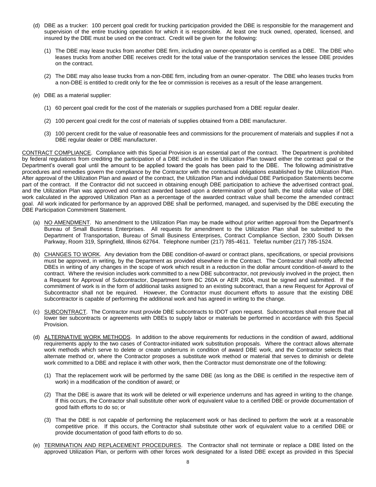- (d) DBE as a trucker: 100 percent goal credit for trucking participation provided the DBE is responsible for the management and supervision of the entire trucking operation for which it is responsible. At least one truck owned, operated, licensed, and insured by the DBE must be used on the contract. Credit will be given for the following:
	- (1) The DBE may lease trucks from another DBE firm, including an owner-operator who is certified as a DBE. The DBE who leases trucks from another DBE receives credit for the total value of the transportation services the lessee DBE provides on the contract.
	- (2) The DBE may also lease trucks from a non-DBE firm, including from an owner-operator. The DBE who leases trucks from a non-DBE is entitled to credit only for the fee or commission is receives as a result of the lease arrangement.
- (e) DBE as a material supplier:
	- (1) 60 percent goal credit for the cost of the materials or supplies purchased from a DBE regular dealer.
	- (2) 100 percent goal credit for the cost of materials of supplies obtained from a DBE manufacturer.
	- (3) 100 percent credit for the value of reasonable fees and commissions for the procurement of materials and supplies if not a DBE regular dealer or DBE manufacturer.

CONTRACT COMPLIANCE. Compliance with this Special Provision is an essential part of the contract. The Department is prohibited by federal regulations from crediting the participation of a DBE included in the Utilization Plan toward either the contract goal or the Department's overall goal until the amount to be applied toward the goals has been paid to the DBE. The following administrative procedures and remedies govern the compliance by the Contractor with the contractual obligations established by the Utilization Plan. After approval of the Utilization Plan and award of the contract, the Utilization Plan and individual DBE Participation Statements become part of the contract. If the Contractor did not succeed in obtaining enough DBE participation to achieve the advertised contract goal, and the Utilization Plan was approved and contract awarded based upon a determination of good faith, the total dollar value of DBE work calculated in the approved Utilization Plan as a percentage of the awarded contract value shall become the amended contract goal. All work indicated for performance by an approved DBE shall be performed, managed, and supervised by the DBE executing the DBE Participation Commitment Statement.

- (a) NO AMENDMENT. No amendment to the Utilization Plan may be made without prior written approval from the Department's Bureau of Small Business Enterprises. All requests for amendment to the Utilization Plan shall be submitted to the Department of Transportation, Bureau of Small Business Enterprises, Contract Compliance Section, 2300 South Dirksen Parkway, Room 319, Springfield, Illinois 62764. Telephone number (217) 785-4611. Telefax number (217) 785-1524.
- (b) CHANGES TO WORK. Any deviation from the DBE condition-of-award or contract plans, specifications, or special provisions must be approved, in writing, by the Department as provided elsewhere in the Contract. The Contractor shall notify affected DBEs in writing of any changes in the scope of work which result in a reduction in the dollar amount condition-of-award to the contract. Where the revision includes work committed to a new DBE subcontractor, not previously involved in the project, then a Request for Approval of Subcontractor, Department form BC 260A or AER 260A, must be signed and submitted. If the commitment of work is in the form of additional tasks assigned to an existing subcontract, than a new Request for Approval of Subcontractor shall not be required. However, the Contractor must document efforts to assure that the existing DBE subcontractor is capable of performing the additional work and has agreed in writing to the change.
- (c) SUBCONTRACT. The Contractor must provide DBE subcontracts to IDOT upon request. Subcontractors shall ensure that all lower tier subcontracts or agreements with DBEs to supply labor or materials be performed in accordance with this Special Provision.
- (d) ALTERNATIVE WORK METHODS. In addition to the above requirements for reductions in the condition of award, additional requirements apply to the two cases of Contractor-initiated work substitution proposals. Where the contract allows alternate work methods which serve to delete or create underruns in condition of award DBE work, and the Contractor selects that alternate method or, where the Contractor proposes a substitute work method or material that serves to diminish or delete work committed to a DBE and replace it with other work, then the Contractor must demonstrate one of the following:
	- (1) That the replacement work will be performed by the same DBE (as long as the DBE is certified in the respective item of work) in a modification of the condition of award; or
	- (2) That the DBE is aware that its work will be deleted or will experience underruns and has agreed in writing to the change. If this occurs, the Contractor shall substitute other work of equivalent value to a certified DBE or provide documentation of good faith efforts to do so; or
	- (3) That the DBE is not capable of performing the replacement work or has declined to perform the work at a reasonable competitive price. If this occurs, the Contractor shall substitute other work of equivalent value to a certified DBE or provide documentation of good faith efforts to do so.
- (e) TERMINATION AND REPLACEMENT PROCEDURES. The Contractor shall not terminate or replace a DBE listed on the approved Utilization Plan, or perform with other forces work designated for a listed DBE except as provided in this Special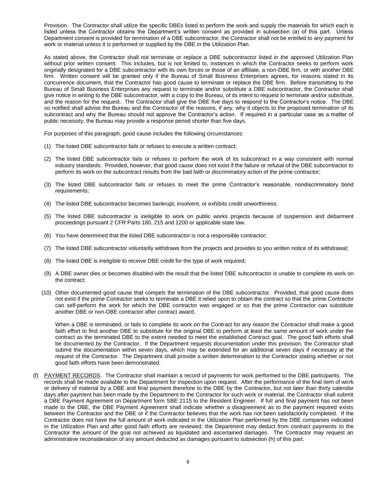Provision. The Contractor shall utilize the specific DBEs listed to perform the work and supply the materials for which each is listed unless the Contractor obtains the Department's written consent as provided in subsection (a) of this part. Unless Department consent is provided for termination of a DBE subcontractor, the Contractor shall not be entitled to any payment for work or material unless it is performed or supplied by the DBE in the Utilization Plan.

As stated above, the Contractor shall not terminate or replace a DBE subcontractor listed in the approved Utilization Plan without prior written consent. This includes, but is not limited to, instances in which the Contractor seeks to perform work originally designated for a DBE subcontractor with its own forces or those of an affiliate, a non-DBE firm, or with another DBE firm. Written consent will be granted only if the Bureau of Small Business Enterprises agrees, for reasons stated in its concurrence document, that the Contractor has good cause to terminate or replace the DBE firm. Before transmitting to the Bureau of Small Business Enterprises any request to terminate and/or substitute a DBE subcontractor, the Contractor shall give notice in writing to the DBE subcontractor, with a copy to the Bureau, of its intent to request to terminate and/or substitute, and the reason for the request. The Contractor shall give the DBE five days to respond to the Contractor's notice. The DBE so notified shall advise the Bureau and the Contractor of the reasons, if any, why it objects to the proposed termination of its subcontract and why the Bureau should not approve the Contractor's action. If required in a particular case as a matter of public necessity, the Bureau may provide a response period shorter than five days.

For purposes of this paragraph, good cause includes the following circumstances:

- (1) The listed DBE subcontractor fails or refuses to execute a written contract;
- (2) The listed DBE subcontractor fails or refuses to perform the work of its subcontract in a way consistent with normal industry standards. Provided, however, that good cause does not exist if the failure or refusal of the DBE subcontractor to perform its work on the subcontract results from the bad faith or discriminatory action of the prime contractor;
- (3) The listed DBE subcontractor fails or refuses to meet the prime Contractor's reasonable, nondiscriminatory bond requirements;
- (4) The listed DBE subcontractor becomes bankrupt, insolvent, or exhibits credit unworthiness;
- (5) The listed DBE subcontractor is ineligible to work on public works projects because of suspension and debarment proceedings pursuant 2 CFR Parts 180, 215 and 1200 or applicable state law.
- (6) You have determined that the listed DBE subcontractor is not a responsible contractor;
- (7) The listed DBE subcontractor voluntarily withdraws from the projects and provides to you written notice of its withdrawal;
- (8) The listed DBE is ineligible to receive DBE credit for the type of work required;
- (9) A DBE owner dies or becomes disabled with the result that the listed DBE subcontractor is unable to complete its work on the contract;
- (10) Other documented good cause that compels the termination of the DBE subcontractor. Provided, that good cause does not exist if the prime Contractor seeks to terminate a DBE it relied upon to obtain the contract so that the prime Contractor can self-perform the work for which the DBE contractor was engaged or so that the prime Contractor can substitute another DBE or non-DBE contractor after contract award.

When a DBE is terminated, or fails to complete its work on the Contract for any reason the Contractor shall make a good faith effort to find another DBE to substitute for the original DBE to perform at least the same amount of work under the contract as the terminated DBE to the extent needed to meet the established Contract goal. The good faith efforts shall be documented by the Contractor. If the Department requests documentation under this provision, the Contractor shall submit the documentation within seven days, which may be extended for an additional seven days if necessary at the request of the Contractor. The Department shall provide a written determination to the Contractor stating whether or not good faith efforts have been demonstrated.

(f) PAYMENT RECORDS. The Contractor shall maintain a record of payments for work performed to the DBE participants. The records shall be made available to the Department for inspection upon request. After the performance of the final item of work or delivery of material by a DBE and final payment therefore to the DBE by the Contractor, but not later than thirty calendar days after payment has been made by the Department to the Contractor for such work or material, the Contractor shall submit a DBE Payment Agreement on Department form SBE 2115 to the Resident Engineer. If full and final payment has not been made to the DBE, the DBE Payment Agreement shall indicate whether a disagreement as to the payment required exists between the Contractor and the DBE or if the Contractor believes that the work has not been satisfactorily completed. If the Contractor does not have the full amount of work indicated in the Utilization Plan performed by the DBE companies indicated in the Utilization Plan and after good faith efforts are reviewed, the Department may deduct from contract payments to the Contractor the amount of the goal not achieved as liquidated and ascertained damages. The Contractor may request an administrative reconsideration of any amount deducted as damages pursuant to subsection (h) of this part.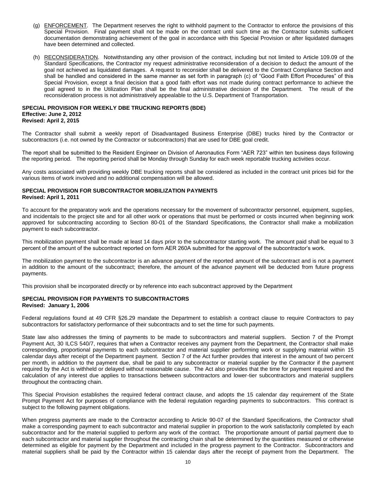- (g) ENFORCEMENT. The Department reserves the right to withhold payment to the Contractor to enforce the provisions of this Special Provision. Final payment shall not be made on the contract until such time as the Contractor submits sufficient documentation demonstrating achievement of the goal in accordance with this Special Provision or after liquidated damages have been determined and collected.
- (h) RECONSIDERATION. Notwithstanding any other provision of the contract, including but not limited to Article 109.09 of the Standard Specifications, the Contractor my request administrative reconsideration of a decision to deduct the amount of the goal not achieved as liquidated damages. A request to reconsider shall be delivered to the Contract Compliance Section and shall be handled and considered in the same manner as set forth in paragraph (c) of "Good Faith Effort Procedures" of this Special Provision, except a final decision that a good faith effort was not made during contract performance to achieve the goal agreed to in the Utilization Plan shall be the final administrative decision of the Department. The result of the reconsideration process is not administratively appealable to the U.S. Department of Transportation.

#### **SPECIAL PROVISION FOR WEEKLY DBE TRUCKING REPORTS (BDE) Effective: June 2, 2012 Revised: April 2, 2015**

The Contractor shall submit a weekly report of Disadvantaged Business Enterprise (DBE) trucks hired by the Contractor or subcontractors (i.e. not owned by the Contractor or subcontractors) that are used for DBE goal credit.

The report shall be submitted to the Resident Engineer on Division of Aeronautics Form "AER 723" within ten business days following the reporting period. The reporting period shall be Monday through Sunday for each week reportable trucking activities occur.

Any costs associated with providing weekly DBE trucking reports shall be considered as included in the contract unit prices bid for the various items of work involved and no additional compensation will be allowed.

#### **SPECIAL PROVISION FOR SUBCONTRACTOR MOBILIZATION PAYMENTS Revised: April 1, 2011**

To account for the preparatory work and the operations necessary for the movement of subcontractor personnel, equipment, supplies, and incidentals to the project site and for all other work or operations that must be performed or costs incurred when beginning work approved for subcontracting according to Section 80-01 of the Standard Specifications, the Contractor shall make a mobilization payment to each subcontractor.

This mobilization payment shall be made at least 14 days prior to the subcontractor starting work. The amount paid shall be equal to 3 percent of the amount of the subcontract reported on form AER 260A submitted for the approval of the subcontractor's work.

The mobilization payment to the subcontractor is an advance payment of the reported amount of the subcontract and is not a payment in addition to the amount of the subcontract; therefore, the amount of the advance payment will be deducted from future progress payments.

This provision shall be incorporated directly or by reference into each subcontract approved by the Department

#### **SPECIAL PROVISION FOR PAYMENTS TO SUBCONTRACTORS Revised: January 1, 2006**

Federal regulations found at 49 CFR §26.29 mandate the Department to establish a contract clause to require Contractors to pay subcontractors for satisfactory performance of their subcontracts and to set the time for such payments.

State law also addresses the timing of payments to be made to subcontractors and material suppliers. Section 7 of the Prompt Payment Act, 30 ILCS 540/7, requires that when a Contractor receives any payment from the Department, the Contractor shall make corresponding, proportional payments to each subcontractor and material supplier performing work or supplying material within 15 calendar days after receipt of the Department payment. Section 7 of the Act further provides that interest in the amount of two percent per month, in addition to the payment due, shall be paid to any subcontractor or material supplier by the Contractor if the payment required by the Act is withheld or delayed without reasonable cause. The Act also provides that the time for payment required and the calculation of any interest due applies to transactions between subcontractors and lower-tier subcontractors and material suppliers throughout the contracting chain.

This Special Provision establishes the required federal contract clause, and adopts the 15 calendar day requirement of the State Prompt Payment Act for purposes of compliance with the federal regulation regarding payments to subcontractors. This contract is subject to the following payment obligations.

When progress payments are made to the Contractor according to Article 90-07 of the Standard Specifications, the Contractor shall make a corresponding payment to each subcontractor and material supplier in proportion to the work satisfactorily completed by each subcontractor and for the material supplied to perform any work of the contract. The proportionate amount of partial payment due to each subcontractor and material supplier throughout the contracting chain shall be determined by the quantities measured or otherwise determined as eligible for payment by the Department and included in the progress payment to the Contractor. Subcontractors and material suppliers shall be paid by the Contractor within 15 calendar days after the receipt of payment from the Department. The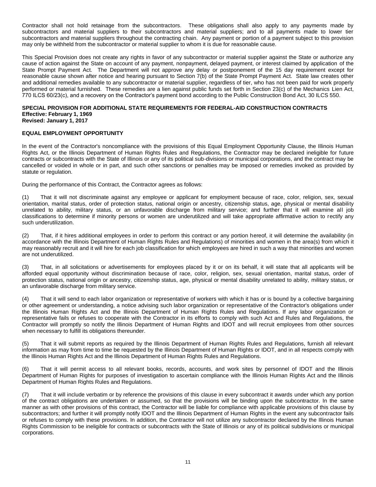Contractor shall not hold retainage from the subcontractors. These obligations shall also apply to any payments made by subcontractors and material suppliers to their subcontractors and material suppliers; and to all payments made to lower tier subcontractors and material suppliers throughout the contracting chain. Any payment or portion of a payment subject to this provision may only be withheld from the subcontractor or material supplier to whom it is due for reasonable cause.

This Special Provision does not create any rights in favor of any subcontractor or material supplier against the State or authorize any cause of action against the State on account of any payment, nonpayment, delayed payment, or interest claimed by application of the State Prompt Payment Act. The Department will not approve any delay or postponement of the 15 day requirement except for reasonable cause shown after notice and hearing pursuant to Section 7(b) of the State Prompt Payment Act. State law creates other and additional remedies available to any subcontractor or material supplier, regardless of tier, who has not been paid for work properly performed or material furnished. These remedies are a lien against public funds set forth in Section 23(c) of the Mechanics Lien Act, 770 ILCS 60/23(c), and a recovery on the Contractor's payment bond according to the Public Construction Bond Act, 30 ILCS 550.

#### **SPECIAL PROVISION FOR ADDITIONAL STATE REQUIREMENTS FOR FEDERAL-AID CONSTRUCTION CONTRACTS Effective: February 1, 1969 Revised: January 1, 2017**

#### **EQUAL EMPLOYMENT OPPORTUNITY**

In the event of the Contractor's noncompliance with the provisions of this Equal Employment Opportunity Clause, the Illinois Human Rights Act, or the Illinois Department of Human Rights Rules and Regulations, the Contractor may be declared ineligible for future contracts or subcontracts with the State of Illinois or any of its political sub-divisions or municipal corporations, and the contract may be cancelled or voided in whole or in part, and such other sanctions or penalties may be imposed or remedies invoked as provided by statute or regulation.

During the performance of this Contract, the Contractor agrees as follows:

(1) That it will not discriminate against any employee or applicant for employment because of race, color, religion, sex, sexual orientation, marital status, order of protection status, national origin or ancestry, citizenship status, age, physical or mental disability unrelated to ability, military status, or an unfavorable discharge from military service; and further that it will examine all job classifications to determine if minority persons or women are underutilized and will take appropriate affirmative action to rectify any such underutilization.

(2) That, if it hires additional employees in order to perform this contract or any portion hereof, it will determine the availability (in accordance with the Illinois Department of Human Rights Rules and Regulations) of minorities and women in the area(s) from which it may reasonably recruit and it will hire for each job classification for which employees are hired in such a way that minorities and women are not underutilized.

That, in all solicitations or advertisements for employees placed by it or on its behalf, it will state that all applicants will be afforded equal opportunity without discrimination because of race, color, religion, sex, sexual orientation, marital status, order of protection status, national origin or ancestry, citizenship status, age, physical or mental disability unrelated to ability, military status, or an unfavorable discharge from military service.

(4) That it will send to each labor organization or representative of workers with which it has or is bound by a collective bargaining or other agreement or understanding, a notice advising such labor organization or representative of the Contractor's obligations under the Illinois Human Rights Act and the Illinois Department of Human Rights Rules and Regulations. If any labor organization or representative fails or refuses to cooperate with the Contractor in its efforts to comply with such Act and Rules and Regulations, the Contractor will promptly so notify the Illinois Department of Human Rights and IDOT and will recruit employees from other sources when necessary to fulfill its obligations thereunder.

(5) That it will submit reports as required by the Illinois Department of Human Rights Rules and Regulations, furnish all relevant information as may from time to time be requested by the Illinois Department of Human Rights or IDOT, and in all respects comply with the Illinois Human Rights Act and the Illinois Department of Human Rights Rules and Regulations.

(6) That it will permit access to all relevant books, records, accounts, and work sites by personnel of IDOT and the Illinois Department of Human Rights for purposes of investigation to ascertain compliance with the Illinois Human Rights Act and the Illinois Department of Human Rights Rules and Regulations.

(7) That it will include verbatim or by reference the provisions of this clause in every subcontract it awards under which any portion of the contract obligations are undertaken or assumed, so that the provisions will be binding upon the subcontractor. In the same manner as with other provisions of this contract, the Contractor will be liable for compliance with applicable provisions of this clause by subcontractors; and further it will promptly notify IDOT and the Illinois Department of Human Rights in the event any subcontractor fails or refuses to comply with these provisions. In addition, the Contractor will not utilize any subcontractor declared by the Illinois Human Rights Commission to be ineligible for contracts or subcontracts with the State of Illinois or any of its political subdivisions or municipal corporations.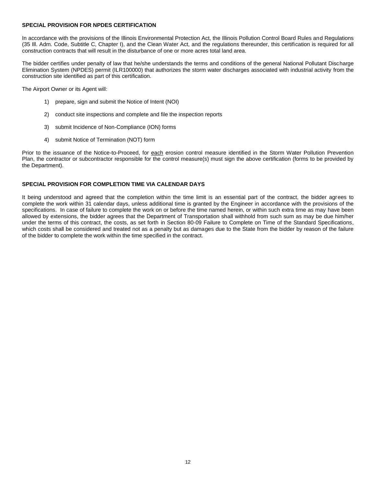#### **SPECIAL PROVISION FOR NPDES CERTIFICATION**

In accordance with the provisions of the Illinois Environmental Protection Act, the Illinois Pollution Control Board Rules and Regulations (35 Ill. Adm. Code, Subtitle C, Chapter I), and the Clean Water Act, and the regulations thereunder, this certification is required for all construction contracts that will result in the disturbance of one or more acres total land area.

The bidder certifies under penalty of law that he/she understands the terms and conditions of the general National Pollutant Discharge Elimination System (NPDES) permit (ILR100000) that authorizes the storm water discharges associated with industrial activity from the construction site identified as part of this certification.

The Airport Owner or its Agent will:

- 1) prepare, sign and submit the Notice of Intent (NOI)
- 2) conduct site inspections and complete and file the inspection reports
- 3) submit Incidence of Non-Compliance (ION) forms
- 4) submit Notice of Termination (NOT) form

Prior to the issuance of the Notice-to-Proceed, for each erosion control measure identified in the Storm Water Pollution Prevention Plan, the contractor or subcontractor responsible for the control measure(s) must sign the above certification (forms to be provided by the Department).

#### **SPECIAL PROVISION FOR COMPLETION TIME VIA CALENDAR DAYS**

It being understood and agreed that the completion within the time limit is an essential part of the contract, the bidder agrees to complete the work within 31 calendar days, unless additional time is granted by the Engineer in accordance with the provisions of the specifications. In case of failure to complete the work on or before the time named herein, or within such extra time as may have been allowed by extensions, the bidder agrees that the Department of Transportation shall withhold from such sum as may be due him/her under the terms of this contract, the costs, as set forth in Section 80-09 Failure to Complete on Time of the Standard Specifications, which costs shall be considered and treated not as a penalty but as damages due to the State from the bidder by reason of the failure of the bidder to complete the work within the time specified in the contract.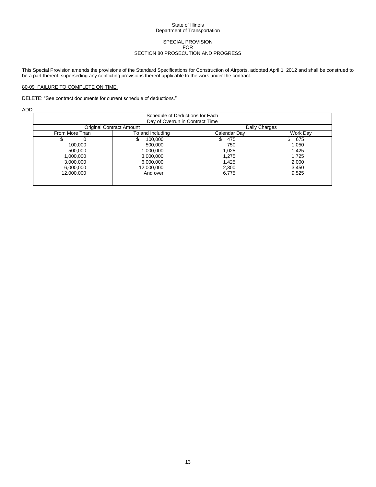#### State of Illinois Department of Transportation

#### SPECIAL PROVISION FOR SECTION 80 PROSECUTION AND PROGRESS

This Special Provision amends the provisions of the Standard Specifications for Construction of Airports, adopted April 1, 2012 and shall be construed to be a part thereof, superseding any conflicting provisions thereof applicable to the work under the contract.

#### 80-09 FAILURE TO COMPLETE ON TIME.

DELETE: "See contract documents for current schedule of deductions."

ADD:

| Schedule of Deductions for Each |                                 |               |           |  |
|---------------------------------|---------------------------------|---------------|-----------|--|
|                                 | Day of Overrun in Contract Time |               |           |  |
|                                 | Original Contract Amount        | Daily Charges |           |  |
| From More Than                  | To and Including                | Calendar Day  | Work Dav  |  |
| £.<br>0                         | 100.000<br>J.                   | 475<br>S      | \$<br>675 |  |
| 100.000                         | 500,000                         | 750           | 1.050     |  |
| 500.000                         | 1,000,000                       | 1,025         | 1,425     |  |
| 1,000,000                       | 3,000,000                       | 1,275         | 1,725     |  |
| 3,000,000                       | 6,000,000                       | 1,425         | 2,000     |  |
| 6,000,000                       | 12,000,000                      | 2,300         | 3,450     |  |
| 12,000,000                      | And over                        | 6,775         | 9,525     |  |
|                                 |                                 |               |           |  |
|                                 |                                 |               |           |  |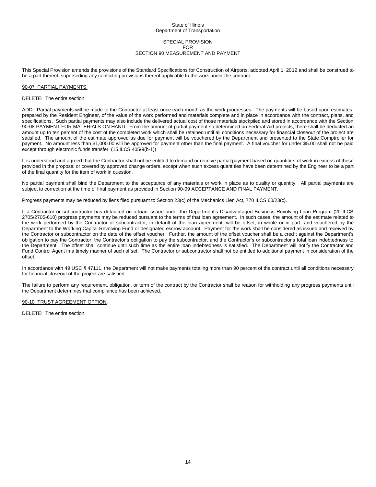#### State of Illinois Department of Transportation

#### SPECIAL PROVISION FOR SECTION 90 MEASUREMENT AND PAYMENT

This Special Provision amends the provisions of the Standard Specifications for Construction of Airports, adopted April 1, 2012 and shall be construed to be a part thereof, superseding any conflicting provisions thereof applicable to the work under the contract.

#### 90-07 PARTIAL PAYMENTS.

#### DELETE: The entire section.

ADD: Partial payments will be made to the Contractor at least once each month as the work progresses. The payments will be based upon estimates, prepared by the Resident Engineer, of the value of the work performed and materials complete and in place in accordance with the contract, plans, and specifications. Such partial payments may also include the delivered actual cost of those materials stockpiled and stored in accordance with the Section 90-08 PAYMENT FOR MATERIALS ON HAND. From the amount of partial payment so determined on Federal-Aid projects, there shall be deducted an amount up to ten percent of the cost of the completed work which shall be retained until all conditions necessary for financial closeout of the project are satisfied. The amount of the estimate approved as due for payment will be vouchered by the Department and presented to the State Comptroller for payment. No amount less than \$1,000.00 will be approved for payment other than the final payment. A final voucher for under \$5.00 shall not be paid except through electronic funds transfer. (15 ILCS 405/9(b-1))

It is understood and agreed that the Contractor shall not be entitled to demand or receive partial payment based on quantities of work in excess of those provided in the proposal or covered by approved change orders, except when such excess quantities have been determined by the Engineer to be a part of the final quantity for the item of work in question.

No partial payment shall bind the Department to the acceptance of any materials or work in place as to quality or quantity. All partial payments are subject to correction at the time of final payment as provided in Section 90-09 ACCEPTANCE AND FINAL PAYMENT.

Progress payments may be reduced by liens filed pursuant to Section 23(c) of the Mechanics Lien Act, 770 ILCS 60/23(c).

If a Contractor or subcontractor has defaulted on a loan issued under the Department's Disadvantaged Business Revolving Loan Program (20 ILCS 2705/2705-610) progress payments may be reduced pursuant to the terms of that loan agreement. In such cases, the amount of the estimate related to the work performed by the Contractor or subcontractor, in default of the loan agreement, will be offset, in whole or in part, and vouchered by the Department to the Working Capital Revolving Fund or designated escrow account. Payment for the work shall be considered as issued and received by the Contractor or subcontractor on the date of the offset voucher. Further, the amount of the offset voucher shall be a credit against the Department's obligation to pay the Contractor, the Contractor's obligation to pay the subcontractor, and the Contractor's or subcontractor's total loan indebtedness to the Department. The offset shall continue until such time as the entire loan indebtedness is satisfied. The Department will notify the Contractor and Fund Control Agent in a timely manner of such offset. The Contractor or subcontractor shall not be entitled to additional payment in consideration of the offset.

In accordance with 49 USC § 47111, the Department will not make payments totaling more than 90 percent of the contract until all conditions necessary for financial closeout of the project are satisfied.

The failure to perform any requirement, obligation, or term of the contract by the Contractor shall be reason for withholding any progress payments until the Department determines that compliance has been achieved.

#### 90-10 TRUST AGREEMENT OPTION.

DELETE: The entire section.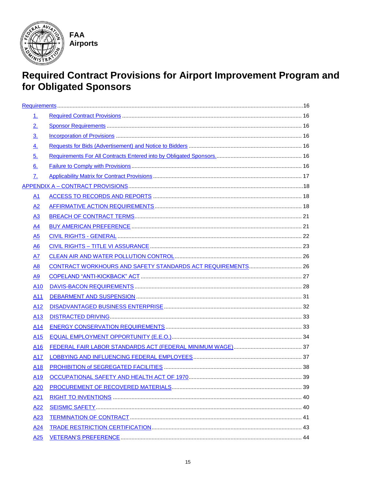

**FAA Airports** 

# Required Contract Provisions for Airport Improvement Program and<br>for Obligated Sponsors

| 1.                          |                                                             |  |
|-----------------------------|-------------------------------------------------------------|--|
| 2.                          |                                                             |  |
| $\underline{3}$ .           |                                                             |  |
| 4.                          |                                                             |  |
| 5 <sub>1</sub>              |                                                             |  |
| 6.                          |                                                             |  |
| $\underline{\mathcal{I}}$ . |                                                             |  |
|                             |                                                             |  |
| A1                          |                                                             |  |
| A2                          |                                                             |  |
| $\underline{A3}$            |                                                             |  |
| $\underline{A4}$            |                                                             |  |
| $\underline{A5}$            |                                                             |  |
| A <sub>6</sub>              |                                                             |  |
| <u>A7</u>                   |                                                             |  |
| $\underline{AB}$            | CONTRACT WORKHOURS AND SAFETY STANDARDS ACT REQUIREMENTS 26 |  |
| $\underline{A9}$            |                                                             |  |
| A <sub>10</sub>             |                                                             |  |
| <u>A11</u>                  |                                                             |  |
| A12                         |                                                             |  |
| A <sub>13</sub>             |                                                             |  |
| A <sub>14</sub>             |                                                             |  |
| A <sub>15</sub>             |                                                             |  |
| A <sub>16</sub>             |                                                             |  |
| A17                         |                                                             |  |
| A <sub>18</sub>             |                                                             |  |
|                             |                                                             |  |
| A20                         |                                                             |  |
| A21                         |                                                             |  |
| A22                         |                                                             |  |
| A23                         |                                                             |  |
| A24                         |                                                             |  |
| A25                         |                                                             |  |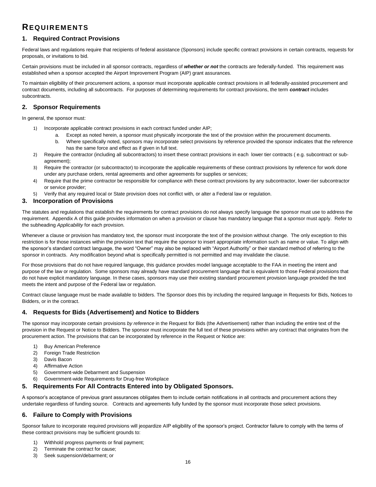# <span id="page-16-0"></span>**REQ UI REM ENTS**

# <span id="page-16-1"></span>**1. Required Contract Provisions**

Federal laws and regulations require that recipients of federal assistance (Sponsors) include specific contract provisions in certain contracts, requests for proposals, or invitations to bid.

Certain provisions must be included in all sponsor contracts, regardless of *whether or not* the contracts are federally-funded. This requirement was established when a sponsor accepted the Airport Improvement Program (AIP) grant assurances.

To maintain eligibility of their procurement actions, a sponsor must incorporate applicable contract provisions in all federally-assisted procurement and contract documents, including all subcontracts. For purposes of determining requirements for contract provisions, the term *contract* includes subcontracts.

#### <span id="page-16-2"></span>**2. Sponsor Requirements**

In general, the sponsor must:

- 1) Incorporate applicable contract provisions in each contract funded under AIP;
	- a. Except as noted herein, a sponsor must physically incorporate the text of the provision within the procurement documents.
	- b. Where specifically noted, sponsors may incorporate select provisions by reference provided the sponsor indicates that the reference has the same force and effect as if given in full text.
- 2) Require the contractor (including all subcontractors) to insert these contract provisions in each lower tier contracts ( e.g. subcontract or subagreement);
- 3) Require the contractor (or subcontractor) to incorporate the applicable requirements of these contract provisions by reference for work done under any purchase orders, rental agreements and other agreements for supplies or services;
- 4) Require that the prime contractor be responsible for compliance with these contract provisions by any subcontractor, lower-tier subcontractor or service provider;
- 5) Verify that any required local or State provision does not conflict with, or alter a Federal law or regulation.

#### <span id="page-16-3"></span>**3. Incorporation of Provisions**

The statutes and regulations that establish the requirements for contract provisions do not always specify language the sponsor must use to address the requirement. Appendix A of this guide provides information on when a provision or clause has mandatory language that a sponsor must apply. Refer to the subheading *Applicability* for each provision.

Whenever a clause or provision has mandatory text, the sponsor must incorporate the text of the provision without change. The only exception to this restriction is for those instances within the provision text that require the sponsor to insert appropriate information such as name or value. To align with the sponsor's standard contract language, the word "Owner" may also be replaced with "Airport Authority" or their standard method of referring to the sponsor in contracts. Any modification beyond what is specifically permitted is not permitted and may invalidate the clause.

For those provisions that do not have required language, this guidance provides model language acceptable to the FAA in meeting the intent and purpose of the law or regulation. Some sponsors may already have standard procurement language that is equivalent to those Federal provisions that do not have explicit mandatory language. In these cases, sponsors may use their existing standard procurement provision language provided the text meets the intent and purpose of the Federal law or regulation.

Contract clause language must be made available to bidders. The Sponsor does this by including the required language in Requests for Bids, Notices to Bidders, or in the contract.

#### <span id="page-16-4"></span>**4. Requests for Bids (Advertisement) and Notice to Bidders**

The sponsor may incorporate certain provisions *by reference* in the Request for Bids (the Advertisement) rather than including the entire text of the provision in the Request or Notice to Bidders. The sponsor must incorporate the full text of these provisions within any contract that originates from the procurement action. The provisions that can be incorporated by reference in the Request or Notice are:

- 1) Buy American Preference
- 2) Foreign Trade Restriction
- 3) Davis Bacon
- 4) Affirmative Action
- 5) Government-wide Debarment and Suspension
- 6) Government-wide Requirements for Drug-free Workplace

#### <span id="page-16-5"></span>**5. Requirements For All Contracts Entered into by Obligated Sponsors.**

A sponsor's acceptance of previous grant assurances obligates them to include certain notifications in all contracts and procurement actions they undertake regardless of funding source. Contracts and agreements fully funded by the sponsor must incorporate those select provisions.

#### <span id="page-16-6"></span>**6. Failure to Comply with Provisions**

Sponsor failure to incorporate required provisions will jeopardize AIP eligibility of the sponsor's project. Contractor failure to comply with the terms of these contract provisions may be sufficient grounds to:

- 1) Withhold progress payments or final payment;
- 2) Terminate the contract for cause;
- 3) Seek suspension/debarment; or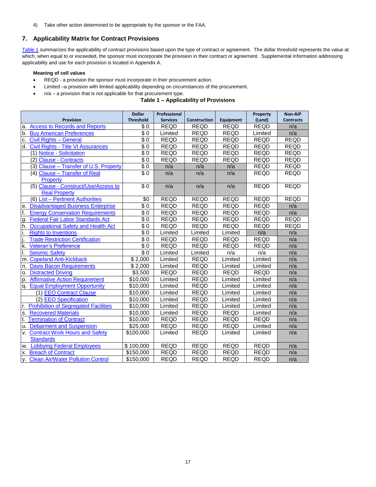4) Take other action determined to be appropriate by the sponsor or the FAA.

#### <span id="page-17-0"></span>**7. Applicability Matrix for Contract Provisions**

[Table 1](#page-17-1) summarizes the applicability of contract provisions based upon the type of contract or agreement. The dollar threshold represents the value at which, when equal to or exceeded, the sponsor must incorporate the provision in their contract or agreement. Supplemental information addressing applicability and use for each provision is located in Appendix A.

#### **Meaning of cell values**

- REQD a provision the sponsor must incorporate in their procurement action.
- Limited –a provision with limited applicability depending on circumstances of the procurement.
- $n/a a$  provision that is not applicable for that procurement type.

#### **Table 1 – Applicability of Provisions**

<span id="page-17-1"></span>

|                                                   | <b>Dollar</b>    | Professional    |                     |                  | Property    | Non-AIP          |
|---------------------------------------------------|------------------|-----------------|---------------------|------------------|-------------|------------------|
| <b>Provision</b>                                  | <b>Threshold</b> | <b>Services</b> | <b>Construction</b> | <b>Equipment</b> | (Land)      | <b>Contracts</b> |
| <b>Access to Records and Reports</b><br>a.        | \$0              | <b>REQD</b>     | <b>REQD</b>         | <b>REQD</b>      | <b>REQD</b> | n/a              |
| b. Buy American Preferences                       | \$0              | Limited         | <b>REQD</b>         | <b>REQD</b>      | Limited     | n/a              |
| c. Civil Rights - General                         | $\sqrt{6}$       | <b>REQD</b>     | <b>REQD</b>         | <b>REQD</b>      | <b>REQD</b> | <b>REQD</b>      |
| d. Civil Rights - Title VI Assurances             | $\sqrt{6}$       | <b>REQD</b>     | <b>REQD</b>         | <b>REQD</b>      | <b>REQD</b> | <b>REQD</b>      |
| (1) Notice - Solicitation                         | $\sqrt{6}$       | <b>REQD</b>     | <b>REQD</b>         | <b>REQD</b>      | <b>REQD</b> | <b>REQD</b>      |
| (2) Clause - Contracts                            | $\overline{\$0}$ | <b>REQD</b>     | <b>REQD</b>         | <b>REQD</b>      | <b>REQD</b> | <b>REQD</b>      |
| (3) Clause - Transfer of U.S. Property            | $\overline{\$0}$ | n/a             | n/a                 | n/a              | <b>REQD</b> | <b>REQD</b>      |
| (4) Clause - Transfer of Real                     | \$0              | n/a             | n/a                 | n/a              | <b>REQD</b> | <b>REQD</b>      |
| Property                                          |                  |                 |                     |                  |             |                  |
| (5) Clause - Construct/Use/Access to              | $\sqrt{6}$       | n/a             | n/a                 | n/a              | <b>REQD</b> | <b>REQD</b>      |
| <b>Real Property</b>                              |                  |                 |                     |                  |             |                  |
| (6) List - Pertinent Authorities                  | \$0              | <b>REQD</b>     | <b>REQD</b>         | <b>REQD</b>      | <b>REQD</b> | <b>REQD</b>      |
| e. Disadvantaged Business Enterprise              | \$0              | <b>REQD</b>     | <b>REQD</b>         | <b>REQD</b>      | <b>REQD</b> | n/a              |
| f.<br><b>Energy Conservation Requirements</b>     | $\sqrt{6}$       | <b>REQD</b>     | <b>REQD</b>         | <b>REQD</b>      | <b>REQD</b> | n/a              |
| g. Federal Fair Labor Standards Act               | \$0              | <b>REQD</b>     | <b>REQD</b>         | <b>REQD</b>      | <b>REQD</b> | <b>REQD</b>      |
| h. Occupational Safety and Health Act             | \$0              | <b>REQD</b>     | <b>REQD</b>         | <b>REQD</b>      | <b>REQD</b> | <b>REQD</b>      |
| i.<br><b>Rights to Inventions</b>                 | $\sqrt{6}$       | Limited         | Limited             | Limited          | n/a         | n/a              |
| j.<br><b>Trade Restriction Certification</b>      | \$0              | <b>REQD</b>     | <b>REQD</b>         | <b>REQD</b>      | <b>REQD</b> | n/a              |
| k. Veteran's Preference                           | \$0              | <b>REQD</b>     | <b>REQD</b>         | <b>REQD</b>      | <b>REQD</b> | n/a              |
| Ι.<br><b>Seismic Safety</b>                       | \$0              | Limited         | Limited             | n/a              | n/a         | n/a              |
| m. Copeland Anti-Kickback                         | $\sqrt{$}2,000$  | Limited         | <b>REQD</b>         | Limited          | Limited     | n/a              |
| n. Davis Bacon Requirements                       | \$2,000          | Limited         | <b>REQD</b>         | Limited          | Limited     | n/a              |
| o. Distracted Driving                             | \$3,500          | <b>REQD</b>     | <b>REQD</b>         | <b>REQD</b>      | <b>REQD</b> | n/a              |
| p. Affirmative Action Requirement                 | \$10,000         | Limited         | <b>REQD</b>         | Limited          | Limited     | n/a              |
| q. Equal Employment Opportunity                   | \$10,000         | Limited         | <b>REQD</b>         | Limited          | Limited     | n/a              |
| (1) EEO Contract Clause                           | \$10,000         | Limited         | <b>REQD</b>         | Limited          | Limited     | n/a              |
| (2) EEO Specification                             | \$10,000         | Limited         | <b>REQD</b>         | Limited          | Limited     | n/a              |
| r.<br><b>Prohibition of Segregated Facilities</b> | \$10,000         | Limited         | <b>REQD</b>         | Limited          | Limited     | n/a              |
| s. Recovered Materials                            | \$10,000         | Limited         | <b>REQD</b>         | <b>REQD</b>      | Limited     | n/a              |
| t.<br><b>Termination of Contract</b>              | \$10,000         | <b>REQD</b>     | <b>REQD</b>         | <b>REQD</b>      | <b>REQD</b> | n/a              |
| u. Debarment and Suspension                       | \$25,000         | <b>REQD</b>     | <b>REQD</b>         | <b>REQD</b>      | Limited     | n/a              |
| v. Contract Work Hours and Safety                 | \$100,000        | Limited         | <b>REQD</b>         | Limited          | Limited     | n/a              |
| <b>Standards</b>                                  |                  |                 |                     |                  |             |                  |
| w. Lobbying Federal Employees                     | \$100,000        | <b>REQD</b>     | <b>REQD</b>         | <b>REQD</b>      | <b>REQD</b> | n/a              |
| x. Breach of Contract                             | \$150,000        | <b>REQD</b>     | <b>REQD</b>         | <b>REQD</b>      | <b>REQD</b> | n/a              |
| y. Clean Air/Water Pollution Control              | \$150,000        | <b>REQD</b>     | <b>REQD</b>         | <b>REQD</b>      | <b>REQD</b> | n/a              |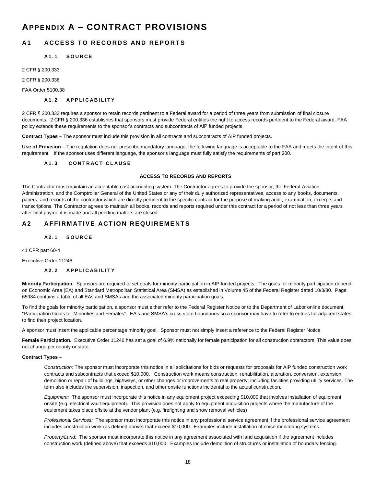# <span id="page-18-0"></span>**APPENDI X A – CONTRACT PROVISIONS**

# <span id="page-18-1"></span>A1 ACCESS TO RECORDS AND REPORTS

**A 1 . 1 S O U R C E**

2 CFR § 200.333

2 CFR § 200.336

FAA Order 5100.38

#### **A 1 . 2 A P P L I C A B I L I T Y**

2 CFR § 200.333 requires a sponsor to retain records pertinent to a Federal award for a period of three years from submission of final closure documents. 2 CFR § 200.336 establishes that sponsors must provide Federal entities the right to access records pertinent to the Federal award. FAA policy extends these requirements to the sponsor's contracts and subcontracts of AIP funded projects.

**Contract Types** – The sponsor must include this provision in all contracts and subcontracts of AIP funded projects.

**Use of Provision** – The regulation does not prescribe mandatory language, the following language is acceptable to the FAA and meets the intent of this requirement. If the sponsor uses different language, the sponsor's language must fully satisfy the requirements of part 200.

#### **A 1 . 3 C O N T R A C T C L A U S E**

#### **ACCESS TO RECORDS AND REPORTS**

The Contractor must maintain an acceptable cost accounting system. The Contractor agrees to provide the sponsor, the Federal Aviation Administration, and the Comptroller General of the United States or any of their duly authorized representatives, access to any books, documents, papers, and records of the contractor which are directly pertinent to the specific contract for the purpose of making audit, examination, excerpts and transcriptions. The Contractor agrees to maintain all books, records and reports required under this contract for a period of not less than three years after final payment is made and all pending matters are closed.

# **A2** AFFIRMATIVE ACTION REQUIREMENTS

#### **A 2 . 1 S O U R C E**

41 CFR part 60-4

Executive Order 11246

#### **A 2 . 2 A P P L I C A B I L I T Y**

**Minority Participation.** Sponsors are required to set goals for minority participation in AIP funded projects. The goals for minority participation depend on Economic Area (EA) and Standard Metropolitan Statistical Area (SMSA) as established in Volume 45 of the Federal Register dated 10/3/80. Page 65984 contains a table of all EAs and SMSAs and the associated minority participation goals.

To find the goals for minority participation, a sponsor must either refer to the Federal Register Notice or to the Department of Labor online document, "Participation Goals for Minorities and Females". EA's and SMSA's cross state boundaries so a sponsor may have to refer to entries for adjacent states to find their project location.

A sponsor must insert the applicable percentage minority goal. Sponsor must not simply insert a reference to the Federal Register Notice.

Female Participation. Executive Order 11246 has set a goal of 6.9% nationally for female participation for all construction contractors. This value does not change per county or state.

#### **Contract Types** –

*Construction:* The sponsor must incorporate this notice in all solicitations for bids or requests for proposals for AIP funded construction work contracts and subcontracts that exceed \$10,000. Construction work means construction, rehabilitation, alteration, conversion, extension, demolition or repair of buildings, highways, or other changes or improvements to real property, including facilities providing utility services. The term also includes the supervision, inspection, and other onsite functions incidental to the actual construction.

*Equipment:* The sponsor must incorporate this notice in any equipment project exceeding \$10,000 that involves installation of equipment onsite (e.g. electrical vault equipment). This provision does not apply to equipment acquisition projects where the manufacture of the equipment takes place offsite at the vendor plant (e.g. firefighting and snow removal vehicles)

*Professional Services:* The sponsor must incorporate this notice in any professional service agreement if the professional service agreement includes construction work (as defined above) that exceed \$10,000. Examples include installation of noise monitoring systems.

*Property/Land:* The sponsor must incorporate this notice in any agreement associated with land acquisition if the agreement includes construction work (defined above) that exceeds \$10,000. Examples include demolition of structures or installation of boundary fencing.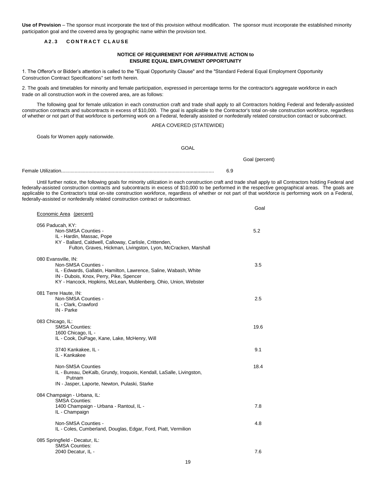**Use of Provision** – The sponsor must incorporate the text of this provision without modification. The sponsor must incorporate the established minority participation goal and the covered area by geographic name within the provision text.

**A 2 . 3 C O N T R A C T C L A U S E**

#### **NOTICE OF REQUIREMENT FOR AFFIRMATIVE ACTION to ENSURE EQUAL EMPLOYMENT OPPORTUNITY**

1. The Offeror's or Bidder's attention is called to the "Equal Opportunity Clause" and the "Standard Federal Equal Employment Opportunity Construction Contract Specifications" set forth herein.

2. The goals and timetables for minority and female participation, expressed in percentage terms for the contractor's aggregate workforce in each trade on all construction work in the covered area, are as follows:

The following goal for female utilization in each construction craft and trade shall apply to all Contractors holding Federal and federally-assisted construction contracts and subcontracts in excess of \$10,000. The goal is applicable to the Contractor's total on-site construction workforce, regardless of whether or not part of that workforce is performing work on a Federal, federally assisted or nonfederally related construction contact or subcontract.

#### AREA COVERED (STATEWIDE)

Goals for Women apply nationwide.

GOAL

Goal (percent)

Female Utilization................................................................................................................ 6.9

Until further notice, the following goals for minority utilization in each construction craft and trade shall apply to all Contractors holding Federal and federally-assisted construction contracts and subcontracts in excess of \$10,000 to be performed in the respective geographical areas. The goals are applicable to the Contractor's total on-site construction workforce, regardless of whether or not part of that workforce is performing work on a Federal, federally-assisted or nonfederally related construction contract or subcontract.

| Economic Area (percent)                                                                                                                                                                                                       | Goal |
|-------------------------------------------------------------------------------------------------------------------------------------------------------------------------------------------------------------------------------|------|
| 056 Paducah, KY:<br>Non-SMSA Counties -<br>IL - Hardin, Massac, Pope<br>KY - Ballard, Caldwell, Calloway, Carlisle, Crittenden,<br>Fulton, Graves, Hickman, Livingston, Lyon, McCracken, Marshall                             | 5.2  |
| 080 Evansville, IN:<br>Non-SMSA Counties -<br>IL - Edwards, Gallatin, Hamilton, Lawrence, Saline, Wabash, White<br>IN - Dubois, Knox, Perry, Pike, Spencer<br>KY - Hancock, Hopkins, McLean, Mublenberg, Ohio, Union, Webster | 3.5  |
| 081 Terre Haute, IN:<br>Non-SMSA Counties -<br>IL - Clark, Crawford<br>IN - Parke                                                                                                                                             | 2.5  |
| 083 Chicago, IL:<br><b>SMSA Counties:</b><br>1600 Chicago, IL -<br>IL - Cook, DuPage, Kane, Lake, McHenry, Will                                                                                                               | 19.6 |
| 3740 Kankakee, IL -<br>IL - Kankakee                                                                                                                                                                                          | 9.1  |
| Non-SMSA Counties<br>IL - Bureau, DeKalb, Grundy, Iroquois, Kendall, LaSalle, Livingston,<br>Putnam<br>IN - Jasper, Laporte, Newton, Pulaski, Starke                                                                          | 18.4 |
| 084 Champaign - Urbana, IL:<br><b>SMSA Counties:</b><br>1400 Champaign - Urbana - Rantoul, IL -<br>IL - Champaign                                                                                                             | 7.8  |
| Non-SMSA Counties -<br>IL - Coles, Cumberland, Douglas, Edgar, Ford, Piatt, Vermilion                                                                                                                                         | 4.8  |
| 085 Springfield - Decatur, IL:<br><b>SMSA Counties:</b><br>2040 Decatur, IL -                                                                                                                                                 | 7.6  |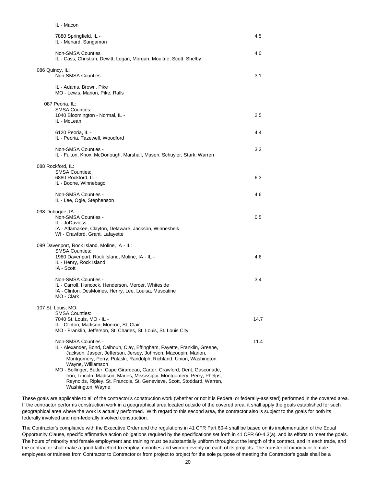| IL - Macon                                                                                                                                                                                                                                                                                                                                                                                                                                                                                                              |      |
|-------------------------------------------------------------------------------------------------------------------------------------------------------------------------------------------------------------------------------------------------------------------------------------------------------------------------------------------------------------------------------------------------------------------------------------------------------------------------------------------------------------------------|------|
| 7880 Springfield, IL -<br>IL - Menard, Sangamon                                                                                                                                                                                                                                                                                                                                                                                                                                                                         | 4.5  |
| Non-SMSA Counties<br>IL - Cass, Christian, Dewitt, Logan, Morgan, Moultrie, Scott, Shelby                                                                                                                                                                                                                                                                                                                                                                                                                               | 4.0  |
| 086 Quincy, IL:<br>Non-SMSA Counties                                                                                                                                                                                                                                                                                                                                                                                                                                                                                    | 3.1  |
| IL - Adams, Brown, Pike<br>MO - Lewis, Marion, Pike, Ralls                                                                                                                                                                                                                                                                                                                                                                                                                                                              |      |
| 087 Peoria, IL:<br><b>SMSA Counties:</b><br>1040 Bloomington - Normal, IL -<br>IL - McLean                                                                                                                                                                                                                                                                                                                                                                                                                              | 2.5  |
| 6120 Peoria, IL -<br>IL - Peoria, Tazewell, Woodford                                                                                                                                                                                                                                                                                                                                                                                                                                                                    | 4.4  |
| Non-SMSA Counties -<br>IL - Fulton, Knox, McDonough, Marshall, Mason, Schuyler, Stark, Warren                                                                                                                                                                                                                                                                                                                                                                                                                           | 3.3  |
| 088 Rockford, IL:<br><b>SMSA Counties:</b><br>6880 Rockford, IL -<br>IL - Boone, Winnebago                                                                                                                                                                                                                                                                                                                                                                                                                              | 6.3  |
| Non-SMSA Counties -<br>IL - Lee, Ogle, Stephenson                                                                                                                                                                                                                                                                                                                                                                                                                                                                       | 4.6  |
| 098 Dubuque, IA:<br>Non-SMSA Counties -<br>IL - JoDaviess<br>IA - Atlamakee, Clayton, Delaware, Jackson, Winnesheik<br>WI - Crawford, Grant, Lafayette                                                                                                                                                                                                                                                                                                                                                                  | 0.5  |
| 099 Davenport, Rock Island, Moline, IA - IL:<br><b>SMSA Counties:</b><br>1960 Davenport, Rock Island, Moline, IA - IL -<br>IL - Henry, Rock Island<br>IA - Scott                                                                                                                                                                                                                                                                                                                                                        | 4.6  |
| Non-SMSA Counties -<br>IL - Carroll, Hancock, Henderson, Mercer, Whiteside<br>IA - Clinton, DesMoines, Henry, Lee, Louisa, Muscatine<br>MO - Clark                                                                                                                                                                                                                                                                                                                                                                      | 3.4  |
| 107 St. Louis, MO:<br><b>SMSA Counties:</b><br>7040 St. Louis, MO - IL -<br>IL - Clinton, Madison, Monroe, St. Clair<br>MO - Franklin, Jefferson, St. Charles, St. Louis, St. Louis City                                                                                                                                                                                                                                                                                                                                | 14.7 |
| Non-SMSA Counties -<br>IL - Alexander, Bond, Calhoun, Clay, Effingham, Fayette, Franklin, Greene,<br>Jackson, Jasper, Jefferson, Jersey, Johnson, Macoupin, Marion,<br>Montgomery, Perry, Pulaski, Randolph, Richland, Union, Washington,<br>Wayne, Williamson<br>MO - Bollinger, Butler, Cape Girardeau, Carter, Crawford, Dent, Gasconade,<br>Iron, Lincoln, Madison, Maries, Mississippi, Montgomery, Perry, Phelps,<br>Reynolds, Ripley, St. Francois, St. Genevieve, Scott, Stoddard, Warren,<br>Washington, Wayne | 11.4 |

These goals are applicable to all of the contractor's construction work (whether or not it is Federal or federally-assisted) performed in the covered area. If the contractor performs construction work in a geographical area located outside of the covered area, it shall apply the goals established for such geographical area where the work is actually performed. With regard to this second area, the contractor also is subject to the goals for both its federally involved and non-federally involved construction.

The Contractor's compliance with the Executive Order and the regulations in 41 CFR Part 60-4 shall be based on its implementation of the Equal Opportunity Clause, specific affirmative action obligations required by the specifications set forth in 41 CFR 60-4.3(a), and its efforts to meet the goals. The hours of minority and female employment and training must be substantially uniform throughout the length of the contract, and in each trade, and the contractor shall make a good faith effort to employ minorities and women evenly on each of its projects. The transfer of minority or female employees or trainees from Contractor to Contractor or from project to project for the sole purpose of meeting the Contractor's goals shall be a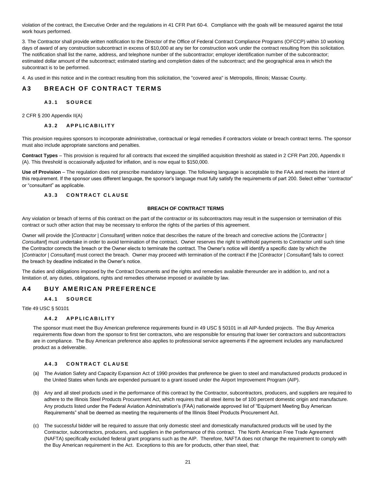violation of the contract, the Executive Order and the regulations in 41 CFR Part 60-4. Compliance with the goals will be measured against the total work hours performed.

3. The Contractor shall provide written notification to the Director of the Office of Federal Contract Compliance Programs (OFCCP) within 10 working days of award of any construction subcontract in excess of \$10,000 at any tier for construction work under the contract resulting from this solicitation. The notification shall list the name, address, and telephone number of the subcontractor; employer identification number of the subcontractor; estimated dollar amount of the subcontract; estimated starting and completion dates of the subcontract; and the geographical area in which the subcontract is to be performed.

4. As used in this notice and in the contract resulting from this solicitation, the "covered area" is Metropolis, Illinois; Massac County.

#### **A3 BREACH OF CONTRACT TERMS**

#### **A 3 . 1 S O U R C E**

2 CFR § 200 Appendix II(A)

#### **A 3 . 2 A P P L I C A B I L I T Y**

This provision requires sponsors to incorporate administrative, contractual or legal remedies if contractors violate or breach contract terms. The sponsor must also include appropriate sanctions and penalties.

**Contract Types** – This provision is required for all contracts that exceed the simplified acquisition threshold as stated in 2 CFR Part 200, Appendix II (A). This threshold is occasionally adjusted for inflation, and is now equal to \$150,000.

**Use of Provision** – The regulation does not prescribe mandatory language. The following language is acceptable to the FAA and meets the intent of this requirement. If the sponsor uses different language, the sponsor's language must fully satisfy the requirements of part 200. Select either "contractor" or "consultant" as applicable.

#### **A 3 . 3 C O N T R A C T C L A U S E**

#### <span id="page-21-1"></span><span id="page-21-0"></span>**BREACH OF CONTRACT TERMS**

Any violation or breach of terms of this contract on the part of the contractor or its subcontractors may result in the suspension or termination of this contract or such other action that may be necessary to enforce the rights of the parties of this agreement.

Owner will provide the [*Contractor | Consultant*] written notice that describes the nature of the breach and corrective actions the [*Contractor | Consultant*] must undertake in order to avoid termination of the contract. Owner reserves the right to withhold payments to Contractor until such time the Contractor corrects the breach or the Owner elects to terminate the contract. The Owner's notice will identify a specific date by which the [*Contractor | Consultant*] must correct the breach. Owner may proceed with termination of the contract if the [*Contractor | Consultant*] fails to correct the breach by deadline indicated in the Owner's notice.

The duties and obligations imposed by the Contract Documents and the rights and remedies available thereunder are in addition to, and not a limitation of, any duties, obligations, rights and remedies otherwise imposed or available by law.

#### **A4 B U Y AM E R I C AN P R E F E R E N C E**

#### **A 4 . 1 S O U R C E**

Title 49 USC § 50101

#### **A 4 . 2 A P P L I C A B I L I T Y**

The sponsor must meet the Buy American preference requirements found in 49 USC § 50101 in all AIP-funded projects. The Buy America requirements flow down from the sponsor to first tier contractors, who are responsible for ensuring that lower tier contractors and subcontractors are in compliance. The Buy American preference also applies to professional service agreements if the agreement includes any manufactured product as a deliverable.

#### **A 4 . 3 C O N T R A C T C L A U S E**

- (a) The Aviation Safety and Capacity Expansion Act of 1990 provides that preference be given to steel and manufactured products produced in the United States when funds are expended pursuant to a grant issued under the Airport Improvement Program (AIP).
- (b) Any and all steel products used in the performance of this contract by the Contractor, subcontractors, producers, and suppliers are required to adhere to the Illinois Steel Products Procurement Act, which requires that all steel items be of 100 percent domestic origin and manufacture. Any products listed under the Federal Aviation Administration's (FAA) nationwide approved list of "Equipment Meeting Buy American Requirements" shall be deemed as meeting the requirements of the Illinois Steel Products Procurement Act.
- (c) The successful bidder will be required to assure that only domestic steel and domestically manufactured products will be used by the Contractor, subcontractors, producers, and suppliers in the performance of this contract. The North American Free Trade Agreement (NAFTA) specifically excluded federal grant programs such as the AIP. Therefore, NAFTA does not change the requirement to comply with the Buy American requirement in the Act. Exceptions to this are for products, other than steel, that: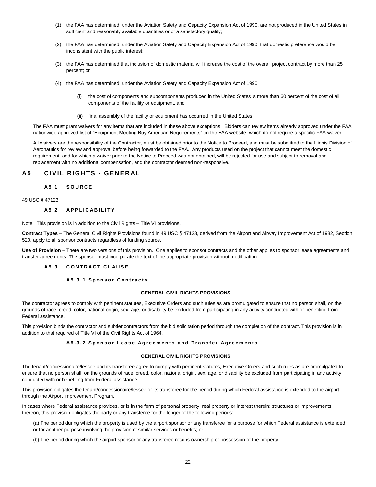- (1) the FAA has determined, under the Aviation Safety and Capacity Expansion Act of 1990, are not produced in the United States in sufficient and reasonably available quantities or of a satisfactory quality;
- (2) the FAA has determined, under the Aviation Safety and Capacity Expansion Act of 1990, that domestic preference would be inconsistent with the public interest;
- (3) the FAA has determined that inclusion of domestic material will increase the cost of the overall project contract by more than 25 percent; or
- (4) the FAA has determined, under the Aviation Safety and Capacity Expansion Act of 1990,
	- (i) the cost of components and subcomponents produced in the United States is more than 60 percent of the cost of all components of the facility or equipment, and
	- (ii) final assembly of the facility or equipment has occurred in the United States.

The FAA must grant waivers for any items that are included in these above exceptions. Bidders can review items already approved under the FAA nationwide approved list of "Equipment Meeting Buy American Requirements" on the FAA website, which do not require a specific FAA waiver.

All waivers are the responsibility of the Contractor, must be obtained prior to the Notice to Proceed, and must be submitted to the Illinois Division of Aeronautics for review and approval before being forwarded to the FAA. Any products used on the project that cannot meet the domestic requirement, and for which a waiver prior to the Notice to Proceed was not obtained, will be rejected for use and subject to removal and replacement with no additional compensation, and the contractor deemed non-responsive.

# <span id="page-22-0"></span>**A5 CIVIL RIGHTS - GENERAL**

#### **A 5 . 1 S O U R C E**

49 USC § 47123

#### **A 5 . 2 A P P L I C A B I L I T Y**

Note: This provision is in addition to the Civil Rights – Title VI provisions.

**Contract Types** – The General Civil Rights Provisions found in 49 USC § 47123, derived from the Airport and Airway Improvement Act of 1982, Section 520, apply to all sponsor contracts regardless of funding source.

**Use of Provision** – There are two versions of this provision. One applies to sponsor contracts and the other applies to sponsor lease agreements and transfer agreements. The sponsor must incorporate the text of the appropriate provision without modification.

#### **A 5 . 3 C O N T R A C T C L A U S E**

#### **A 5 . 3 . 1 S p o n s o r C o n t r a c t s**

#### **GENERAL CIVIL RIGHTS PROVISIONS**

The contractor agrees to comply with pertinent statutes, Executive Orders and such rules as are promulgated to ensure that no person shall, on the grounds of race, creed, color, national origin, sex, age, or disability be excluded from participating in any activity conducted with or benefiting from Federal assistance.

This provision binds the contractor and subtier contractors from the bid solicitation period through the completion of the contract. This provision is in addition to that required of Title VI of the Civil Rights Act of 1964.

#### **A5.3.2 Sponsor Lease Agreements and Transfer Agreements**

#### <span id="page-22-1"></span>**GENERAL CIVIL RIGHTS PROVISIONS**

The tenant/concessionaire/lessee and its transferee agree to comply with pertinent statutes, Executive Orders and such rules as are promulgated to ensure that no person shall, on the grounds of race, creed, color, national origin, sex, age, or disability be excluded from participating in any activity conducted with or benefiting from Federal assistance.

This provision obligates the tenant/concessionaire/lessee or its transferee for the period during which Federal assistance is extended to the airport through the Airport Improvement Program.

In cases where Federal assistance provides, or is in the form of personal property; real property or interest therein; structures or improvements thereon, this provision obligates the party or any transferee for the longer of the following periods:

- (a) The period during which the property is used by the airport sponsor or any transferee for a purpose for which Federal assistance is extended, or for another purpose involving the provision of similar services or benefits; or
- (b) The period during which the airport sponsor or any transferee retains ownership or possession of the property.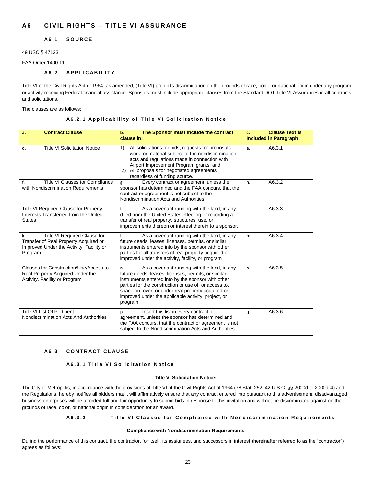# **A6** CIVIL RIGHTS - TITLE VI ASSURANCE

#### **A 6 . 1 S O U R C E**

49 USC § 47123

FAA Order 1400.11

#### **A 6 . 2 A P P L I C A B I L I T Y**

Title VI of the Civil Rights Act of 1964, as amended, (Title VI) prohibits discrimination on the grounds of race, color, or national origin under any program or activity receiving Federal financial assistance. Sponsors must include appropriate clauses from the Standard DOT Title VI Assurances in all contracts and solicitations.

The clauses are as follows:

| <b>Contract Clause</b><br>a.                                                                                                       | The Sponsor must include the contract<br>b.<br>clause in:                                                                                                                                                                                                                                                                                       | <b>Clause Text is</b><br>c.<br><b>Included in Paragraph</b> |
|------------------------------------------------------------------------------------------------------------------------------------|-------------------------------------------------------------------------------------------------------------------------------------------------------------------------------------------------------------------------------------------------------------------------------------------------------------------------------------------------|-------------------------------------------------------------|
| <b>Title VI Solicitation Notice</b><br>$d$ .                                                                                       | All solicitations for bids, requests for proposals<br>1)<br>work, or material subject to the nondiscrimination<br>acts and regulations made in connection with<br>Airport Improvement Program grants; and<br>All proposals for negotiated agreements<br>2)<br>regardless of funding source.                                                     | A6.3.1<br>e.                                                |
| Title VI Clauses for Compliance<br>f.<br>with Nondiscrimination Requirements                                                       | Every contract or agreement, unless the<br>g.<br>sponsor has determined and the FAA concurs, that the<br>contract or agreement is not subject to the<br>Nondiscrimination Acts and Authorities                                                                                                                                                  | A6.3.2<br>h.                                                |
| Title VI Required Clause for Property<br>Interests Transferred from the United<br><b>States</b>                                    | As a covenant running with the land, in any<br>i.<br>deed from the United States effecting or recording a<br>transfer of real property, structures, use, or<br>improvements thereon or interest therein to a sponsor.                                                                                                                           | A6.3.3<br>j.                                                |
| k.<br>Title VI Required Clause for<br>Transfer of Real Property Acquired or<br>Improved Under the Activity, Facility or<br>Program | As a covenant running with the land, in any<br>I.<br>future deeds, leases, licenses, permits, or similar<br>instruments entered into by the sponsor with other<br>parties for all transfers of real property acquired or<br>improved under the activity, facility, or program                                                                   | A6.3.4<br>m.                                                |
| Clauses for Construction/Use/Access to<br>Real Property Acquired Under the<br>Activity, Facility or Program                        | As a covenant running with the land, in any<br>n.<br>future deeds, leases, licenses, permits, or similar<br>instruments entered into by the sponsor with other<br>parties for the construction or use of, or access to,<br>space on, over, or under real property acquired or<br>improved under the applicable activity, project, or<br>program | A6.3.5<br>0.                                                |
| <b>Title VI List Of Pertinent</b><br>Nondiscrimination Acts And Authorities                                                        | Insert this list in every contract or<br>p.<br>agreement, unless the sponsor has determined and<br>the FAA concurs, that the contract or agreement is not<br>subject to the Nondiscrimination Acts and Authorities                                                                                                                              | A6.3.6<br>q.                                                |

#### **A6.2.1 Applicability of Title VI Solicitation Notice**

#### **A 6 . 3 C O N T R A C T C L A U S E**

#### **A6.3.1 Title VI Solicitation Notice**

#### <span id="page-23-1"></span>**Title VI Solicitation Notice:**

<span id="page-23-0"></span>The City of Metropolis, in accordance with the provisions of Title VI of the Civil Rights Act of 1964 (78 Stat. 252, 42 U.S.C. §§ 2000d to 2000d-4) and the Regulations, hereby notifies all bidders that it will affirmatively ensure that any contract entered into pursuant to this advertisement, disadvantaged business enterprises will be afforded full and fair opportunity to submit bids in response to this invitation and will not be discriminated against on the grounds of race, color, or national origin in consideration for an award.

#### **A6.3.2 Title VI Clauses for Compliance with Nondiscrimination Requirements**

#### **Compliance with Nondiscrimination Requirements**

During the performance of this contract, the contractor, for itself, its assignees, and successors in interest (hereinafter referred to as the "contractor") agrees as follows: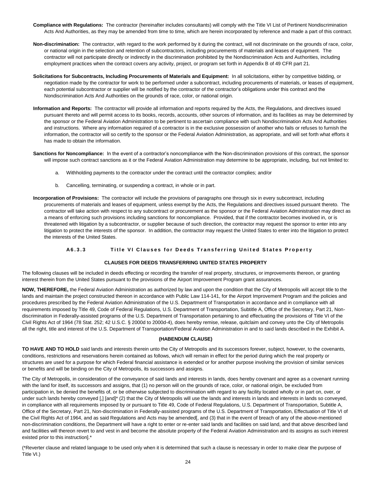- **Compliance with Regulations:** The contractor (hereinafter includes consultants) will comply with the Title VI List of Pertinent Nondiscrimination Acts And Authorities, as they may be amended from time to time, which are herein incorporated by reference and made a part of this contract.
- **Non-discrimination:** The contractor, with regard to the work performed by it during the contract, will not discriminate on the grounds of race, color, or national origin in the selection and retention of subcontractors, including procurements of materials and leases of equipment. The contractor will not participate directly or indirectly in the discrimination prohibited by the Nondiscrimination Acts and Authorities, including employment practices when the contract covers any activity, project, or program set forth in Appendix B of 49 CFR part 21.
- **Solicitations for Subcontracts, Including Procurements of Materials and Equipment:** In all solicitations, either by competitive bidding, or negotiation made by the contractor for work to be performed under a subcontract, including procurements of materials, or leases of equipment, each potential subcontractor or supplier will be notified by the contractor of the contractor's obligations under this contract and the Nondiscrimination Acts And Authorities on the grounds of race, color, or national origin.
- **Information and Reports:** The contractor will provide all information and reports required by the Acts, the Regulations, and directives issued pursuant thereto and will permit access to its books, records, accounts, other sources of information, and its facilities as may be determined by the sponsor or the Federal Aviation Administration to be pertinent to ascertain compliance with such Nondiscrimination Acts And Authorities and instructions. Where any information required of a contractor is in the exclusive possession of another who fails or refuses to furnish the information, the contractor will so certify to the sponsor or the Federal Aviation Administration, as appropriate, and will set forth what efforts it has made to obtain the information.
- **Sanctions for Noncompliance:** In the event of a contractor's noncompliance with the Non-discrimination provisions of this contract, the sponsor will impose such contract sanctions as it or the Federal Aviation Administration may determine to be appropriate, including, but not limited to:
	- a. Withholding payments to the contractor under the contract until the contractor complies; and/or
	- b. Cancelling, terminating, or suspending a contract, in whole or in part.
- **Incorporation of Provisions:** The contractor will include the provisions of paragraphs one through six in every subcontract, including procurements of materials and leases of equipment, unless exempt by the Acts, the Regulations and directives issued pursuant thereto. The contractor will take action with respect to any subcontract or procurement as the sponsor or the Federal Aviation Administration may direct as a means of enforcing such provisions including sanctions for noncompliance. Provided, that if the contractor becomes involved in, or is threatened with litigation by a subcontractor, or supplier because of such direction, the contractor may request the sponsor to enter into any litigation to protect the interests of the sponsor. In addition, the contractor may request the United States to enter into the litigation to protect the interests of the United States.

#### **A6.3.3** Title VI Clauses for Deeds Transferring United States Property

#### **CLAUSES FOR DEEDS TRANSFERRING UNITED STATES PROPERTY**

<span id="page-24-0"></span>The following clauses will be included in deeds effecting or recording the transfer of real property, structures, or improvements thereon, or granting interest therein from the United States pursuant to the provisions of the Airport Improvement Program grant assurances.

**NOW, THEREFORE,** the Federal Aviation Administration as authorized by law and upon the condition that the City of Metropolis will accept title to the lands and maintain the project constructed thereon in accordance with Public Law 114-141, for the Airport Improvement Program and the policies and procedures prescribed by the Federal Aviation Administration of the U.S. Department of Transportation in accordance and in compliance with all requirements imposed by Title 49, Code of Federal Regulations, U.S. Department of Transportation, Subtitle A, Office of the Secretary, Part 21, Nondiscrimination in Federally-assisted programs of the U.S. Department of Transportation pertaining to and effectuating the provisions of Title VI of the Civil Rights Act of 1964 (78 Stat. 252; 42 U.S.C. § 2000d to 2000d-4), does hereby remise, release, quitclaim and convey unto the City of Metropolis all the right, title and interest of the U.S. Department of Transportation/Federal Aviation Administration in and to said lands described in the Exhibit A.

#### **(HABENDUM CLAUSE)**

**TO HAVE AND TO HOLD** said lands and interests therein unto the City of Metropolis and its successors forever, subject, however, to the covenants, conditions, restrictions and reservations herein contained as follows, which will remain in effect for the period during which the real property or structures are used for a purpose for which Federal financial assistance is extended or for another purpose involving the provision of similar services or benefits and will be binding on the City of Metropolis, its successors and assigns.

The City of Metropolis, in consideration of the conveyance of said lands and interests in lands, does hereby covenant and agree as a covenant running with the land for itself, its successors and assigns, that (1) no person will on the grounds of race, color, or national origin, be excluded from participation in, be denied the benefits of, or be otherwise subjected to discrimination with regard to any facility located wholly or in part on, over, or under such lands hereby conveyed [,] [and]\* (2) that the City of Metropolis will use the lands and interests in lands and interests in lands so conveyed, in compliance with all requirements imposed by or pursuant to Title 49, Code of Federal Regulations, U.S. Department of Transportation, Subtitle A, Office of the Secretary, Part 21, Non-discrimination in Federally-assisted programs of the U.S. Department of Transportation, Effectuation of Title VI of the Civil Rights Act of 1964, and as said Regulations and Acts may be amended[, and (3) that in the event of breach of any of the above-mentioned non-discrimination conditions, the Department will have a right to enter or re-enter said lands and facilities on said land, and that above described land and facilities will thereon revert to and vest in and become the absolute property of the Federal Aviation Administration and its assigns as such interest existed prior to this instruction].\*

<span id="page-24-1"></span>(\*Reverter clause and related language to be used only when it is determined that such a clause is necessary in order to make clear the purpose of Title VI.)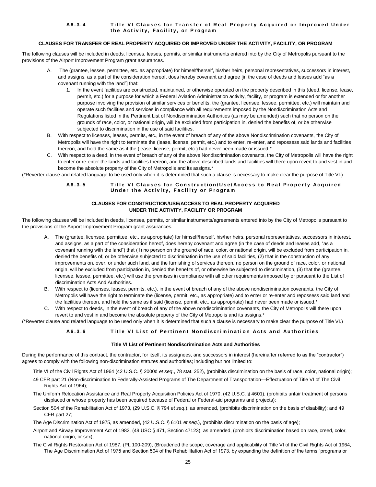#### **A6.3.4** Title VI Clauses for Transfer of Real Property Acquired or Improved Under the Activity, Facility, or Program

#### **CLAUSES FOR TRANSFER OF REAL PROPERTY ACQUIRED OR IMPROVED UNDER THE ACTIVITY, FACILITY, OR PROGRAM**

The following clauses will be included in deeds, licenses, leases, permits, or similar instruments entered into by the City of Metropolis pursuant to the provisions of the Airport Improvement Program grant assurances.

- A. The (grantee, lessee, permittee, etc. as appropriate) for himself/herself, his/her heirs, personal representatives, successors in interest, and assigns, as a part of the consideration hereof, does hereby covenant and agree [in the case of deeds and leases add "as a covenant running with the land"] that:
	- 1. In the event facilities are constructed, maintained, or otherwise operated on the property described in this (deed, license, lease, permit, etc.) for a purpose for which a Federal Aviation Administration activity, facility, or program is extended or for another purpose involving the provision of similar services or benefits, the (grantee, licensee, lessee, permittee, etc.) will maintain and operate such facilities and services in compliance with all requirements imposed by the Nondiscrimination Acts and Regulations listed in the Pertinent List of Nondiscrimination Authorities (as may be amended) such that no person on the grounds of race, color, or national origin, will be excluded from participation in, denied the benefits of, or be otherwise subjected to discrimination in the use of said facilities.
- B. With respect to licenses, leases, permits, etc., in the event of breach of any of the above Nondiscrimination covenants, the City of Metropolis will have the right to terminate the (lease, license, permit, etc.) and to enter, re-enter, and repossess said lands and facilities thereon, and hold the same as if the (lease, license, permit, etc.) had never been made or issued.\*
- C. With respect to a deed, in the event of breach of any of the above Nondiscrimination covenants, the City of Metropolis will have the right to enter or re-enter the lands and facilities thereon, and the above described lands and facilities will there upon revert to and vest in and become the absolute property of the City of Metropolis and its assigns.\*

(\*Reverter clause and related language to be used only when it is determined that such a clause is necessary to make clear the purpose of Title VI.)

#### **A6.3.5** Title VI Clauses for Construction/Use/Access to Real Property Acquired **Under the Activity, Facility or Program**

#### <span id="page-25-0"></span>**CLAUSES FOR CONSTRUCTION/USE/ACCESS TO REAL PROPERTY ACQUIRED UNDER THE ACTIVITY, FACILITY OR PROGRAM**

The following clauses will be included in deeds, licenses, permits, or similar instruments/agreements entered into by the City of Metropolis pursuant to the provisions of the Airport Improvement Program grant assurances.

- A. The (grantee, licensee, permittee, etc., as appropriate) for himself/herself, his/her heirs, personal representatives, successors in interest, and assigns, as a part of the consideration hereof, does hereby covenant and agree (in the case of deeds and leases add, "as a covenant running with the land") that (1) no person on the ground of race, color, or national origin, will be excluded from participation in, denied the benefits of, or be otherwise subjected to discrimination in the use of said facilities, (2) that in the construction of any improvements on, over, or under such land, and the furnishing of services thereon, no person on the ground of race, color, or national origin, will be excluded from participation in, denied the benefits of, or otherwise be subjected to discrimination, (3) that the (grantee, licensee, lessee, permittee, etc.) will use the premises in compliance with all other requirements imposed by or pursuant to the List of discrimination Acts And Authorities.
- B. With respect to (licenses, leases, permits, etc.), in the event of breach of any of the above nondiscrimination covenants, the City of Metropolis will have the right to terminate the (license, permit, etc., as appropriate) and to enter or re-enter and repossess said land and the facilities thereon, and hold the same as if said (license, permit, etc., as appropriate) had never been made or issued.\*
- C. With respect to deeds, in the event of breach of any of the above nondiscrimination covenants, the City of Metropolis will there upon revert to and vest in and become the absolute property of the City of Metropolis and its assigns.\*

(\*Reverter clause and related language to be used only when it is determined that such a clause is necessary to make clear the purpose of Title VI.)

#### **A 6 . 3 . 6 T i t l e V I L i s t o f P e r t i n e n t N o n d i s c r i m i n a t i o n A c t s a n d A u t h o r i t i e s**

#### <span id="page-25-1"></span>**Title VI List of Pertinent Nondiscrimination Acts and Authorities**

During the performance of this contract, the contractor, for itself, its assignees, and successors in interest (hereinafter referred to as the "contractor") agrees to comply with the following non-discrimination statutes and authorities; including but not limited to:

- Title VI of the Civil Rights Act of 1964 (42 U.S.C. § 2000d *et seq*., 78 stat. 252), (prohibits discrimination on the basis of race, color, national origin); 49 CFR part 21 (Non-discrimination In Federally-Assisted Programs of The Department of Transportation—Effectuation of Title VI of The Civil Rights Act of 1964);
- The Uniform Relocation Assistance and Real Property Acquisition Policies Act of 1970, (42 U.S.C. § 4601), (prohibits unfair treatment of persons displaced or whose property has been acquired because of Federal or Federal-aid programs and projects);
- Section 504 of the Rehabilitation Act of 1973, (29 U.S.C. § 794 *et seq*.), as amended, (prohibits discrimination on the basis of disability); and 49 CFR part 27;
- The Age Discrimination Act of 1975, as amended, (42 U.S.C. § 6101 *et seq*.), (prohibits discrimination on the basis of age);
- Airport and Airway Improvement Act of 1982, (49 USC § 471, Section 47123), as amended, (prohibits discrimination based on race, creed, color, national origin, or sex);
- The Civil Rights Restoration Act of 1987, (PL 100-209), (Broadened the scope, coverage and applicability of Title VI of the Civil Rights Act of 1964, The Age Discrimination Act of 1975 and Section 504 of the Rehabilitation Act of 1973, by expanding the definition of the terms "programs or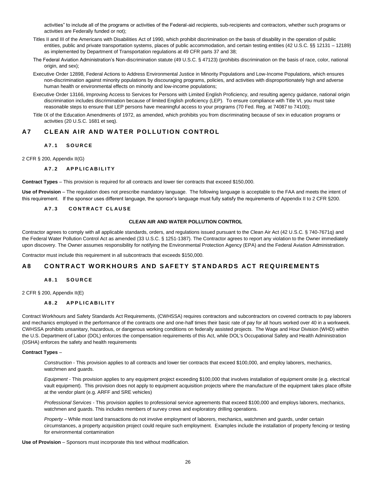activities" to include all of the programs or activities of the Federal-aid recipients, sub-recipients and contractors, whether such programs or activities are Federally funded or not);

- Titles II and III of the Americans with Disabilities Act of 1990, which prohibit discrimination on the basis of disability in the operation of public entities, public and private transportation systems, places of public accommodation, and certain testing entities (42 U.S.C. §§ 12131 – 12189) as implemented by Department of Transportation regulations at 49 CFR parts 37 and 38;
- The Federal Aviation Administration's Non-discrimination statute (49 U.S.C. § 47123) (prohibits discrimination on the basis of race, color, national origin, and sex);
- Executive Order 12898, Federal Actions to Address Environmental Justice in Minority Populations and Low-Income Populations, which ensures non-discrimination against minority populations by discouraging programs, policies, and activities with disproportionately high and adverse human health or environmental effects on minority and low-income populations;
- Executive Order 13166, Improving Access to Services for Persons with Limited English Proficiency, and resulting agency guidance, national origin discrimination includes discrimination because of limited English proficiency (LEP). To ensure compliance with Title VI, you must take reasonable steps to ensure that LEP persons have meaningful access to your programs (70 Fed. Reg. at 74087 to 74100);
- Title IX of the Education Amendments of 1972, as amended, which prohibits you from discriminating because of sex in education programs or activities (20 U.S.C. 1681 et seq).

# <span id="page-26-0"></span>**A7 CLEAN AIR AND WATER POLLUTION CONTROL**

#### **A 7 . 1 S O U R C E**

2 CFR § 200, Appendix II(G)

#### **A 7 . 2 A P P L I C A B I L I T Y**

**Contract Types** – This provision is required for all contracts and lower tier contracts that exceed \$150,000.

**Use of Provision** – The regulation does not prescribe mandatory language. The following language is acceptable to the FAA and meets the intent of this requirement. If the sponsor uses different language, the sponsor's language must fully satisfy the requirements of Appendix II to 2 CFR §200.

#### **A 7 . 3 C O N T R A C T C L A U S E**

#### <span id="page-26-1"></span>**CLEAN AIR AND WATER POLLUTION CONTROL**

Contractor agrees to comply with all applicable standards, orders, and regulations issued pursuant to the Clean Air Act (42 U.S.C. § 740-7671q) and the Federal Water Pollution Control Act as amended (33 U.S.C. § 1251-1387). The Contractor agrees to report any violation to the Owner immediately upon discovery. The Owner assumes responsibility for notifying the Environmental Protection Agency (EPA) and the Federal Aviation Administration.

Contractor must include this requirement in all subcontracts that exceeds \$150,000.

#### **A8** CONTRACT WORKHOURS AND SAFETY STANDARDS ACT REQUIREMENTS

#### **A 8 . 1 S O U R C E**

2 CFR § 200, Appendix II(E)

#### **A 8 . 2 A P P L I C A B I L I T Y**

Contract Workhours and Safety Standards Act Requirements, (CWHSSA) requires contractors and subcontractors on covered contracts to pay laborers and mechanics employed in the performance of the contracts one and one-half times their basic rate of pay for all hours worked over 40 in a workweek. CWHSSA prohibits unsanitary, hazardous, or dangerous working conditions on federally assisted projects. The Wage and Hour Division (WHD) within the U.S. Department of Labor (DOL) enforces the compensation requirements of this Act, while DOL's Occupational Safety and Health Administration (OSHA) enforces the safety and health requirements

#### **Contract Types** –

*Construction* - This provision applies to all contracts and lower tier contracts that exceed \$100,000, and employ laborers, mechanics, watchmen and guards.

*Equipment* - This provision applies to any equipment project exceeding \$100,000 that involves installation of equipment onsite (e.g. electrical vault equipment). This provision does not apply to equipment acquisition projects where the manufacture of the equipment takes place offsite at the vendor plant (e.g. ARFF and SRE vehicles)

*Professional Services* - This provision applies to professional service agreements that exceed \$100,000 and employs laborers, mechanics, watchmen and guards. This includes members of survey crews and exploratory drilling operations.

*Property* – While most land transactions do not involve employment of laborers, mechanics, watchmen and guards, under certain circumstances, a property acquisition project could require such employment. Examples include the installation of property fencing or testing for environmental contamination

**Use of Provision** – Sponsors must incorporate this text without modification.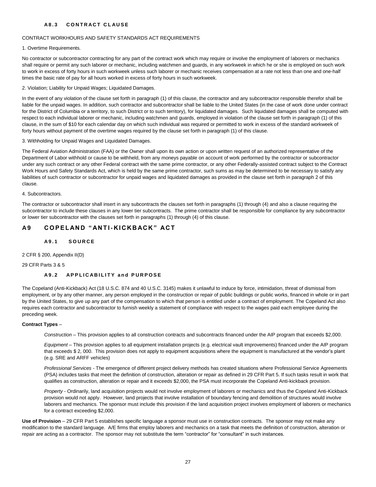#### **A 8 . 3 C O N T R A C T C L A U S E**

#### CONTRACT WORKHOURS AND SAFETY STANDARDS ACT REQUIREMENTS

#### 1. Overtime Requirements.

No contractor or subcontractor contracting for any part of the contract work which may require or involve the employment of laborers or mechanics shall require or permit any such laborer or mechanic, including watchmen and guards, in any workweek in which he or she is employed on such work to work in excess of forty hours in such workweek unless such laborer or mechanic receives compensation at a rate not less than one and one-half times the basic rate of pay for all hours worked in excess of forty hours in such workweek.

2. Violation; Liability for Unpaid Wages; Liquidated Damages.

In the event of any violation of the clause set forth in paragraph (1) of this clause, the contractor and any subcontractor responsible therefor shall be liable for the unpaid wages. In addition, such contractor and subcontractor shall be liable to the United States (in the case of work done under contract for the District of Columbia or a territory, to such District or to such territory), for liquidated damages. Such liquidated damages shall be computed with respect to each individual laborer or mechanic, including watchmen and guards, employed in violation of the clause set forth in paragraph (1) of this clause, in the sum of \$10 for each calendar day on which such individual was required or permitted to work in excess of the standard workweek of forty hours without payment of the overtime wages required by the clause set forth in paragraph (1) of this clause.

3. Withholding for Unpaid Wages and Liquidated Damages.

The Federal Aviation Administration (FAA) or the Owner shall upon its own action or upon written request of an authorized representative of the Department of Labor withhold or cause to be withheld, from any moneys payable on account of work performed by the contractor or subcontractor under any such contract or any other Federal contract with the same prime contractor, or any other Federally-assisted contract subject to the Contract Work Hours and Safety Standards Act, which is held by the same prime contractor, such sums as may be determined to be necessary to satisfy any liabilities of such contractor or subcontractor for unpaid wages and liquidated damages as provided in the clause set forth in paragraph 2 of this clause.

4. Subcontractors.

The contractor or subcontractor shall insert in any subcontracts the clauses set forth in paragraphs (1) through (4) and also a clause requiring the subcontractor to include these clauses in any lower tier subcontracts. The prime contractor shall be responsible for compliance by any subcontractor or lower tier subcontractor with the clauses set forth in paragraphs (1) through (4) of this clause.

# <span id="page-27-0"></span>**A9 C O P E L AN D " AN T I- K I C K B AC K " AC T**

#### **A 9 . 1 S O U R C E**

2 CFR § 200, Appendix II(D)

29 CFR Parts 3 & 5

#### **A 9 . 2 A P P L I C A B I L I T Y a n d P U R P O S E**

The Copeland (Anti-Kickback) Act (18 U.S.C. 874 and 40 U.S.C. 3145) makes it unlawful to induce by force, intimidation, threat of dismissal from employment, or by any other manner, any person employed in the construction or repair of public buildings or public works, financed in whole or in part by the United States, to give up any part of the compensation to which that person is entitled under a contract of employment. The Copeland Act also requires each contractor and subcontractor to furnish weekly a statement of compliance with respect to the wages paid each employee during the preceding week.

#### **Contract Types** –

*Construction* – This provision applies to all construction contracts and subcontracts financed under the AIP program that exceeds \$2,000.

*Equipment* – This provision applies to all equipment installation projects (e.g. electrical vault improvements) financed under the AIP program that exceeds \$ 2, 000. This provision does not apply to equipment acquisitions where the equipment is manufactured at the vendor's plant (e.g. SRE and ARFF vehicles)

*Professional Services* - The emergence of different project delivery methods has created situations where Professional Service Agreements (PSA) includes tasks that meet the definition of construction, alteration or repair as defined in 29 CFR Part 5. If such tasks result in work that qualifies as construction, alteration or repair and it exceeds \$2,000, the PSA must incorporate the Copeland Anti-kickback provision.

*Property* - Ordinarily, land acquisition projects would not involve employment of laborers or mechanics and thus the Copeland Anti-Kickback provision would not apply. However, land projects that involve installation of boundary fencing and demolition of structures would involve laborers and mechanics. The sponsor must include this provision if the land acquisition project involves employment of laborers or mechanics for a contract exceeding \$2,000.

**Use of Provision** – 29 CFR Part 5 establishes specific language a sponsor must use in construction contracts. The sponsor may not make any modification to the standard language. A/E firms that employ laborers and mechanics on a task that meets the definition of construction, alteration or repair are acting as a contractor. The sponsor may not substitute the term "contractor" for "consultant" in such instances.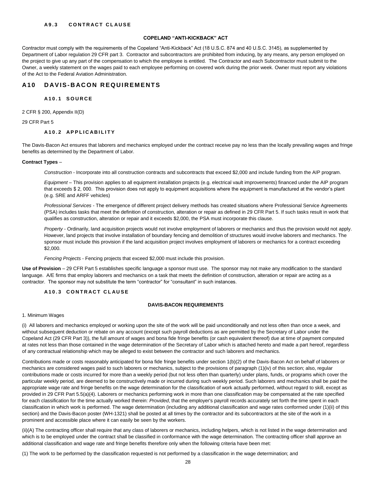#### **A 9 . 3 C O N T R A C T C L A U S E**

#### **COPELAND "ANTI-KICKBACK" ACT**

Contractor must comply with the requirements of the Copeland "Anti-Kickback" Act (18 U.S.C. 874 and 40 U.S.C. 3145), as supplemented by Department of Labor regulation 29 CFR part 3. Contractor and subcontractors are prohibited from inducing, by any means, any person employed on the project to give up any part of the compensation to which the employee is entitled. The Contractor and each Subcontractor must submit to the Owner, a weekly statement on the wages paid to each employee performing on covered work during the prior week. Owner must report any violations of the Act to the Federal Aviation Administration.

## <span id="page-28-0"></span>**A1 0 D AV I S- B AC O N R E Q U I R E M E N T S**

#### **A 1 0 . 1 S O U R C E**

2 CFR § 200, Appendix II(D)

#### 29 CFR Part 5

#### **A 1 0 . 2 A P P L I C A B I L I T Y**

The Davis-Bacon Act ensures that laborers and mechanics employed under the contract receive pay no less than the locally prevailing wages and fringe benefits as determined by the Department of Labor.

#### **Contract Types** –

*Construction* - Incorporate into all construction contracts and subcontracts that exceed \$2,000 and include funding from the AIP program.

*Equipment* – This provision applies to all equipment installation projects (e.g. electrical vault improvements) financed under the AIP program that exceeds \$ 2, 000. This provision does not apply to equipment acquisitions where the equipment is manufactured at the vendor's plant (e.g. SRE and ARFF vehicles)

*Professional Services* - The emergence of different project delivery methods has created situations where Professional Service Agreements (PSA) includes tasks that meet the definition of construction, alteration or repair as defined in 29 CFR Part 5. If such tasks result in work that qualifies as construction, alteration or repair and it exceeds \$2,000, the PSA must incorporate this clause.

*Property* - Ordinarily, land acquisition projects would not involve employment of laborers or mechanics and thus the provision would not apply. However, land projects that involve installation of boundary fencing and demolition of structures would involve laborers and mechanics. The sponsor must include this provision if the land acquisition project involves employment of laborers or mechanics for a contract exceeding \$2,000.

*Fencing Projects* - Fencing projects that exceed \$2,000 must include this provision.

**Use of Provision** – 29 CFR Part 5 establishes specific language a sponsor must use. The sponsor may not make any modification to the standard language. A/E firms that employ laborers and mechanics on a task that meets the definition of construction, alteration or repair are acting as a contractor. The sponsor may not substitute the term "contractor" for "consultant" in such instances.

#### **A 1 0 . 3 C O N T R A C T C L A U S E**

#### **DAVIS-BACON REQUIREMENTS**

#### 1. Minimum Wages

(i) All laborers and mechanics employed or working upon the site of the work will be paid unconditionally and not less often than once a week, and without subsequent deduction or rebate on any account (except such payroll deductions as are permitted by the Secretary of Labor under the Copeland Act (29 CFR Part 3)), the full amount of wages and bona fide fringe benefits (or cash equivalent thereof) due at time of payment computed at rates not less than those contained in the wage determination of the Secretary of Labor which is attached hereto and made a part hereof, regardless of any contractual relationship which may be alleged to exist between the contractor and such laborers and mechanics.

Contributions made or costs reasonably anticipated for bona fide fringe benefits under section 1(b)(2) of the Davis-Bacon Act on behalf of laborers or mechanics are considered wages paid to such laborers or mechanics, subject to the provisions of paragraph (1)(iv) of this section; also, regular contributions made or costs incurred for more than a weekly period (but not less often than quarterly) under plans, funds, or programs which cover the particular weekly period, are deemed to be constructively made or incurred during such weekly period. Such laborers and mechanics shall be paid the appropriate wage rate and fringe benefits on the wage determination for the classification of work actually performed, without regard to skill, except as provided in 29 CFR Part 5.5(a)(4). Laborers or mechanics performing work in more than one classification may be compensated at the rate specified for each classification for the time actually worked therein: *Provided*, that the employer's payroll records accurately set forth the time spent in each classification in which work is performed. The wage determination (including any additional classification and wage rates conformed under (1)(ii) of this section) and the Davis-Bacon poster (WH-1321) shall be posted at all times by the contractor and its subcontractors at the site of the work in a prominent and accessible place where it can easily be seen by the workers.

(ii)(A) The contracting officer shall require that any class of laborers or mechanics, including helpers, which is not listed in the wage determination and which is to be employed under the contract shall be classified in conformance with the wage determination. The contracting officer shall approve an additional classification and wage rate and fringe benefits therefore only when the following criteria have been met:

(1) The work to be performed by the classification requested is not performed by a classification in the wage determination; and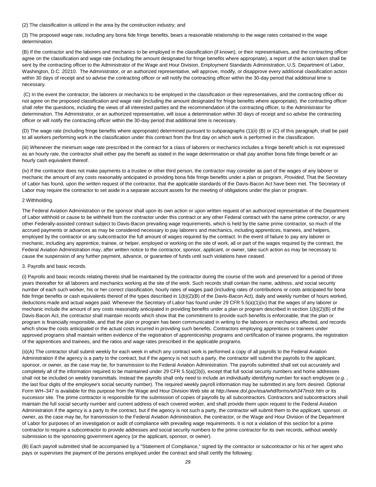(2) The classification is utilized in the area by the construction industry; and

(3) The proposed wage rate, including any bona fide fringe benefits, bears a reasonable relationship to the wage rates contained in the wage determination.

(B) If the contractor and the laborers and mechanics to be employed in the classification (if known), or their representatives, and the contracting officer agree on the classification and wage rate (including the amount designated for fringe benefits where appropriate), a report of the action taken shall be sent by the contracting officer to the Administrator of the Wage and Hour Division, Employment Standards Administration, U.S. Department of Labor, Washington, D.C. 20210. The Administrator, or an authorized representative, will approve, modify, or disapprove every additional classification action within 30 days of receipt and so advise the contracting officer or will notify the contracting officer within the 30-day period that additional time is necessary.

(C) In the event the contractor, the laborers or mechanics to be employed in the classification or their representatives, and the contracting officer do not agree on the proposed classification and wage rate (including the amount designated for fringe benefits where appropriate), the contracting officer shall refer the questions, including the views of all interested parties and the recommendation of the contracting officer, to the Administrator for determination. The Administrator, or an authorized representative, will issue a determination within 30 days of receipt and so advise the contracting officer or will notify the contracting officer within the 30-day period that additional time is necessary.

(D) The wage rate (including fringe benefits where appropriate) determined pursuant to subparagraphs (1)(ii) (B) or (C) of this paragraph, shall be paid to all workers performing work in the classification under this contract from the first day on which work is performed in the classification.

(iii) Whenever the minimum wage rate prescribed in the contract for a class of laborers or mechanics includes a fringe benefit which is not expressed as an hourly rate, the contractor shall either pay the benefit as stated in the wage determination or shall pay another bona fide fringe benefit or an hourly cash equivalent thereof.

(iv) If the contractor does not make payments to a trustee or other third person, the contractor may consider as part of the wages of any laborer or mechanic the amount of any costs reasonably anticipated in providing bona fide fringe benefits under a plan or program, *Provided*, That the Secretary of Labor has found, upon the written request of the contractor, that the applicable standards of the Davis-Bacon Act have been met. The Secretary of Labor may require the contractor to set aside in a separate account assets for the meeting of obligations under the plan or program.

#### 2 Withholding.

The Federal Aviation Administration or the sponsor shall upon its own action or upon written request of an authorized representative of the Department of Labor withhold or cause to be withheld from the contractor under this contract or any other Federal contract with the same prime contractor, or any other Federally-assisted contract subject to Davis-Bacon prevailing wage requirements, which is held by the same prime contractor, so much of the accrued payments or advances as may be considered necessary to pay laborers and mechanics, including apprentices, trainees, and helpers, employed by the contractor or any subcontractor the full amount of wages required by the contract. In the event of failure to pay any laborer or mechanic, including any apprentice, trainee, or helper, employed or working on the site of work, all or part of the wages required by the contract, the Federal Aviation Administration may, after written notice to the contractor, sponsor, applicant, or owner, take such action as may be necessary to cause the suspension of any further payment, advance, or guarantee of funds until such violations have ceased.

#### 3. Payrolls and basic records.

(i) Payrolls and basic records relating thereto shall be maintained by the contractor during the course of the work and preserved for a period of three years thereafter for all laborers and mechanics working at the site of the work. Such records shall contain the name, address, and social security number of each such worker, his or her correct classification, hourly rates of wages paid (including rates of contributions or costs anticipated for bona fide fringe benefits or cash equivalents thereof of the types described in 1(b)(2)(B) of the Davis-Bacon Act), daily and weekly number of hours worked, deductions made and actual wages paid. Whenever the Secretary of Labor has found under 29 CFR 5.5(a)(1)(iv) that the wages of any laborer or mechanic include the amount of any costs reasonably anticipated in providing benefits under a plan or program described in section 1(b)(2)(B) of the Davis-Bacon Act, the contractor shall maintain records which show that the commitment to provide such benefits is enforceable, that the plan or program is financially responsible, and that the plan or program has been communicated in writing to the laborers or mechanics affected, and records which show the costs anticipated or the actual costs incurred in providing such benefits. Contractors employing apprentices or trainees under approved programs shall maintain written evidence of the registration of apprenticeship programs and certification of trainee programs, the registration of the apprentices and trainees, and the ratios and wage rates prescribed in the applicable programs.

(ii)(A) The contractor shall submit weekly for each week in which any contract work is performed a copy of all payrolls to the Federal Aviation Administration if the agency is a party to the contract, but if the agency is not such a party, the contractor will submit the payrolls to the applicant, sponsor, or owner, as the case may be, for transmission to the Federal Aviation Administration. The payrolls submitted shall set out accurately and completely all of the information required to be maintained under 29 CFR 5.5(a)(3)(i), except that full social security numbers and home addresses shall not be included on weekly transmittals. Instead the payrolls shall only need to include an individually identifying number for each employee (*e.g.* , the last four digits of the employee's social security number). The required weekly payroll information may be submitted in any form desired. Optional Form WH–347 is available for this purpose from the Wage and Hour Division Web site at *http://www.dol.gov/esa/whd/forms/wh347instr.htm* or its successor site. The prime contractor is responsible for the submission of copies of payrolls by all subcontractors. Contractors and subcontractors shall maintain the full social security number and current address of each covered worker, and shall provide them upon request to the Federal Aviation Administration if the agency is a party to the contract, but if the agency is not such a party, the contractor will submit them to the applicant, sponsor, or owner, as the case may be, for transmission to the Federal Aviation Administration, the contractor, or the Wage and Hour Division of the Department of Labor for purposes of an investigation or audit of compliance with prevailing wage requirements. It is not a violation of this section for a prime contractor to require a subcontractor to provide addresses and social security numbers to the prime contractor for its own records, without weekly submission to the sponsoring government agency (or the applicant, sponsor, or owner).

(B) Each payroll submitted shall be accompanied by a "Statement of Compliance," signed by the contractor or subcontractor or his or her agent who pays or supervises the payment of the persons employed under the contract and shall certify the following: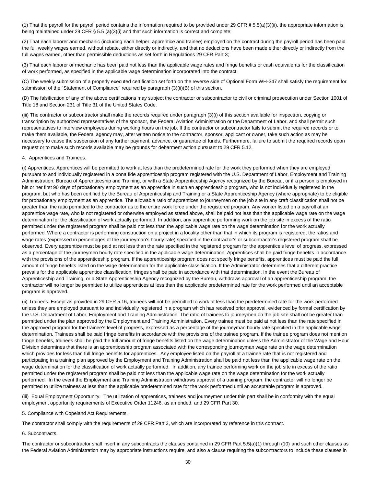(1) That the payroll for the payroll period contains the information required to be provided under 29 CFR  $\S 5.5(a)(3)(ii)$ , the appropriate information is being maintained under 29 CFR  $\S$  5.5 (a)(3)(i) and that such information is correct and complete;

(2) That each laborer and mechanic (including each helper, apprentice and trainee) employed on the contract during the payroll period has been paid the full weekly wages earned, without rebate, either directly or indirectly, and that no deductions have been made either directly or indirectly from the full wages earned, other than permissible deductions as set forth in Regulations 29 CFR Part 3;

(3) That each laborer or mechanic has been paid not less than the applicable wage rates and fringe benefits or cash equivalents for the classification of work performed, as specified in the applicable wage determination incorporated into the contract.

(C) The weekly submission of a properly executed certification set forth on the reverse side of Optional Form WH-347 shall satisfy the requirement for submission of the "Statement of Compliance" required by paragraph (3)(ii)(B) of this section.

(D) The falsification of any of the above certifications may subject the contractor or subcontractor to civil or criminal prosecution under Section 1001 of Title 18 and Section 231 of Title 31 of the United States Code.

(iii) The contractor or subcontractor shall make the records required under paragraph (3)(i) of this section available for inspection, copying or transcription by authorized representatives of the sponsor, the Federal Aviation Administration or the Department of Labor, and shall permit such representatives to interview employees during working hours on the job. If the contractor or subcontractor fails to submit the required records or to make them available, the Federal agency may, after written notice to the contractor, sponsor, applicant or owner, take such action as may be necessary to cause the suspension of any further payment, advance, or guarantee of funds. Furthermore, failure to submit the required records upon request or to make such records available may be grounds for debarment action pursuant to 29 CFR 5.12.

#### 4. Apprentices and Trainees.

(i) Apprentices. Apprentices will be permitted to work at less than the predetermined rate for the work they performed when they are employed pursuant to and individually registered in a bona fide apprenticeship program registered with the U.S. Department of Labor, Employment and Training Administration, Bureau of Apprenticeship and Training, or with a State Apprenticeship Agency recognized by the Bureau, or if a person is employed in his or her first 90 days of probationary employment as an apprentice in such an apprenticeship program, who is not individually registered in the program, but who has been certified by the Bureau of Apprenticeship and Training or a State Apprenticeship Agency (where appropriate) to be eligible for probationary employment as an apprentice. The allowable ratio of apprentices to journeymen on the job site in any craft classification shall not be greater than the ratio permitted to the contractor as to the entire work force under the registered program. Any worker listed on a payroll at an apprentice wage rate, who is not registered or otherwise employed as stated above, shall be paid not less than the applicable wage rate on the wage determination for the classification of work actually performed. In addition, any apprentice performing work on the job site in excess of the ratio permitted under the registered program shall be paid not less than the applicable wage rate on the wage determination for the work actually performed. Where a contractor is performing construction on a project in a locality other than that in which its program is registered, the ratios and wage rates (expressed in percentages of the journeyman's hourly rate) specified in the contractor's or subcontractor's registered program shall be observed. Every apprentice must be paid at not less than the rate specified in the registered program for the apprentice's level of progress, expressed as a percentage of the journeymen hourly rate specified in the applicable wage determination. Apprentices shall be paid fringe benefits in accordance with the provisions of the apprenticeship program. If the apprenticeship program does not specify fringe benefits, apprentices must be paid the full amount of fringe benefits listed on the wage determination for the applicable classification. If the Administrator determines that a different practice prevails for the applicable apprentice classification, fringes shall be paid in accordance with that determination. In the event the Bureau of Apprenticeship and Training, or a State Apprenticeship Agency recognized by the Bureau, withdraws approval of an apprenticeship program, the contractor will no longer be permitted to utilize apprentices at less than the applicable predetermined rate for the work performed until an acceptable program is approved.

(ii) Trainees. Except as provided in 29 CFR 5.16, trainees will not be permitted to work at less than the predetermined rate for the work performed unless they are employed pursuant to and individually registered in a program which has received prior approval, evidenced by formal certification by the U.S. Department of Labor, Employment and Training Administration. The ratio of trainees to journeymen on the job site shall not be greater than permitted under the plan approved by the Employment and Training Administration. Every trainee must be paid at not less than the rate specified in the approved program for the trainee's level of progress, expressed as a percentage of the journeyman hourly rate specified in the applicable wage determination. Trainees shall be paid fringe benefits in accordance with the provisions of the trainee program. If the trainee program does not mention fringe benefits, trainees shall be paid the full amount of fringe benefits listed on the wage determination unless the Administrator of the Wage and Hour Division determines that there is an apprenticeship program associated with the corresponding journeyman wage rate on the wage determination which provides for less than full fringe benefits for apprentices. Any employee listed on the payroll at a trainee rate that is not registered and participating in a training plan approved by the Employment and Training Administration shall be paid not less than the applicable wage rate on the wage determination for the classification of work actually performed. In addition, any trainee performing work on the job site in excess of the ratio permitted under the registered program shall be paid not less than the applicable wage rate on the wage determination for the work actually performed. In the event the Employment and Training Administration withdraws approval of a training program, the contractor will no longer be permitted to utilize trainees at less than the applicable predetermined rate for the work performed until an acceptable program is approved.

(iii) Equal Employment Opportunity. The utilization of apprentices, trainees and journeymen under this part shall be in conformity with the equal employment opportunity requirements of Executive Order 11246, as amended, and 29 CFR Part 30.

#### 5. Compliance with Copeland Act Requirements.

The contractor shall comply with the requirements of 29 CFR Part 3, which are incorporated by reference in this contract.

6. Subcontracts.

The contractor or subcontractor shall insert in any subcontracts the clauses contained in 29 CFR Part 5.5(a)(1) through (10) and such other clauses as the Federal Aviation Administration may by appropriate instructions require, and also a clause requiring the subcontractors to include these clauses in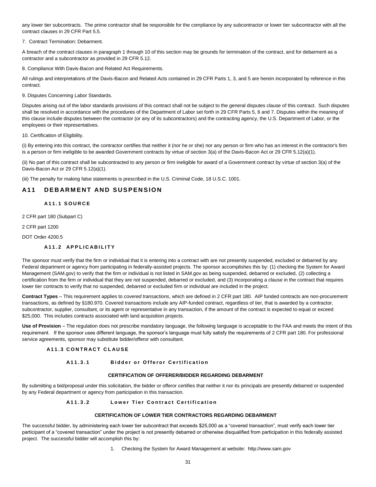any lower tier subcontracts. The prime contractor shall be responsible for the compliance by any subcontractor or lower tier subcontractor with all the contract clauses in 29 CFR Part 5.5.

7. Contract Termination: Debarment.

A breach of the contract clauses in paragraph 1 through 10 of this section may be grounds for termination of the contract, and for debarment as a contractor and a subcontractor as provided in 29 CFR 5.12.

8. Compliance With Davis-Bacon and Related Act Requirements.

All rulings and interpretations of the Davis-Bacon and Related Acts contained in 29 CFR Parts 1, 3, and 5 are herein incorporated by reference in this contract.

9. Disputes Concerning Labor Standards.

Disputes arising out of the labor standards provisions of this contract shall not be subject to the general disputes clause of this contract. Such disputes shall be resolved in accordance with the procedures of the Department of Labor set forth in 29 CFR Parts 5, 6 and 7. Disputes within the meaning of this clause include disputes between the contractor (or any of its subcontractors) and the contracting agency, the U.S. Department of Labor, or the employees or their representatives.

10. Certification of Eligibility.

(i) By entering into this contract, the contractor certifies that neither it (nor he or she) nor any person or firm who has an interest in the contractor's firm is a person or firm ineligible to be awarded Government contracts by virtue of section 3(a) of the Davis-Bacon Act or 29 CFR 5.12(a)(1).

(ii) No part of this contract shall be subcontracted to any person or firm ineligible for award of a Government contract by virtue of section 3(a) of the Davis-Bacon Act or 29 CFR 5.12(a)(1).

(iii) The penalty for making false statements is prescribed in the U.S. Criminal Code, 18 U.S.C. 1001.

# **A11 DEBARMENT AND SUSPENSION**

#### <span id="page-31-0"></span>**A 1 1 . 1 S O U R C E**

2 CFR part 180 (Subpart C)

2 CFR part 1200

DOT Order 4200.5

#### **A 1 1 . 2 A P P L I C A B I L I T Y**

The sponsor must verify that the firm or individual that it is entering into a contract with are not presently suspended, excluded or debarred by any Federal department or agency from participating in federally-assisted projects. The sponsor accomplishes this by: (1) checking the System for Award Management (SAM.gov) to verify that the firm or individual is not listed in SAM.gov as being suspended, debarred or excluded, (2) collecting a certification from the firm or individual that they are not suspended, debarred or excluded, and (3) incorporating a clause in the contract that requires lower tier contracts to verify that no suspended, debarred or excluded firm or individual are included in the project.

**Contract Types** – This requirement applies to *covered transactions*, which are defined in 2 CFR part 180. AIP funded contracts are non-procurement transactions, as defined by §180.970. Covered transactions include any AIP-funded contract, regardless of tier, that is awarded by a contractor, subcontractor, supplier, consultant, or its agent or representative in any transaction, if the amount of the contract is expected to equal or exceed \$25,000. This includes contracts associated with land acquisition projects.

**Use of Provision** – The regulation does not prescribe mandatory language, the following language is acceptable to the FAA and meets the intent of this requirement. If the sponsor uses different language, the sponsor's language must fully satisfy the requirements of 2 CFR part 180. For professional service agreements, sponsor may substitute bidder/offeror with consultant.

#### **A 1 1 . 3 C O N T R A C T C L A U S E**

#### A 11.3.1 **Bidder or Offeror Certification**

#### **CERTIFICATION OF OFFERER/BIDDER REGARDING DEBARMENT**

By submitting a bid/proposal under this solicitation, the bidder or offeror certifies that neither it nor its principals are presently debarred or suspended by any Federal department or agency from participation in this transaction.

#### **A 1 1 . 3 . 2** Lower Tier Contract Certification

#### **CERTIFICATION OF LOWER TIER CONTRACTORS REGARDING DEBARMENT**

The successful bidder, by administering each lower tier subcontract that exceeds \$25,000 as a "covered transaction", must verify each lower tier participant of a "covered transaction" under the project is not presently debarred or otherwise disqualified from participation in this federally assisted project. The successful bidder will accomplish this by:

1. Checking the System for Award Management at website: http://www.sam.gov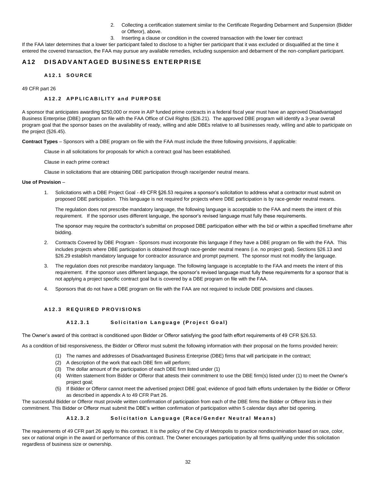- 2. Collecting a certification statement similar to the Certificate Regarding Debarment and Suspension (Bidder or Offeror), above.
- 3. Inserting a clause or condition in the covered transaction with the lower tier contract

If the FAA later determines that a lower tier participant failed to disclose to a higher tier participant that it was excluded or disqualified at the time it entered the covered transaction, the FAA may pursue any available remedies, including suspension and debarment of the non-compliant participant.

# <span id="page-32-0"></span>**A12 DISADVANTAGED BUSINESS ENTERPRISE**

#### **A 1 2 . 1 S O U R C E**

49 CFR part 26

# **A 1 2 . 2 A P P L I C A B I L I T Y a n d P U R P O S E**

A sponsor that anticipates awarding \$250,000 or more in AIP funded prime contracts in a federal fiscal year must have an approved Disadvantaged Business Enterprise (DBE) program on file with the FAA Office of Civil Rights (§26.21). The approved DBE program will identify a 3-year overall program goal that the sponsor bases on the availability of ready, willing and able DBEs relative to all businesses ready, willing and able to participate on the project (§26.45).

**Contract Types** – Sponsors with a DBE program on file with the FAA must include the three following provisions, if applicable:

Clause in all solicitations for proposals for which a contract goal has been established.

Clause in each prime contract

Clause in solicitations that are obtaining DBE participation through race/gender neutral means.

#### **Use of Provision** –

1. Solicitations with a DBE Project Goal - 49 CFR §26.53 requires a sponsor's solicitation to address what a contractor must submit on proposed DBE participation. This language is not required for projects where DBE participation is by race-gender neutral means.

The regulation does not prescribe mandatory language, the following language is acceptable to the FAA and meets the intent of this requirement. If the sponsor uses different language, the sponsor's revised language must fully these requirements.

The sponsor may require the contractor's submittal on proposed DBE participation either with the bid or within a specified timeframe after bidding.

- 2. Contracts Covered by DBE Program Sponsors must incorporate this language if they have a DBE program on file with the FAA. This includes projects where DBE participation is obtained through race-gender neutral means (i.e. no project goal). Sections §26.13 and §26.29 establish mandatory language for contractor assurance and prompt payment. The sponsor must not modify the language.
- 3. The regulation does not prescribe mandatory language. The following language is acceptable to the FAA and meets the intent of this requirement. If the sponsor uses different language, the sponsor's revised language must fully these requirements for a sponsor that is not applying a project specific contract goal but is covered by a DBE program on file with the FAA.
- 4. Sponsors that do not have a DBE program on file with the FAA are not required to include DBE provisions and clauses.

#### **A 1 2 . 3 R E Q U I R E D P R O V I S I O N S**

#### A 12.3.1 **Solicitation Language (Project Goal)**

The Owner's award of this contract is conditioned upon Bidder or Offeror satisfying the good faith effort requirements of 49 CFR §26.53.

As a condition of bid responsiveness, the Bidder or Offeror must submit the following information with their proposal on the forms provided herein:

- (1) The names and addresses of Disadvantaged Business Enterprise (DBE) firms that will participate in the contract;
- (2) A description of the work that each DBE firm will perform;
- (3) The dollar amount of the participation of each DBE firm listed under (1)
- (4) Written statement from Bidder or Offeror that attests their commitment to use the DBE firm(s) listed under (1) to meet the Owner's project goal;
- (5) If Bidder or Offeror cannot meet the advertised project DBE goal; evidence of good faith efforts undertaken by the Bidder or Offeror as described in appendix A to 49 CFR Part 26.

The successful Bidder or Offeror must provide written confirmation of participation from each of the DBE firms the Bidder or Offeror lists in their commitment. This Bidder or Offeror must submit the DBE's written confirmation of participation within 5 calendar days after bid opening.

#### A 12.3.2 **Solicitation Language (Race/Gender Neutral Means)**

The requirements of 49 CFR part 26 apply to this contract. It is the policy of the City of Metropolis to practice nondiscrimination based on race, color, sex or national origin in the award or performance of this contract. The Owner encourages participation by all firms qualifying under this solicitation regardless of business size or ownership.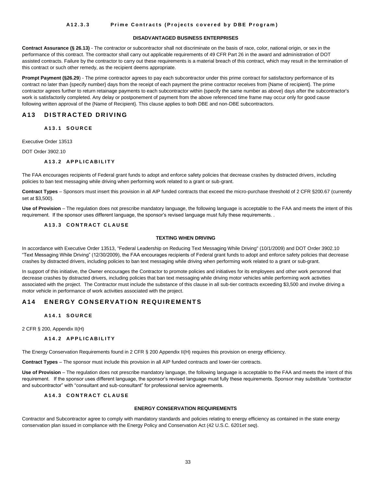#### A 12.3.3 Prime Contracts (Projects covered by DBE Program)

#### **DISADVANTAGED BUSINESS ENTERPRISES**

**Contract Assurance (§ 26.13)** - The contractor or subcontractor shall not discriminate on the basis of race, color, national origin, or sex in the performance of this contract. The contractor shall carry out applicable requirements of 49 CFR Part 26 in the award and administration of DOT assisted contracts. Failure by the contractor to carry out these requirements is a material breach of this contract, which may result in the termination of this contract or such other remedy, as the recipient deems appropriate.

Prompt Payment (§26.29) - The prime contractor agrees to pay each subcontractor under this prime contract for satisfactory performance of its contract no later than {specify number} days from the receipt of each payment the prime contractor receives from {Name of recipient}. The prime contractor agrees further to return retainage payments to each subcontractor within {specify the same number as above} days after the subcontractor's work is satisfactorily completed. Any delay or postponement of payment from the above referenced time frame may occur only for good cause following written approval of the {Name of Recipient}. This clause applies to both DBE and non-DBE subcontractors.

# <span id="page-33-0"></span>**A1 3 D I S T R AC T E D D R I V I N G**

#### **A 1 3 . 1 S O U R C E**

Executive Order 13513

DOT Order 3902.10

#### **A 1 3 . 2 A P P L I C A B I L I T Y**

The FAA encourages recipients of Federal grant funds to adopt and enforce safety policies that decrease crashes by distracted drivers, including policies to ban text messaging while driving when performing work related to a grant or sub-grant.

**Contract Types** – Sponsors must insert this provision in all AIP funded contracts that exceed the micro-purchase threshold of 2 CFR §200.67 (currently set at \$3,500).

**Use of Provision** – The regulation does not prescribe mandatory language, the following language is acceptable to the FAA and meets the intent of this requirement. If the sponsor uses different language, the sponsor's revised language must fully these requirements. .

#### **A 1 3 . 3 C O N T R A C T C L A U S E**

#### **TEXTING WHEN DRIVING**

In accordance with Executive Order 13513, "Federal Leadership on Reducing Text Messaging While Driving" (10/1/2009) and DOT Order 3902.10 "Text Messaging While Driving" (12/30/2009), the FAA encourages recipients of Federal grant funds to adopt and enforce safety policies that decrease crashes by distracted drivers, including policies to ban text messaging while driving when performing work related to a grant or sub-grant.

In support of this initiative, the Owner encourages the Contractor to promote policies and initiatives for its employees and other work personnel that decrease crashes by distracted drivers, including policies that ban text messaging while driving motor vehicles while performing work activities associated with the project. The Contractor must include the substance of this clause in all sub-tier contracts exceeding \$3,500 and involve driving a motor vehicle in performance of work activities associated with the project.

# <span id="page-33-1"></span>**A14 ENERGY CONSERVATION REQUIREMENTS**

#### **A 1 4 . 1 S O U R C E**

2 CFR § 200, Appendix II(H)

#### **A 1 4 . 2 A P P L I C A B I L I T Y**

The Energy Conservation Requirements found in 2 CFR § 200 Appendix II(H) requires this provision on energy efficiency.

**Contract Types** – The sponsor must include this provision in all AIP funded contracts and lower-tier contracts.

**Use of Provision** – The regulation does not prescribe mandatory language, the following language is acceptable to the FAA and meets the intent of this requirement. If the sponsor uses different language, the sponsor's revised language must fully these requirements. Sponsor may substitute "contractor and subcontractor" with "consultant and sub-consultant" for professional service agreements.

#### **A 1 4 . 3 C O N T R A C T C L A U S E**

#### **ENERGY CONSERVATION REQUIREMENTS**

Contractor and Subcontractor agree to comply with mandatory standards and policies relating to energy efficiency as contained in the state energy conservation plan issued in compliance with the Energy Policy and Conservation Act (42 U.S.C. 6201*et seq*).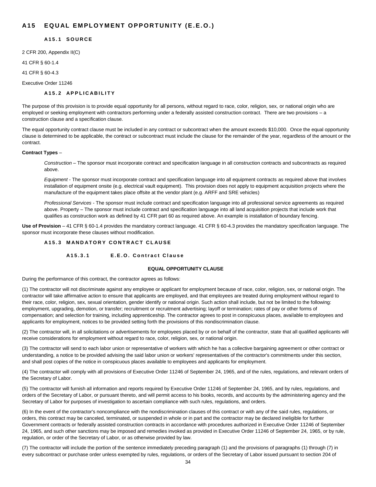# <span id="page-34-0"></span>**A1 5 E Q U AL E M P L O Y M E N T O P P O R T U N I T Y ( E . E . O . )**

#### **A 1 5 . 1 S O U R C E**

2 CFR 200, Appendix II(C)

41 CFR § 60-1.4

41 CFR § 60-4.3

Executive Order 11246

#### **A 1 5 . 2 A P P L I C A B I L I T Y**

The purpose of this provision is to provide equal opportunity for all persons, without regard to race, color, religion, sex, or national origin who are employed or seeking employment with contractors performing under a federally assisted construction contract. There are two provisions – a construction clause and a specification clause.

The equal opportunity contract clause must be included in any contract or subcontract when the amount exceeds \$10,000. Once the equal opportunity clause is determined to be applicable, the contract or subcontract must include the clause for the remainder of the year, regardless of the amount or the contract.

#### **Contract Types** –

*Construction* – The sponsor must incorporate contract and specification language in all construction contracts and subcontracts as required above.

*Equipment* - The sponsor must incorporate contract and specification language into all equipment contracts as required above that involves installation of equipment onsite (e.g. electrical vault equipment). This provision does not apply to equipment acquisition projects where the manufacture of the equipment takes place offsite at the vendor plant (e.g. ARFF and SRE vehicles)

*Professional Services* - The sponsor must include contract and specification language into all professional service agreements as required above. Property – The sponsor must include contract and specification language into all land acquisition projects that include work that qualifies as construction work as defined by 41 CFR part 60 as required above. An example is installation of boundary fencing.

**Use of Provision** – 41 CFR § 60-1.4 provides the mandatory contract language. 41 CFR § 60-4.3 provides the mandatory specification language. The sponsor must incorporate these clauses without modification.

#### **A 1 5 . 3 M A N D A T O R Y C O N T R A C T C L A U S E**

#### A 15.3.1 **E.E.O.** Contract Clause

#### **EQUAL OPPORTUNITY CLAUSE**

<span id="page-34-1"></span>During the performance of this contract, the contractor agrees as follows:

(1) The contractor will not discriminate against any employee or applicant for employment because of race, color, religion, sex, or national origin. The contractor will take affirmative action to ensure that applicants are employed, and that employees are treated during employment without regard to their race, color, religion, sex, sexual orientation, gender identify or national origin. Such action shall include, but not be limited to the following: employment, upgrading, demotion, or transfer; recruitment or recruitment advertising; layoff or termination; rates of pay or other forms of compensation; and selection for training, including apprenticeship. The contractor agrees to post in conspicuous places, available to employees and applicants for employment, notices to be provided setting forth the provisions of this nondiscrimination clause.

(2) The contractor will, in all solicitations or advertisements for employees placed by or on behalf of the contractor, state that all qualified applicants will receive considerations for employment without regard to race, color, religion, sex, or national origin.

(3) The contractor will send to each labor union or representative of workers with which he has a collective bargaining agreement or other contract or understanding, a notice to be provided advising the said labor union or workers' representatives of the contractor's commitments under this section, and shall post copies of the notice in conspicuous places available to employees and applicants for employment.

(4) The contractor will comply with all provisions of Executive Order 11246 of September 24, 1965, and of the rules, regulations, and relevant orders of the Secretary of Labor.

(5) The contractor will furnish all information and reports required by Executive Order 11246 of September 24, 1965, and by rules, regulations, and orders of the Secretary of Labor, or pursuant thereto, and will permit access to his books, records, and accounts by the administering agency and the Secretary of Labor for purposes of investigation to ascertain compliance with such rules, regulations, and orders.

(6) In the event of the contractor's noncompliance with the nondiscrimination clauses of this contract or with any of the said rules, regulations, or orders, this contract may be canceled, terminated, or suspended in whole or in part and the contractor may be declared ineligible for further Government contracts or federally assisted construction contracts in accordance with procedures authorized in Executive Order 11246 of September 24, 1965, and such other sanctions may be imposed and remedies invoked as provided in Executive Order 11246 of September 24, 1965, or by rule, regulation, or order of the Secretary of Labor, or as otherwise provided by law.

(7) The contractor will include the portion of the sentence immediately preceding paragraph (1) and the provisions of paragraphs (1) through (7) in every subcontract or purchase order unless exempted by rules, regulations, or orders of the Secretary of Labor issued pursuant to section 204 of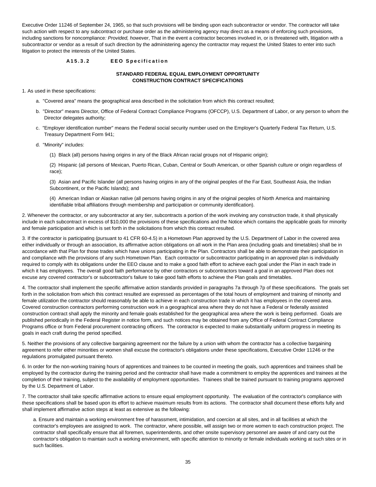Executive Order 11246 of September 24, 1965, so that such provisions will be binding upon each subcontractor or vendor. The contractor will take such action with respect to any subcontract or purchase order as the administering agency may direct as a means of enforcing such provisions, including sanctions for noncompliance*: Provided, however*, That in the event a contractor becomes involved in, or is threatened with, litigation with a subcontractor or vendor as a result of such direction by the administering agency the contractor may request the United States to enter into such litigation to protect the interests of the United States.

#### A 15.3.2 **EEO** Specification

#### **STANDARD FEDERAL EQUAL EMPLOYMENT OPPORTUNITY CONSTRUCTION CONTRACT SPECIFICATIONS**

#### <span id="page-35-0"></span>1. As used in these specifications:

- a. "Covered area" means the geographical area described in the solicitation from which this contract resulted;
- b. "Director" means Director, Office of Federal Contract Compliance Programs (OFCCP), U.S. Department of Labor, or any person to whom the Director delegates authority;
- c. "Employer identification number" means the Federal social security number used on the Employer's Quarterly Federal Tax Return, U.S. Treasury Department Form 941;
- d. "Minority" includes:
	- (1) Black (all) persons having origins in any of the Black African racial groups not of Hispanic origin);

(2) Hispanic (all persons of Mexican, Puerto Rican, Cuban, Central or South American, or other Spanish culture or origin regardless of race);

(3) Asian and Pacific Islander (all persons having origins in any of the original peoples of the Far East, Southeast Asia, the Indian Subcontinent, or the Pacific Islands); and

(4) American Indian or Alaskan native (all persons having origins in any of the original peoples of North America and maintaining identifiable tribal affiliations through membership and participation or community identification).

2. Whenever the contractor, or any subcontractor at any tier, subcontracts a portion of the work involving any construction trade, it shall physically include in each subcontract in excess of \$10,000 the provisions of these specifications and the Notice which contains the applicable goals for minority and female participation and which is set forth in the solicitations from which this contract resulted.

3. If the contractor is participating (pursuant to 41 CFR 60-4.5) in a Hometown Plan approved by the U.S. Department of Labor in the covered area either individually or through an association, its affirmative action obligations on all work in the Plan area (including goals and timetables) shall be in accordance with that Plan for those trades which have unions participating in the Plan. Contractors shall be able to demonstrate their participation in and compliance with the provisions of any such Hometown Plan. Each contractor or subcontractor participating in an approved plan is individually required to comply with its obligations under the EEO clause and to make a good faith effort to achieve each goal under the Plan in each trade in which it has employees. The overall good faith performance by other contractors or subcontractors toward a goal in an approved Plan does not excuse any covered contractor's or subcontractor's failure to take good faith efforts to achieve the Plan goals and timetables.

4. The contractor shall implement the specific affirmative action standards provided in paragraphs 7a through 7p of these specifications. The goals set forth in the solicitation from which this contract resulted are expressed as percentages of the total hours of employment and training of minority and female utilization the contractor should reasonably be able to achieve in each construction trade in which it has employees in the covered area. Covered construction contractors performing construction work in a geographical area where they do not have a Federal or federally assisted construction contract shall apply the minority and female goals established for the geographical area where the work is being performed. Goals are published periodically in the Federal Register in notice form, and such notices may be obtained from any Office of Federal Contract Compliance Programs office or from Federal procurement contracting officers. The contractor is expected to make substantially uniform progress in meeting its goals in each craft during the period specified.

5. Neither the provisions of any collective bargaining agreement nor the failure by a union with whom the contractor has a collective bargaining agreement to refer either minorities or women shall excuse the contractor's obligations under these specifications, Executive Order 11246 or the regulations promulgated pursuant thereto.

6. In order for the non-working training hours of apprentices and trainees to be counted in meeting the goals, such apprentices and trainees shall be employed by the contractor during the training period and the contractor shall have made a commitment to employ the apprentices and trainees at the completion of their training, subject to the availability of employment opportunities. Trainees shall be trained pursuant to training programs approved by the U.S. Department of Labor.

7. The contractor shall take specific affirmative actions to ensure equal employment opportunity. The evaluation of the contractor's compliance with these specifications shall be based upon its effort to achieve maximum results from its actions. The contractor shall document these efforts fully and shall implement affirmative action steps at least as extensive as the following:

a. Ensure and maintain a working environment free of harassment, intimidation, and coercion at all sites, and in all facilities at which the contractor's employees are assigned to work. The contractor, where possible, will assign two or more women to each construction project. The contractor shall specifically ensure that all foremen, superintendents, and other onsite supervisory personnel are aware of and carry out the contractor's obligation to maintain such a working environment, with specific attention to minority or female individuals working at such sites or in such facilities.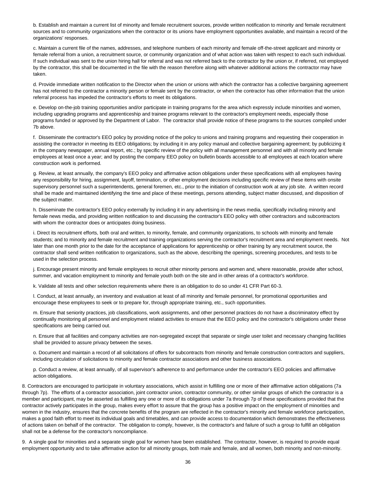b. Establish and maintain a current list of minority and female recruitment sources, provide written notification to minority and female recruitment sources and to community organizations when the contractor or its unions have employment opportunities available, and maintain a record of the organizations' responses.

c. Maintain a current file of the names, addresses, and telephone numbers of each minority and female off-the-street applicant and minority or female referral from a union, a recruitment source, or community organization and of what action was taken with respect to each such individual. If such individual was sent to the union hiring hall for referral and was not referred back to the contractor by the union or, if referred, not employed by the contractor, this shall be documented in the file with the reason therefore along with whatever additional actions the contractor may have taken.

d. Provide immediate written notification to the Director when the union or unions with which the contractor has a collective bargaining agreement has not referred to the contractor a minority person or female sent by the contractor, or when the contractor has other information that the union referral process has impeded the contractor's efforts to meet its obligations.

e. Develop on-the-job training opportunities and/or participate in training programs for the area which expressly include minorities and women, including upgrading programs and apprenticeship and trainee programs relevant to the contractor's employment needs, especially those programs funded or approved by the Department of Labor. The contractor shall provide notice of these programs to the sources compiled under 7b above.

f. Disseminate the contractor's EEO policy by providing notice of the policy to unions and training programs and requesting their cooperation in assisting the contractor in meeting its EEO obligations; by including it in any policy manual and collective bargaining agreement; by publicizing it in the company newspaper, annual report, etc.; by specific review of the policy with all management personnel and with all minority and female employees at least once a year; and by posting the company EEO policy on bulletin boards accessible to all employees at each location where construction work is performed.

g. Review, at least annually, the company's EEO policy and affirmative action obligations under these specifications with all employees having any responsibility for hiring, assignment, layoff, termination, or other employment decisions including specific review of these items with onsite supervisory personnel such a superintendents, general foremen, etc., prior to the initiation of construction work at any job site. A written record shall be made and maintained identifying the time and place of these meetings, persons attending, subject matter discussed, and disposition of the subject matter.

h. Disseminate the contractor's EEO policy externally by including it in any advertising in the news media, specifically including minority and female news media, and providing written notification to and discussing the contractor's EEO policy with other contractors and subcontractors with whom the contractor does or anticipates doing business.

i. Direct its recruitment efforts, both oral and written, to minority, female, and community organizations, to schools with minority and female students; and to minority and female recruitment and training organizations serving the contractor's recruitment area and employment needs. Not later than one month prior to the date for the acceptance of applications for apprenticeship or other training by any recruitment source, the contractor shall send written notification to organizations, such as the above, describing the openings, screening procedures, and tests to be used in the selection process.

j. Encourage present minority and female employees to recruit other minority persons and women and, where reasonable, provide after school, summer, and vacation employment to minority and female youth both on the site and in other areas of a contractor's workforce.

k. Validate all tests and other selection requirements where there is an obligation to do so under 41 CFR Part 60-3.

l. Conduct, at least annually, an inventory and evaluation at least of all minority and female personnel, for promotional opportunities and encourage these employees to seek or to prepare for, through appropriate training, etc., such opportunities.

m. Ensure that seniority practices, job classifications, work assignments, and other personnel practices do not have a discriminatory effect by continually monitoring all personnel and employment related activities to ensure that the EEO policy and the contractor's obligations under these specifications are being carried out.

n. Ensure that all facilities and company activities are non-segregated except that separate or single user toilet and necessary changing facilities shall be provided to assure privacy between the sexes.

o. Document and maintain a record of all solicitations of offers for subcontracts from minority and female construction contractors and suppliers, including circulation of solicitations to minority and female contractor associations and other business associations.

p. Conduct a review, at least annually, of all supervisor's adherence to and performance under the contractor's EEO policies and affirmative action obligations.

8. Contractors are encouraged to participate in voluntary associations, which assist in fulfilling one or more of their affirmative action obligations (7a through 7p). The efforts of a contractor association, joint contractor union, contractor community, or other similar groups of which the contractor is a member and participant, may be asserted as fulfilling any one or more of its obligations under 7a through 7p of these specifications provided that the contractor actively participates in the group, makes every effort to assure that the group has a positive impact on the employment of minorities and women in the industry, ensures that the concrete benefits of the program are reflected in the contractor's minority and female workforce participation, makes a good faith effort to meet its individual goals and timetables, and can provide access to documentation which demonstrates the effectiveness of actions taken on behalf of the contractor. The obligation to comply, however, is the contractor's and failure of such a group to fulfill an obligation shall not be a defense for the contractor's noncompliance.

9. A single goal for minorities and a separate single goal for women have been established. The contractor, however, is required to provide equal employment opportunity and to take affirmative action for all minority groups, both male and female, and all women, both minority and non-minority.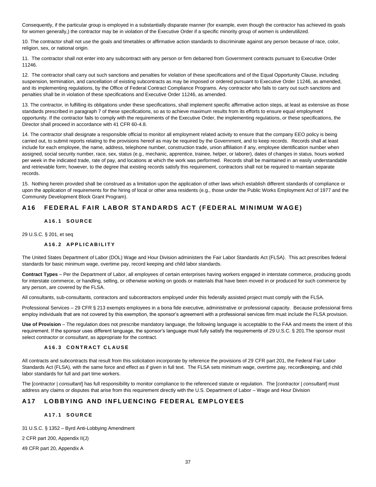Consequently, if the particular group is employed in a substantially disparate manner (for example, even though the contractor has achieved its goals for women generally,) the contractor may be in violation of the Executive Order if a specific minority group of women is underutilized.

10. The contractor shall not use the goals and timetables or affirmative action standards to discriminate against any person because of race, color, religion, sex, or national origin.

11. The contractor shall not enter into any subcontract with any person or firm debarred from Government contracts pursuant to Executive Order 11246.

12. The contractor shall carry out such sanctions and penalties for violation of these specifications and of the Equal Opportunity Clause, including suspension, termination, and cancellation of existing subcontracts as may be imposed or ordered pursuant to Executive Order 11246, as amended, and its implementing regulations, by the Office of Federal Contract Compliance Programs. Any contractor who fails to carry out such sanctions and penalties shall be in violation of these specifications and Executive Order 11246, as amended.

13. The contractor, in fulfilling its obligations under these specifications, shall implement specific affirmative action steps, at least as extensive as those standards prescribed in paragraph 7 of these specifications, so as to achieve maximum results from its efforts to ensure equal employment opportunity. If the contractor fails to comply with the requirements of the Executive Order, the implementing regulations, or these specifications, the Director shall proceed in accordance with 41 CFR 60-4.8.

14. The contractor shall designate a responsible official to monitor all employment related activity to ensure that the company EEO policy is being carried out, to submit reports relating to the provisions hereof as may be required by the Government, and to keep records. Records shall at least include for each employee, the name, address, telephone number, construction trade, union affiliation if any, employee identification number when assigned, social security number, race, sex, status (e.g., mechanic, apprentice, trainee, helper, or laborer), dates of changes in status, hours worked per week in the indicated trade, rate of pay, and locations at which the work was performed. Records shall be maintained in an easily understandable and retrievable form; however, to the degree that existing records satisfy this requirement, contractors shall not be required to maintain separate records.

15. Nothing herein provided shall be construed as a limitation upon the application of other laws which establish different standards of compliance or upon the application of requirements for the hiring of local or other area residents (e.g., those under the Public Works Employment Act of 1977 and the Community Development Block Grant Program).

# A16 **FEDERAL FAIR LABOR STANDARDS ACT (FEDERAL MINIMUM WAGE)**

#### <span id="page-37-0"></span>**A 1 6 . 1 S O U R C E**

29 U.S.C. § 201, et seq

#### **A 1 6 . 2 A P P L I C A B I L I T Y**

The United States Department of Labor (DOL) Wage and Hour Division administers the [Fair Labor Standards Act \(FLSA\).](http://www.dol.gov/compliance/laws/comp-flsa.htm) This act prescribes federal standards for basic minimum wage, overtime pay, record keeping and child labor standards.

**Contract Types** – Per the Department of Labor, all employees of certain enterprises having workers engaged in interstate commerce, producing goods for interstate commerce, or handling, selling, or otherwise working on goods or materials that have been moved in or produced for such commerce by any person, are covered by the FLSA.

All consultants, sub-consultants, contractors and subcontractors employed under this federally assisted project must comply with the FLSA.

Professional Services – 29 CFR § 213 exempts employees in a bona fide executive, administrative or professional capacity. Because professional firms employ individuals that are not covered by this exemption, the sponsor's agreement with a professional services firm must include the FLSA provision.

**Use of Provision** – The regulation does not prescribe mandatory language, the following language is acceptable to the FAA and meets the intent of this requirement. If the sponsor uses different language, the sponsor's language must fully satisfy the requirements of 29 U.S.C. § 201.The sponsor must select *contractor* or *consultant*, as appropriate for the contract.

#### **A 1 6 . 3 C O N T R A C T C L A U S E**

All contracts and subcontracts that result from this solicitation incorporate by reference the provisions of 29 CFR part 201, the Federal Fair Labor Standards Act (FLSA), with the same force and effect as if given in full text. The FLSA sets minimum wage, overtime pay, recordkeeping, and child labor standards for full and part time workers.

The [*contractor | consultant*] has full responsibility to monitor compliance to the referenced statute or regulation. The [*contractor | consultant*] must address any claims or disputes that arise from this requirement directly with the U.S. Department of Labor – Wage and Hour Division

# <span id="page-37-1"></span>**A17 LOBBYING AND INFLUENCING FEDERAL EMPLOYEES**

#### **A 1 7 . 1 S O U R C E**

31 U.S.C. § 1352 – Byrd Anti-Lobbying Amendment

2 CFR part 200, Appendix II(J)

49 CFR part 20, Appendix A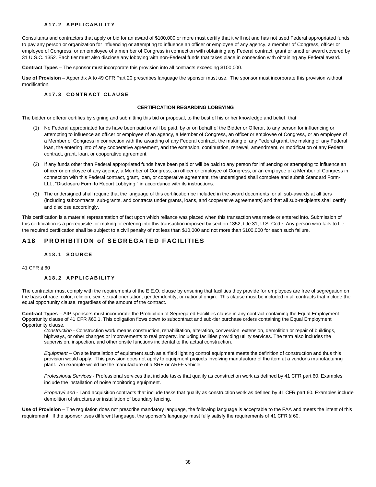#### **A 1 7 . 2 A P P L I C A B I L I T Y**

Consultants and contractors that apply or bid for an award of \$100,000 or more must certify that it will not and has not used Federal appropriated funds to pay any person or organization for influencing or attempting to influence an officer or employee of any agency, a member of Congress, officer or employee of Congress, or an employee of a member of Congress in connection with obtaining any Federal contract, grant or another award covered by 31 U.S.C. 1352. Each tier must also disclose any lobbying with non-Federal funds that takes place in connection with obtaining any Federal award.

**Contract Types** – The sponsor must incorporate this provision into all contracts exceeding \$100,000.

**Use of Provision** – Appendix A to 49 CFR Part 20 prescribes language the sponsor must use. The sponsor must incorporate this provision without modification.

#### **A 1 7 . 3 C O N T R A C T C L A U S E**

#### **CERTIFICATION REGARDING LOBBYING**

The bidder or offeror certifies by signing and submitting this bid or proposal, to the best of his or her knowledge and belief, that:

- (1) No Federal appropriated funds have been paid or will be paid, by or on behalf of the Bidder or Offeror, to any person for influencing or attempting to influence an officer or employee of an agency, a Member of Congress, an officer or employee of Congress, or an employee of a Member of Congress in connection with the awarding of any Federal contract, the making of any Federal grant, the making of any Federal loan, the entering into of any cooperative agreement, and the extension, continuation, renewal, amendment, or modification of any Federal contract, grant, loan, or cooperative agreement.
- (2) If any funds other than Federal appropriated funds have been paid or will be paid to any person for influencing or attempting to influence an officer or employee of any agency, a Member of Congress, an officer or employee of Congress, or an employee of a Member of Congress in connection with this Federal contract, grant, loan, or cooperative agreement, the undersigned shall complete and submit Standard Form-LLL, "Disclosure Form to Report Lobbying," in accordance with its instructions.
- (3) The undersigned shall require that the language of this certification be included in the award documents for all sub-awards at all tiers (including subcontracts, sub-grants, and contracts under grants, loans, and cooperative agreements) and that all sub-recipients shall certify and disclose accordingly.

This certification is a material representation of fact upon which reliance was placed when this transaction was made or entered into. Submission of this certification is a prerequisite for making or entering into this transaction imposed by section 1352, title 31, U.S. Code. Any person who fails to file the required certification shall be subject to a civil penalty of not less than \$10,000 and not more than \$100,000 for each such failure.

# <span id="page-38-0"></span>**A18 PROHIBITION of SEGREGATED FACILITIES**

#### **A 1 8 . 1 S O U R C E**

41 CFR § 60

#### **A 1 8 . 2 A P P L I C A B I L I T Y**

The contractor must comply with the requirements of the E.E.O. clause by ensuring that facilities they provide for employees are free of segregation on the basis of race, color, religion, sex, sexual orientation, gender identity, or national origin. This clause must be included in all contracts that include the equal opportunity clause, regardless of the amount of the contract.

**Contract Types** – AIP sponsors must incorporate the Prohibition of Segregated Facilities clause in any contract containing the Equal Employment Opportunity clause of 41 CFR §60.1. This obligation flows down to subcontract and sub-tier purchase orders containing the Equal Employment Opportunity clause.

*Construction* - Construction work means construction, rehabilitation, alteration, conversion, extension, demolition or repair of buildings, highways, or other changes or improvements to real property, including facilities providing utility services. The term also includes the supervision, inspection, and other onsite functions incidental to the actual construction.

*Equipment* – On site installation of equipment such as airfield lighting control equipment meets the definition of construction and thus this provision would apply. This provision does not apply to equipment projects involving manufacture of the item at a vendor's manufacturing plant. An example would be the manufacture of a SRE or ARFF vehicle.

*Professional Services* - Professional services that include tasks that qualify as construction work as defined by 41 CFR part 60. Examples include the installation of noise monitoring equipment.

*Property/Land* - Land acquisition contracts that include tasks that qualify as construction work as defined by 41 CFR part 60. Examples include demolition of structures or installation of boundary fencing.

**Use of Provision** – The regulation does not prescribe mandatory language, the following language is acceptable to the FAA and meets the intent of this requirement. If the sponsor uses different language, the sponsor's language must fully satisfy the requirements of 41 CFR § 60.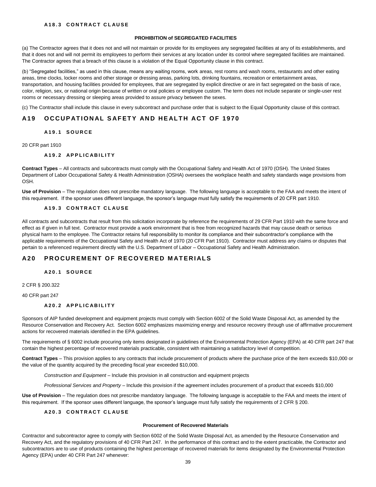#### **A 1 8 . 3 C O N T R A C T C L A U S E**

#### **PROHIBITION of SEGREGATED FACILITIES**

(a) The Contractor agrees that it does not and will not maintain or provide for its employees any segregated facilities at any of its establishments, and that it does not and will not permit its employees to perform their services at any location under its control where segregated facilities are maintained. The Contractor agrees that a breach of this clause is a violation of the Equal Opportunity clause in this contract.

(b) "Segregated facilities," as used in this clause, means any waiting rooms, work areas, rest rooms and wash rooms, restaurants and other eating areas, time clocks, locker rooms and other storage or dressing areas, parking lots, drinking fountains, recreation or entertainment areas, transportation, and housing facilities provided for employees, that are segregated by explicit directive or are in fact segregated on the basis of race, color, religion, sex, or national origin because of written or oral policies or employee custom. The term does not include separate or single-user rest rooms or necessary dressing or sleeping areas provided to assure privacy between the sexes.

(c) The Contractor shall include this clause in every subcontract and purchase order that is subject to the Equal Opportunity clause of this contract.

#### <span id="page-39-0"></span>**A1 9 O C C U P AT I O N AL S A F E T Y AN D H E AL T H AC T O F 1 9 7 0**

#### **A 1 9 . 1 S O U R C E**

20 CFR part 1910

#### **A 1 9 . 2 A P P L I C A B I L I T Y**

**Contract Types** – All contracts and subcontracts must comply with the Occupational Safety and Health Act of 1970 (OSH). The United States Department of Labor Occupational Safety & Health Administration (OSHA) oversees the workplace health and safety standards wage provisions from OSH.

**Use of Provision** – The regulation does not prescribe mandatory language. The following language is acceptable to the FAA and meets the intent of this requirement. If the sponsor uses different language, the sponsor's language must fully satisfy the requirements of 20 CFR part 1910.

#### **A 1 9 . 3 C O N T R A C T C L A U S E**

All contracts and subcontracts that result from this solicitation incorporate by reference the requirements of 29 CFR Part 1910 with the same force and effect as if given in full text. Contractor must provide a work environment that is free from recognized hazards that may cause death or serious physical harm to the employee. The Contractor retains full responsibility to monitor its compliance and their subcontractor's compliance with the applicable requirements of the Occupational Safety and Health Act of 1970 (20 CFR Part 1910). Contractor must address any claims or disputes that pertain to a referenced requirement directly with the U.S. Department of Labor – Occupational Safety and Health Administration.

#### **A2 0 P R O C U R E M E N T O F R E C O V E R E D M AT E R I AL S**

#### **A 2 0 . 1 S O U R C E**

2 CFR § 200.322

40 CFR part 247

#### **A 2 0 . 2 A P P L I C A B I L I T Y**

Sponsors of AIP funded development and equipment projects must comply with Section 6002 of the Solid Waste Disposal Act, as amended by the Resource Conservation and Recovery Act. Section 6002 emphasizes maximizing energy and resource recovery through use of affirmative procurement actions for recovered materials identified in the EPA guidelines.

The requirements of § 6002 include procuring only items designated in guidelines of the Environmental Protection Agency (EPA) at 40 CFR part 247 that contain the highest percentage of recovered materials practicable, consistent with maintaining a satisfactory level of competition.

**Contract Types** – This provision applies to any contracts that include procurement of products where the purchase price of the item exceeds \$10,000 or the value of the quantity acquired by the preceding fiscal year exceeded \$10,000.

*Construction and Equipment* – Include this provision in all construction and equipment projects

*Professional Services and Property* – Include this provision if the agreement includes procurement of a product that exceeds \$10,000

**Use of Provision** – The regulation does not prescribe mandatory language. The following language is acceptable to the FAA and meets the intent of this requirement. If the sponsor uses different language, the sponsor's language must fully satisfy the requirements of 2 CFR § 200.

#### **A 2 0 . 3 C O N T R A C T C L A U S E**

#### <span id="page-39-1"></span>**Procurement of Recovered Materials**

Contractor and subcontractor agree to comply with Section 6002 of the Solid Waste Disposal Act, as amended by the Resource Conservation and Recovery Act, and the regulatory provisions of 40 CFR Part 247. In the performance of this contract and to the extent practicable, the Contractor and subcontractors are to use of products containing the highest percentage of recovered materials for items designated by the Environmental Protection Agency (EPA) under 40 CFR Part 247 whenever: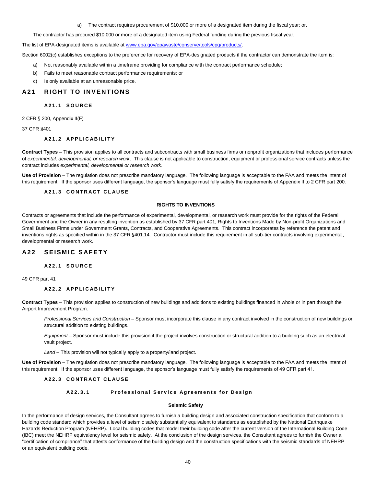a) The contract requires procurement of \$10,000 or more of a designated item during the fiscal year; or,

The contractor has procured \$10,000 or more of a designated item using Federal funding during the previous fiscal year.

The list of EPA-designated items is available at [www.epa.gov/epawaste/conserve/tools/cpg/products/.](http://www.epa.gov/epawaste/conserve/tools/cpg/products/)

Section 6002(c) establishes exceptions to the preference for recovery of EPA-designated products if the contractor can demonstrate the item is:

- a) Not reasonably available within a timeframe providing for compliance with the contract performance schedule;
- b) Fails to meet reasonable contract performance requirements; or
- c) Is only available at an unreasonable price.

### <span id="page-40-0"></span>**A21 RIGHT TO INVENTIONS**

#### **A 2 1 . 1 S O U R C E**

2 CFR § 200, Appendix II(F)

#### 37 CFR §401

#### **A 2 1 . 2 A P P L I C A B I L I T Y**

**Contract Types** – This provision applies to all contracts and subcontracts with small business firms or nonprofit organizations that includes performance of *experimental, developmental, or research work*. This clause is not applicable to construction, equipment or professional service contracts unless the contract includes *experimental, developmental or research work*.

**Use of Provision** – The regulation does not prescribe mandatory language. The following language is acceptable to the FAA and meets the intent of this requirement. If the sponsor uses different language, the sponsor's language must fully satisfy the requirements of Appendix II to 2 CFR part 200.

#### **A 2 1 . 3 C O N T R A C T C L A U S E**

#### **RIGHTS TO INVENTIONS**

Contracts or agreements that include the performance of experimental, developmental, or research work must provide for the rights of the Federal Government and the Owner in any resulting invention as established by 37 CFR part 401, Rights to Inventions Made by Non-profit Organizations and Small Business Firms under Government Grants, Contracts, and Cooperative Agreements. This contract incorporates by reference the patent and inventions rights as specified within in the 37 CFR §401.14. Contractor must include this requirement in all sub-tier contracts involving experimental, developmental or research work.

#### <span id="page-40-1"></span>**A22 SEISMIC SAFETY**

#### **A 2 2 . 1 S O U R C E**

49 CFR part 41

#### **A 2 2 . 2 A P P L I C A B I L I T Y**

**Contract Types** – This provision applies to construction of new buildings and additions to existing buildings financed in whole or in part through the Airport Improvement Program.

*Professional Services and Construction* – Sponsor must incorporate this clause in any contract involved in the construction of new buildings or structural addition to existing buildings.

*Equipment* – Sponsor must include this provision if the project involves construction or structural addition to a building such as an electrical vault project.

*Land* – This provision will not typically apply to a property/land project.

**Use of Provision** – The regulation does not prescribe mandatory language. The following language is acceptable to the FAA and meets the intent of this requirement. If the sponsor uses different language, the sponsor's language must fully satisfy the requirements of 49 CFR part 41.

#### **A 2 2 . 3 C O N T R A C T C L A U S E**

#### A 22.3.1 Professional Service Agreements for Design

#### **Seismic Safety**

In the performance of design services, the Consultant agrees to furnish a building design and associated construction specification that conform to a building code standard which provides a level of seismic safety substantially equivalent to standards as established by the National Earthquake Hazards Reduction Program (NEHRP). Local building codes that model their building code after the current version of the International Building Code (IBC) meet the NEHRP equivalency level for seismic safety. At the conclusion of the design services, the Consultant agrees to furnish the Owner a "certification of compliance" that attests conformance of the building design and the construction specifications with the seismic standards of NEHRP or an equivalent building code.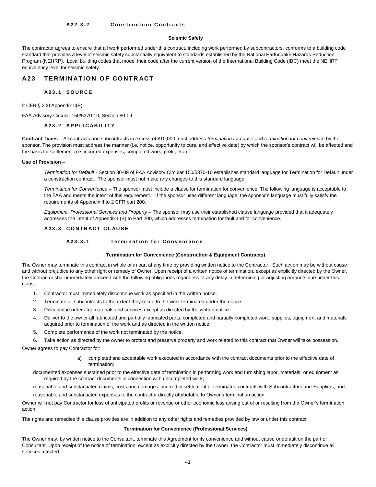#### A 22.3.2 **Construction Contracts**

#### **Seismic Safety**

The contractor agrees to ensure that all work performed under this contract, including work performed by subcontractors, conforms to a building code standard that provides a level of seismic safety substantially equivalent to standards established by the National Earthquake Hazards Reduction Program (NEHRP). Local building codes that model their code after the current version of the International Building Code (IBC) meet the NEHRP equivalency level for seismic safety.

#### <span id="page-41-0"></span>**A23 TERMINATION OF CONTRACT**

#### **A 2 3 . 1 S O U R C E**

2 CFR § 200 Appendix II(B)

FAA Advisory Circular 150/5370-10, Section 80-09

#### **A 2 3 . 2 A P P L I C A B I L I T Y**

**Contract Types** – All contracts and subcontracts in excess of \$10,000 must address *termination for cause* and *termination for convenience* by the sponsor. The provision must address the manner (i.e. notice, opportunity to cure, and effective date) by which the sponsor's contract will be affected and the basis for settlement (i.e. incurred expenses, completed work, profit, etc.).

#### **Use of Provision** –

*Termination for Default* - Section 80-09 of FAA Advisory Circular 150/5370-10 establishes standard language for Termination for Default under a construction contract. The sponsor must not make any changes to this standard language.

*Termination for Convenience* – The sponsor must include a clause for termination for convenience. The following language is acceptable to the FAA and meets the intent of this requirement. If the sponsor uses different language, the sponsor's language must fully satisfy the requirements of Appendix II to 2 CFR part 200.

*Equipment, Professional Services and Property* – The sponsor may use their established clause language provided that it adequately addresses the intent of Appendix II(B) to Part 200, which addresses termination for fault and for convenience.

#### **A 2 3 . 3 C O N T R A C T C L A U S E**

#### **A 2 3 . 3 . 1 T e r m i n a t i o n f o r C o n v e n i e n c e**

#### **Termination for Convenience (Construction & Equipment Contracts)**

The Owner may terminate this contract in whole or in part at any time by providing written notice to the Contractor. Such action may be without cause and without prejudice to any other right or remedy of Owner. Upon receipt of a written notice of termination, except as explicitly directed by the Owner, the Contractor shall immediately proceed with the following obligations regardless of any delay in determining or adjusting amounts due under this clause:

- 1. Contractor must immediately discontinue work as specified in the written notice.
- 2. Terminate all subcontracts to the extent they relate to the work terminated under the notice.
- 3. Discontinue orders for materials and services except as directed by the written notice.
- 4. Deliver to the owner all fabricated and partially fabricated parts, completed and partially completed work, supplies, equipment and materials acquired prior to termination of the work and as directed in the written notice.
- 5. Complete performance of the work not terminated by the notice.
- 6. Take action as directed by the owner to protect and preserve property and work related to this contract that Owner will take possession.

Owner agrees to pay Contractor for:

- a) completed and acceptable work executed in accordance with the contract documents prior to the effective date of termination;
- documented expenses sustained prior to the effective date of termination in performing work and furnishing labor, materials, or equipment as required by the contract documents in connection with uncompleted work;

reasonable and substantiated claims, costs and damages incurred in settlement of terminated contracts with Subcontractors and Suppliers; and reasonable and substantiated expenses to the contractor directly attributable to Owner's termination action

Owner will not pay Contractor for loss of anticipated profits or revenue or other economic loss arising out of or resulting from the Owner's termination action.

The rights and remedies this clause provides are in addition to any other rights and remedies provided by law or under this contract.

#### **Termination for Convenience (Professional Services)**

The Owner may, by written notice to the Consultant, terminate this Agreement for its convenience and without cause or default on the part of Consultant. Upon receipt of the notice of termination, except as explicitly directed by the Owner, the Contractor must immediately discontinue all services affected.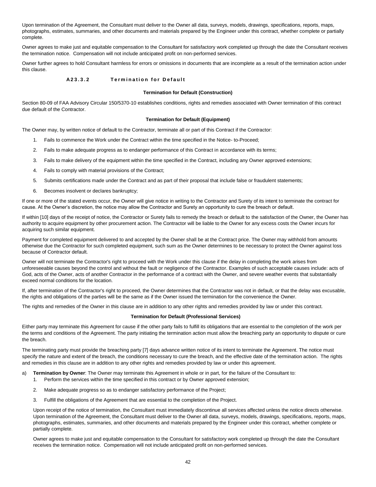Upon termination of the Agreement, the Consultant must deliver to the Owner all data, surveys, models, drawings, specifications, reports, maps, photographs, estimates, summaries, and other documents and materials prepared by the Engineer under this contract, whether complete or partially complete.

Owner agrees to make just and equitable compensation to the Consultant for satisfactory work completed up through the date the Consultant receives the termination notice. Compensation will not include anticipated profit on non-performed services.

Owner further agrees to hold Consultant harmless for errors or omissions in documents that are incomplete as a result of the termination action under this clause.

#### A 2 3.3.2 **Termination for Default**

#### **Termination for Default (Construction)**

Section 80-09 of FAA Advisory Circular 150/5370-10 establishes conditions, rights and remedies associated with Owner termination of this contract due default of the Contractor.

#### **Termination for Default (Equipment)**

The Owner may, by written notice of default to the Contractor, terminate all or part of this Contract if the Contractor:

- 1. Fails to commence the Work under the Contract within the time specified in the Notice- to-Proceed;
- 2. Fails to make adequate progress as to endanger performance of this Contract in accordance with its terms;
- 3. Fails to make delivery of the equipment within the time specified in the Contract, including any Owner approved extensions;
- 4. Fails to comply with material provisions of the Contract;
- 5. Submits certifications made under the Contract and as part of their proposal that include false or fraudulent statements;
- 6. Becomes insolvent or declares bankruptcy;

If one or more of the stated events occur, the Owner will give notice in writing to the Contractor and Surety of its intent to terminate the contract for cause. At the Owner's discretion, the notice may allow the Contractor and Surety an opportunity to cure the breach or default.

If within [10] days of the receipt of notice, the Contractor or Surety fails to remedy the breach or default to the satisfaction of the Owner, the Owner has authority to acquire equipment by other procurement action. The Contractor will be liable to the Owner for any excess costs the Owner incurs for acquiring such similar equipment.

Payment for completed equipment delivered to and accepted by the Owner shall be at the Contract price. The Owner may withhold from amounts otherwise due the Contractor for such completed equipment, such sum as the Owner determines to be necessary to protect the Owner against loss because of Contractor default.

Owner will not terminate the Contractor's right to proceed with the Work under this clause if the delay in completing the work arises from unforeseeable causes beyond the control and without the fault or negligence of the Contractor. Examples of such acceptable causes include: acts of God, acts of the Owner, acts of another Contractor in the performance of a contract with the Owner, and severe weather events that substantially exceed normal conditions for the location.

If, after termination of the Contractor's right to proceed, the Owner determines that the Contractor was not in default, or that the delay was excusable, the rights and obligations of the parties will be the same as if the Owner issued the termination for the convenience the Owner.

The rights and remedies of the Owner in this clause are in addition to any other rights and remedies provided by law or under this contract.

#### **Termination for Default (Professional Services)**

Either party may terminate this Agreement for cause if the other party fails to fulfill its obligations that are essential to the completion of the work per the terms and conditions of the Agreement. The party initiating the termination action must allow the breaching party an opportunity to dispute or cure the breach.

The terminating party must provide the breaching party [7] days advance written notice of its intent to terminate the Agreement. The notice must specify the nature and extent of the breach, the conditions necessary to cure the breach, and the effective date of the termination action. The rights and remedies in this clause are in addition to any other rights and remedies provided by law or under this agreement.

#### a) **Termination by Owner**: The Owner may terminate this Agreement in whole or in part, for the failure of the Consultant to:

- 1. Perform the services within the time specified in this contract or by Owner approved extension;
- 2. Make adequate progress so as to endanger satisfactory performance of the Project;
- 3. Fulfill the obligations of the Agreement that are essential to the completion of the Project.

Upon receipt of the notice of termination, the Consultant must immediately discontinue all services affected unless the notice directs otherwise. Upon termination of the Agreement, the Consultant must deliver to the Owner all data, surveys, models, drawings, specifications, reports, maps, photographs, estimates, summaries, and other documents and materials prepared by the Engineer under this contract, whether complete or partially complete.

Owner agrees to make just and equitable compensation to the Consultant for satisfactory work completed up through the date the Consultant receives the termination notice. Compensation will not include anticipated profit on non-performed services.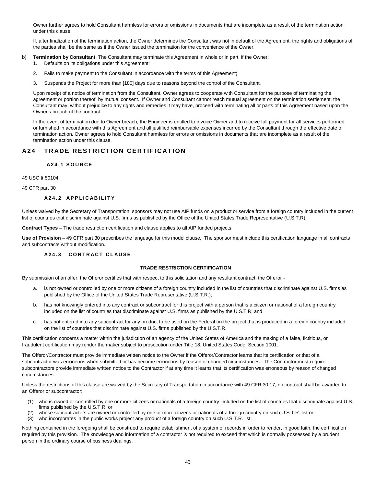Owner further agrees to hold Consultant harmless for errors or omissions in documents that are incomplete as a result of the termination action under this clause.

If, after finalization of the termination action, the Owner determines the Consultant was not in default of the Agreement, the rights and obligations of the parties shall be the same as if the Owner issued the termination for the convenience of the Owner.

- b) **Termination by Consultant**: The Consultant may terminate this Agreement in whole or in part, if the Owner:
	- 1. Defaults on its obligations under this Agreement;
	- 2. Fails to make payment to the Consultant in accordance with the terms of this Agreement;
	- 3. Suspends the Project for more than [180] days due to reasons beyond the control of the Consultant.

Upon receipt of a notice of termination from the Consultant, Owner agrees to cooperate with Consultant for the purpose of terminating the agreement or portion thereof, by mutual consent. If Owner and Consultant cannot reach mutual agreement on the termination settlement, the Consultant may, without prejudice to any rights and remedies it may have, proceed with terminating all or parts of this Agreement based upon the Owner's breach of the contract.

In the event of termination due to Owner breach, the Engineer is entitled to invoice Owner and to receive full payment for all services performed or furnished in accordance with this Agreement and all justified reimbursable expenses incurred by the Consultant through the effective date of termination action. Owner agrees to hold Consultant harmless for errors or omissions in documents that are incomplete as a result of the termination action under this clause.

# <span id="page-43-0"></span>**A24 TRADE RESTRICTION CERTIFICATION**

#### **A 2 4 . 1 S O U R C E**

49 USC § 50104

49 CFR part 30

#### **A 2 4 . 2 A P P L I C A B I L I T Y**

Unless waived by the Secretary of Transportation, sponsors may not use AIP funds on a product or service from a foreign country included in the current list of countries that discriminate against U.S. firms as published by the Office of the United States Trade Representative (U.S.T.R)

**Contract Types** – The trade restriction certification and clause applies to all AIP funded projects.

**Use of Provision** – 49 CFR part 30 prescribes the language for this model clause. The sponsor must include this certification language in all contracts and subcontracts without modification.

#### **A 2 4 . 3 C O N T R A C T C L A U S E**

#### **TRADE RESTRICTION CERTIFICATION**

By submission of an offer, the Offeror certifies that with respect to this solicitation and any resultant contract, the Offeror -

- a. is not owned or controlled by one or more citizens of a foreign country included in the list of countries that discriminate against U.S. firms as published by the Office of the United States Trade Representative (U.S.T.R.);
- b. has not knowingly entered into any contract or subcontract for this project with a person that is a citizen or national of a foreign country included on the list of countries that discriminate against U.S. firms as published by the U.S.T.R; and
- c. has not entered into any subcontract for any product to be used on the Federal on the project that is produced in a foreign country included on the list of countries that discriminate against U.S. firms published by the U.S.T.R.

This certification concerns a matter within the jurisdiction of an agency of the United States of America and the making of a false, fictitious, or fraudulent certification may render the maker subject to prosecution under Title 18, United States Code, Section 1001.

The Offeror/Contractor must provide immediate written notice to the Owner if the Offeror/Contractor learns that its certification or that of a subcontractor was erroneous when submitted or has become erroneous by reason of changed circumstances. The Contractor must require subcontractors provide immediate written notice to the Contractor if at any time it learns that its certification was erroneous by reason of changed circumstances.

Unless the restrictions of this clause are waived by the Secretary of Transportation in accordance with 49 CFR 30.17, no contract shall be awarded to an Offeror or subcontractor:

- (1) who is owned or controlled by one or more citizens or nationals of a foreign country included on the list of countries that discriminate against U.S. firms published by the U.S.T.R. or
- (2) whose subcontractors are owned or controlled by one or more citizens or nationals of a foreign country on such U.S.T.R. list or
- (3) who incorporates in the public works project any product of a foreign country on such U.S.T.R. list;

Nothing contained in the foregoing shall be construed to require establishment of a system of records in order to render, in good faith, the certification required by this provision. The knowledge and information of a contractor is not required to exceed that which is normally possessed by a prudent person in the ordinary course of business dealings.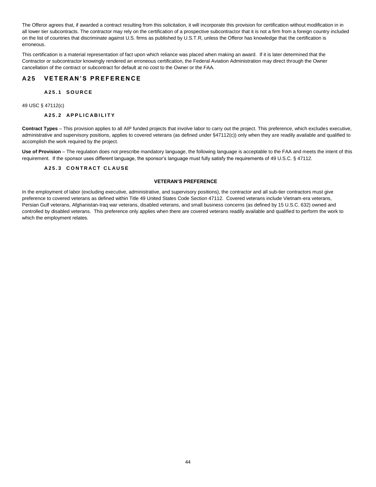The Offeror agrees that, if awarded a contract resulting from this solicitation, it will incorporate this provision for certification without modification in in all lower tier subcontracts. The contractor may rely on the certification of a prospective subcontractor that it is not a firm from a foreign country included on the list of countries that discriminate against U.S. firms as published by U.S.T.R, unless the Offeror has knowledge that the certification is erroneous.

This certification is a material representation of fact upon which reliance was placed when making an award. If it is later determined that the Contractor or subcontractor knowingly rendered an erroneous certification, the Federal Aviation Administration may direct through the Owner cancellation of the contract or subcontract for default at no cost to the Owner or the FAA.

#### <span id="page-44-0"></span>**A2 5 V E T E R AN ' S P R E F E R E N C E**

#### **A 2 5 . 1 S O U R C E**

49 USC § 47112(c)

#### **A 2 5 . 2 A P P L I C A B I L I T Y**

**Contract Types** – This provision applies to all AIP funded projects that involve labor to carry out the project. This preference, which excludes executive, administrative and supervisory positions, applies to covered veterans (as defined under §47112(c)) only when they are readily available and qualified to accomplish the work required by the project.

**Use of Provision** – The regulation does not prescribe mandatory language, the following language is acceptable to the FAA and meets the intent of this requirement. If the sponsor uses different language, the sponsor's language must fully satisfy the requirements of 49 U.S.C. § 47112.

#### **A 2 5 . 3 C O N T R A C T C L A U S E**

#### **VETERAN'S PREFERENCE**

In the employment of labor (excluding executive, administrative, and supervisory positions), the contractor and all sub-tier contractors must give preference to covered veterans as defined within Title 49 United States Code Section 47112. Covered veterans include Vietnam-era veterans, Persian Gulf veterans, Afghanistan-Iraq war veterans, disabled veterans, and small business concerns (as defined by 15 U.S.C. 632) owned and controlled by disabled veterans. This preference only applies when there are covered veterans readily available and qualified to perform the work to which the employment relates.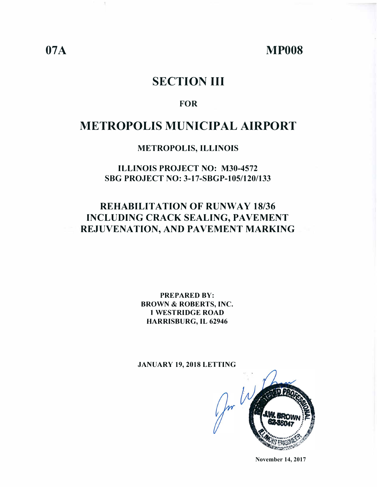# **SECTION III**

# **FOR**

# **METROPOLIS MUNICIPAL AIRPORT**

**METROPOLIS, ILLINOIS** 

**ILLINOIS PROJECT NO: M30-4572 SBG PROJECT NO: 3-17-SBGP-105/120/133** 

# **REHABILITATION OF RUNWAY 18/36 INCLUDING CRACK SEALING, PAVEMENT REJUVENATION, AND PAVEMENT MARKING**

**PREPARED BY: BROWN & ROBERTS, INC. 1 WESTRIDGE ROAD HARRISBURG, IL 62946** 

**JANUARY 19, 2018 LETTING** 



**November 14, 2017**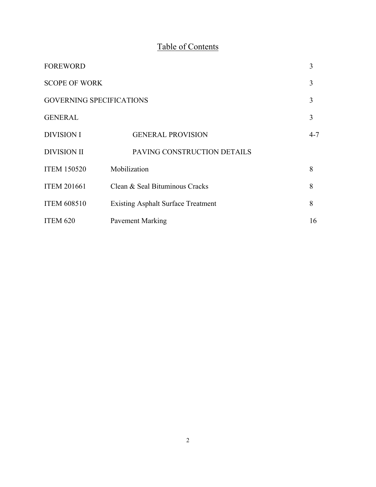# Table of Contents

| <b>FOREWORD</b>                                      |                                           | 3       |
|------------------------------------------------------|-------------------------------------------|---------|
| <b>SCOPE OF WORK</b>                                 |                                           | 3       |
| <b>GOVERNING SPECIFICATIONS</b>                      |                                           | 3       |
| <b>GENERAL</b>                                       |                                           | 3       |
| <b>DIVISION I</b>                                    | <b>GENERAL PROVISION</b>                  | $4 - 7$ |
| <b>DIVISION II</b>                                   | PAVING CONSTRUCTION DETAILS               |         |
| Mobilization<br><b>ITEM 150520</b>                   |                                           | 8       |
| <b>ITEM 201661</b><br>Clean & Seal Bituminous Cracks |                                           | 8       |
| <b>ITEM 608510</b>                                   | <b>Existing Asphalt Surface Treatment</b> | 8       |
| ITEM 620                                             | <b>Pavement Marking</b>                   | 16      |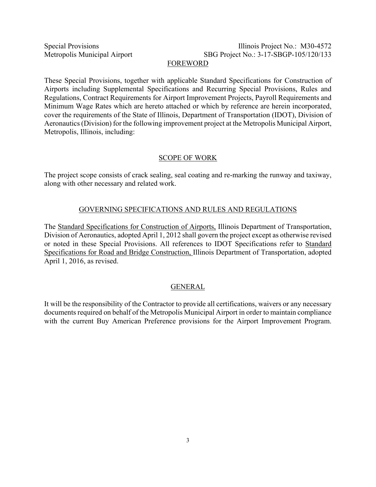# FOREWORD

These Special Provisions, together with applicable Standard Specifications for Construction of Airports including Supplemental Specifications and Recurring Special Provisions, Rules and Regulations, Contract Requirements for Airport Improvement Projects, Payroll Requirements and Minimum Wage Rates which are hereto attached or which by reference are herein incorporated, cover the requirements of the State of Illinois, Department of Transportation (IDOT), Division of Aeronautics (Division) for the following improvement project at the Metropolis Municipal Airport, Metropolis, Illinois, including:

# SCOPE OF WORK

The project scope consists of crack sealing, seal coating and re-marking the runway and taxiway, along with other necessary and related work.

# GOVERNING SPECIFICATIONS AND RULES AND REGULATIONS

The Standard Specifications for Construction of Airports, Illinois Department of Transportation, Division of Aeronautics, adopted April 1, 2012 shall govern the project except as otherwise revised or noted in these Special Provisions. All references to IDOT Specifications refer to Standard Specifications for Road and Bridge Construction, Illinois Department of Transportation, adopted April 1, 2016, as revised.

# **GENERAL**

It will be the responsibility of the Contractor to provide all certifications, waivers or any necessary documents required on behalf of the Metropolis Municipal Airport in order to maintain compliance with the current Buy American Preference provisions for the Airport Improvement Program.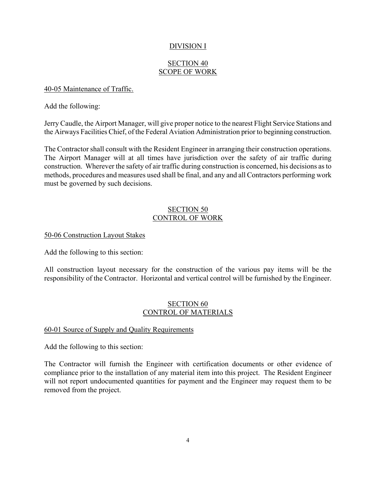# DIVISION I

# SECTION 40 SCOPE OF WORK

# 40-05 Maintenance of Traffic.

Add the following:

Jerry Caudle, the Airport Manager, will give proper notice to the nearest Flight Service Stations and the Airways Facilities Chief, of the Federal Aviation Administration prior to beginning construction.

The Contractor shall consult with the Resident Engineer in arranging their construction operations. The Airport Manager will at all times have jurisdiction over the safety of air traffic during construction. Wherever the safety of air traffic during construction is concerned, his decisions as to methods, procedures and measures used shall be final, and any and all Contractors performing work must be governed by such decisions.

# SECTION 50 CONTROL OF WORK

50-06 Construction Layout Stakes

Add the following to this section:

All construction layout necessary for the construction of the various pay items will be the responsibility of the Contractor. Horizontal and vertical control will be furnished by the Engineer.

# SECTION 60 CONTROL OF MATERIALS

# 60-01 Source of Supply and Quality Requirements

Add the following to this section:

The Contractor will furnish the Engineer with certification documents or other evidence of compliance prior to the installation of any material item into this project. The Resident Engineer will not report undocumented quantities for payment and the Engineer may request them to be removed from the project.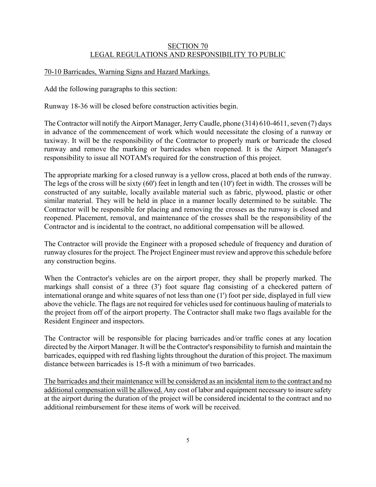# SECTION 70 LEGAL REGULATIONS AND RESPONSIBILITY TO PUBLIC

# 70-10 Barricades, Warning Signs and Hazard Markings.

Add the following paragraphs to this section:

Runway 18-36 will be closed before construction activities begin.

The Contractor will notify the Airport Manager, Jerry Caudle, phone (314) 610-4611, seven (7) days in advance of the commencement of work which would necessitate the closing of a runway or taxiway. It will be the responsibility of the Contractor to properly mark or barricade the closed runway and remove the marking or barricades when reopened. It is the Airport Manager's responsibility to issue all NOTAM's required for the construction of this project.

The appropriate marking for a closed runway is a yellow cross, placed at both ends of the runway. The legs of the cross will be sixty  $(60')$  feet in length and ten  $(10')$  feet in width. The crosses will be constructed of any suitable, locally available material such as fabric, plywood, plastic or other similar material. They will be held in place in a manner locally determined to be suitable. The Contractor will be responsible for placing and removing the crosses as the runway is closed and reopened. Placement, removal, and maintenance of the crosses shall be the responsibility of the Contractor and is incidental to the contract, no additional compensation will be allowed.

The Contractor will provide the Engineer with a proposed schedule of frequency and duration of runway closures for the project. The Project Engineer must review and approve this schedule before any construction begins.

When the Contractor's vehicles are on the airport proper, they shall be properly marked. The markings shall consist of a three (3') foot square flag consisting of a checkered pattern of international orange and white squares of not less than one (1') foot per side, displayed in full view above the vehicle. The flags are not required for vehicles used for continuous hauling of materials to the project from off of the airport property. The Contractor shall make two flags available for the Resident Engineer and inspectors.

The Contractor will be responsible for placing barricades and/or traffic cones at any location directed by the Airport Manager. It will be the Contractor's responsibility to furnish and maintain the barricades, equipped with red flashing lights throughout the duration of this project. The maximum distance between barricades is 15-ft with a minimum of two barricades.

The barricades and their maintenance will be considered as an incidental item to the contract and no additional compensation will be allowed. Any cost of labor and equipment necessary to insure safety at the airport during the duration of the project will be considered incidental to the contract and no additional reimbursement for these items of work will be received.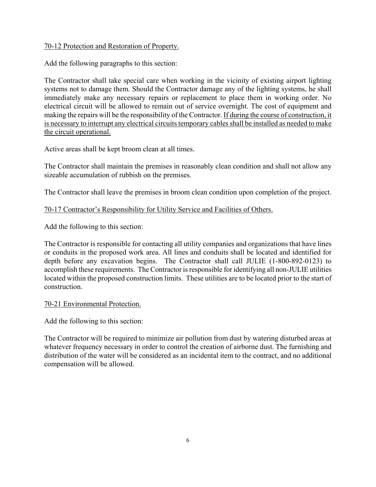# 70-12 Protection and Restoration of Property.

Add the following paragraphs to this section:

The Contractor shall take special care when working in the vicinity of existing airport lighting systems not to damage them. Should the Contractor damage any of the lighting systems, he shall immediately make any necessary repairs or replacement to place them in working order. No electrical circuit will be allowed to remain out of service overnight. The cost of equipment and making the repairs will be the responsibility of the Contractor. If during the course of construction, it is necessary to interrupt any electrical circuits temporary cables shall be installed as needed to make the circuit operational.

Active areas shall be kept broom clean at all times.

The Contractor shall maintain the premises in reasonably clean condition and shall not allow any sizeable accumulation of rubbish on the premises.

The Contractor shall leave the premises in broom clean condition upon completion of the project.

# 70-17 Contractor's Responsibility for Utility Service and Facilities of Others.

Add the following to this section:

The Contractor is responsible for contacting all utility companies and organizations that have lines or conduits in the proposed work area. All lines and conduits shall be located and identified for depth before any excavation begins. The Contractor shall call JULIE (1-800-892-0123) to accomplish these requirements. The Contractor is responsible for identifying all non-JULIE utilities located within the proposed construction limits. These utilities are to be located prior to the start of construction.

# 70-21 Environmental Protection.

Add the following to this section:

The Contractor will be required to minimize air pollution from dust by watering disturbed areas at whatever frequency necessary in order to control the creation of airborne dust. The furnishing and distribution of the water will be considered as an incidental item to the contract, and no additional compensation will be allowed.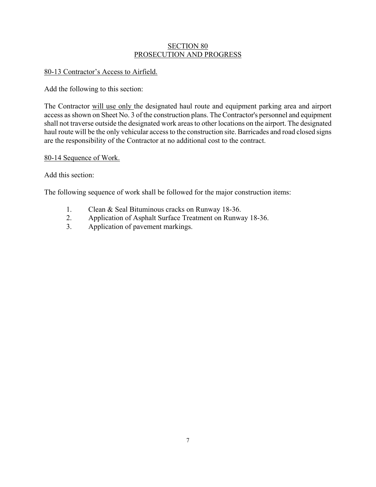# SECTION 80 PROSECUTION AND PROGRESS

# 80-13 Contractor's Access to Airfield.

Add the following to this section:

The Contractor will use only the designated haul route and equipment parking area and airport access as shown on Sheet No. 3 of the construction plans. The Contractor's personnel and equipment shall not traverse outside the designated work areas to other locations on the airport. The designated haul route will be the only vehicular access to the construction site. Barricades and road closed signs are the responsibility of the Contractor at no additional cost to the contract.

# 80-14 Sequence of Work.

Add this section:

The following sequence of work shall be followed for the major construction items:

- 1. Clean & Seal Bituminous cracks on Runway 18-36.
- 2. Application of Asphalt Surface Treatment on Runway 18-36.
- 3. Application of pavement markings.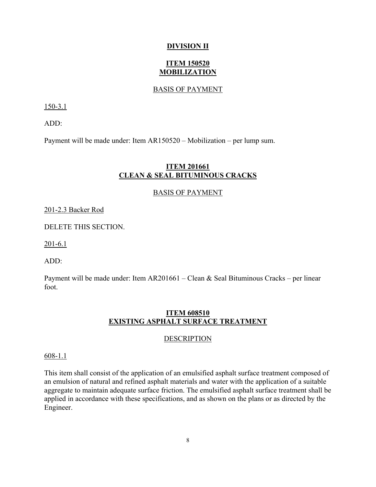# **DIVISION II**

# **ITEM 150520 MOBILIZATION**

# BASIS OF PAYMENT

150-3.1

ADD:

Payment will be made under: Item AR150520 – Mobilization – per lump sum.

# **ITEM 201661 CLEAN & SEAL BITUMINOUS CRACKS**

# BASIS OF PAYMENT

201-2.3 Backer Rod

DELETE THIS SECTION.

201-6.1

ADD:

Payment will be made under: Item AR201661 – Clean & Seal Bituminous Cracks – per linear foot.

# **ITEM 608510 EXISTING ASPHALT SURFACE TREATMENT**

# DESCRIPTION

608-1.1

This item shall consist of the application of an emulsified asphalt surface treatment composed of an emulsion of natural and refined asphalt materials and water with the application of a suitable aggregate to maintain adequate surface friction. The emulsified asphalt surface treatment shall be applied in accordance with these specifications, and as shown on the plans or as directed by the Engineer.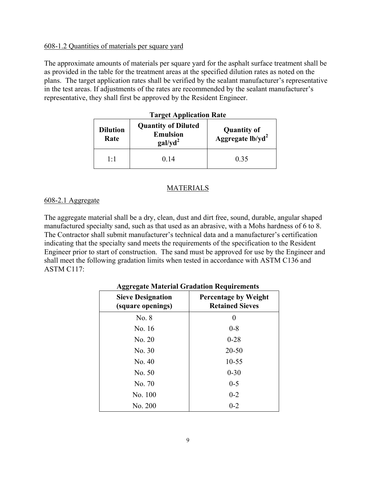# 608-1.2 Quantities of materials per square yard

The approximate amounts of materials per square yard for the asphalt surface treatment shall be as provided in the table for the treatment areas at the specified dilution rates as noted on the plans. The target application rates shall be verified by the sealant manufacturer's representative in the test areas. If adjustments of the rates are recommended by the sealant manufacturer's representative, they shall first be approved by the Resident Engineer.

| <b>Target Application Rate</b> |                                                                      |                                           |  |
|--------------------------------|----------------------------------------------------------------------|-------------------------------------------|--|
| <b>Dilution</b><br>Rate        | <b>Quantity of Diluted</b><br><b>Emulsion</b><br>gal/yd <sup>2</sup> | <b>Quantity of</b><br>Aggregate $lb/yd^2$ |  |
| 1:1                            | 0.14                                                                 | 0.35                                      |  |

# **MATERIALS**

# 608-2.1 Aggregate

The aggregate material shall be a dry, clean, dust and dirt free, sound, durable, angular shaped manufactured specialty sand, such as that used as an abrasive, with a Mohs hardness of 6 to 8. The Contractor shall submit manufacturer's technical data and a manufacturer's certification indicating that the specialty sand meets the requirements of the specification to the Resident Engineer prior to start of construction. The sand must be approved for use by the Engineer and shall meet the following gradation limits when tested in accordance with ASTM C136 and ASTM C117:

| Aggregate Material Oraganon Requirements      |                                                       |  |  |
|-----------------------------------------------|-------------------------------------------------------|--|--|
| <b>Sieve Designation</b><br>(square openings) | <b>Percentage by Weight</b><br><b>Retained Sieves</b> |  |  |
| No. 8                                         |                                                       |  |  |
| No. 16                                        | $0 - 8$                                               |  |  |
| No. 20                                        | $0 - 28$                                              |  |  |
| No. 30                                        | $20 - 50$                                             |  |  |
| No. 40                                        | $10 - 55$                                             |  |  |
| No. 50                                        | $0 - 30$                                              |  |  |
| No. 70                                        | $0 - 5$                                               |  |  |
| No. 100                                       | $0 - 2$                                               |  |  |
| No. 200                                       | $0 - 2$                                               |  |  |

# **Aggregate Material Gradation Requirements**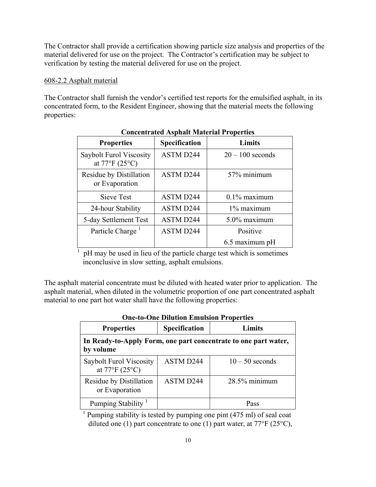The Contractor shall provide a certification showing particle size analysis and properties of the material delivered for use on the project. The Contractor's certification may be subject to verification by testing the material delivered for use on the project.

# 608-2.2 Asphalt material

1

The Contractor shall furnish the vendor's certified test reports for the emulsified asphalt, in its concentrated form, to the Resident Engineer, showing that the material meets the following properties:

| oncenti weed the phane bineer is a oper des              |                      |                    |  |  |
|----------------------------------------------------------|----------------------|--------------------|--|--|
| <b>Properties</b>                                        | <b>Specification</b> | <b>Limits</b>      |  |  |
| Saybolt Furol Viscosity<br>at $77^{\circ}F(25^{\circ}C)$ | ASTM D244            | $20 - 100$ seconds |  |  |
| Residue by Distillation<br>or Evaporation                | ASTM D244            | 57% minimum        |  |  |
| <b>Sieve Test</b>                                        | <b>ASTM D244</b>     | $0.1\%$ maximum    |  |  |
| 24-hour Stability                                        | <b>ASTM D244</b>     | 1% maximum         |  |  |
| 5-day Settlement Test                                    | <b>ASTM D244</b>     | 5.0% maximum       |  |  |
| Particle Charge <sup>1</sup>                             | <b>ASTM D244</b>     | Positive           |  |  |
|                                                          |                      | 6.5 maximum pH     |  |  |

# **Concentrated Asphalt Material Properties**

 pH may be used in lieu of the particle charge test which is sometimes inconclusive in slow setting, asphalt emulsions.

The asphalt material concentrate must be diluted with heated water prior to application. The asphalt material, when diluted in the volumetric proportion of one part concentrated asphalt material to one part hot water shall have the following properties:

| <b>Properties</b>                                                            | Specification | Limits            |  |
|------------------------------------------------------------------------------|---------------|-------------------|--|
| In Ready-to-Apply Form, one part concentrate to one part water,<br>by volume |               |                   |  |
| Saybolt Furol Viscosity<br>at $77^{\circ}F(25^{\circ}C)$                     | ASTM D244     | $10 - 50$ seconds |  |
| Residue by Distillation<br>or Evaporation                                    | ASTM D244     | $28.5\%$ minimum  |  |
| Pumping Stability <sup>1</sup>                                               |               | Pass              |  |

# **One-to-One Dilution Emulsion Properties**

<sup>1</sup> Pumping stability is tested by pumping one pint (475 ml) of seal coat diluted one (1) part concentrate to one (1) part water, at  $77^{\circ}$ F (25 $^{\circ}$ C),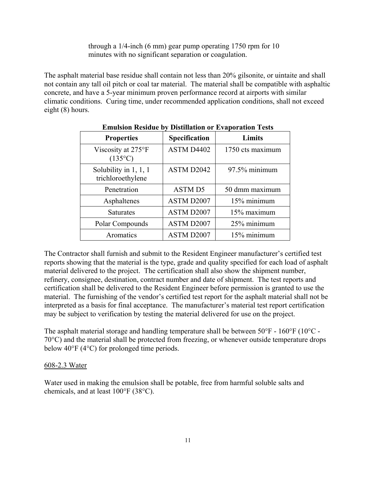through a 1/4-inch (6 mm) gear pump operating 1750 rpm for 10 minutes with no significant separation or coagulation.

The asphalt material base residue shall contain not less than 20% gilsonite, or uintaite and shall not contain any tall oil pitch or coal tar material. The material shall be compatible with asphaltic concrete, and have a 5-year minimum proven performance record at airports with similar climatic conditions. Curing time, under recommended application conditions, shall not exceed eight (8) hours.

| $P$ <sup>1</sup>                           |               |                  |  |
|--------------------------------------------|---------------|------------------|--|
| <b>Properties</b>                          | Specification | Limits           |  |
| Viscosity at 275°F<br>$(135^{\circ}C)$     | ASTM D4402    | 1750 cts maximum |  |
| Solubility in 1, 1, 1<br>trichloroethylene | ASTM D2042    | 97.5% minimum    |  |
| Penetration                                | <b>ASTMD5</b> | 50 dmm maximum   |  |
| Asphaltenes                                | ASTM D2007    | 15% minimum      |  |
| <b>Saturates</b>                           | ASTM D2007    | 15% maximum      |  |
| Polar Compounds                            | ASTM D2007    | 25% minimum      |  |
| Aromatics                                  | ASTM D2007    | 15% minimum      |  |

**Emulsion Residue by Distillation or Evaporation Tests** 

The Contractor shall furnish and submit to the Resident Engineer manufacturer's certified test reports showing that the material is the type, grade and quality specified for each load of asphalt material delivered to the project. The certification shall also show the shipment number, refinery, consignee, destination, contract number and date of shipment. The test reports and certification shall be delivered to the Resident Engineer before permission is granted to use the material. The furnishing of the vendor's certified test report for the asphalt material shall not be interpreted as a basis for final acceptance. The manufacturer's material test report certification may be subject to verification by testing the material delivered for use on the project.

The asphalt material storage and handling temperature shall be between 50°F - 160°F (10°C - 70°C) and the material shall be protected from freezing, or whenever outside temperature drops below 40°F (4°C) for prolonged time periods.

#### 608-2.3 Water

Water used in making the emulsion shall be potable, free from harmful soluble salts and chemicals, and at least 100°F (38°C).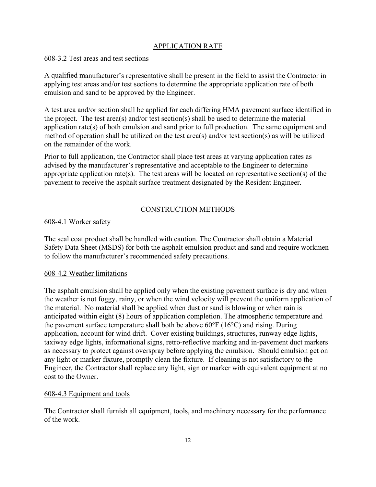# APPLICATION RATE

# 608-3.2 Test areas and test sections

A qualified manufacturer's representative shall be present in the field to assist the Contractor in applying test areas and/or test sections to determine the appropriate application rate of both emulsion and sand to be approved by the Engineer.

A test area and/or section shall be applied for each differing HMA pavement surface identified in the project. The test area(s) and/or test section(s) shall be used to determine the material application rate(s) of both emulsion and sand prior to full production. The same equipment and method of operation shall be utilized on the test area(s) and/or test section(s) as will be utilized on the remainder of the work.

Prior to full application, the Contractor shall place test areas at varying application rates as advised by the manufacturer's representative and acceptable to the Engineer to determine appropriate application rate(s). The test areas will be located on representative section(s) of the pavement to receive the asphalt surface treatment designated by the Resident Engineer.

# CONSTRUCTION METHODS

# 608-4.1 Worker safety

The seal coat product shall be handled with caution. The Contractor shall obtain a Material Safety Data Sheet (MSDS) for both the asphalt emulsion product and sand and require workmen to follow the manufacturer's recommended safety precautions.

# 608-4.2 Weather limitations

The asphalt emulsion shall be applied only when the existing pavement surface is dry and when the weather is not foggy, rainy, or when the wind velocity will prevent the uniform application of the material. No material shall be applied when dust or sand is blowing or when rain is anticipated within eight (8) hours of application completion. The atmospheric temperature and the pavement surface temperature shall both be above 60°F (16°C) and rising. During application, account for wind drift. Cover existing buildings, structures, runway edge lights, taxiway edge lights, informational signs, retro-reflective marking and in-pavement duct markers as necessary to protect against overspray before applying the emulsion. Should emulsion get on any light or marker fixture, promptly clean the fixture. If cleaning is not satisfactory to the Engineer, the Contractor shall replace any light, sign or marker with equivalent equipment at no cost to the Owner.

# 608-4.3 Equipment and tools

The Contractor shall furnish all equipment, tools, and machinery necessary for the performance of the work.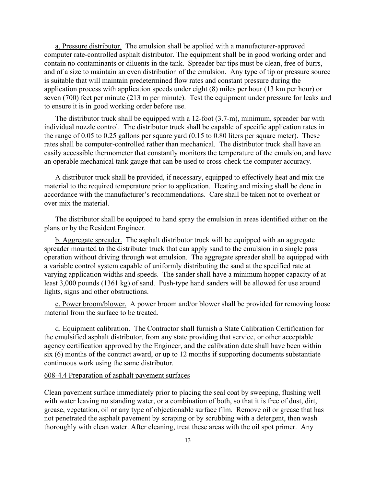a. Pressure distributor. The emulsion shall be applied with a manufacturer-approved computer rate-controlled asphalt distributor. The equipment shall be in good working order and contain no contaminants or diluents in the tank. Spreader bar tips must be clean, free of burrs, and of a size to maintain an even distribution of the emulsion. Any type of tip or pressure source is suitable that will maintain predetermined flow rates and constant pressure during the application process with application speeds under eight (8) miles per hour (13 km per hour) or seven (700) feet per minute (213 m per minute). Test the equipment under pressure for leaks and to ensure it is in good working order before use.

The distributor truck shall be equipped with a 12-foot (3.7-m), minimum, spreader bar with individual nozzle control. The distributor truck shall be capable of specific application rates in the range of 0.05 to 0.25 gallons per square yard (0.15 to 0.80 liters per square meter). These rates shall be computer-controlled rather than mechanical. The distributor truck shall have an easily accessible thermometer that constantly monitors the temperature of the emulsion, and have an operable mechanical tank gauge that can be used to cross-check the computer accuracy.

A distributor truck shall be provided, if necessary, equipped to effectively heat and mix the material to the required temperature prior to application. Heating and mixing shall be done in accordance with the manufacturer's recommendations. Care shall be taken not to overheat or over mix the material.

The distributor shall be equipped to hand spray the emulsion in areas identified either on the plans or by the Resident Engineer.

b. Aggregate spreader. The asphalt distributor truck will be equipped with an aggregate spreader mounted to the distributer truck that can apply sand to the emulsion in a single pass operation without driving through wet emulsion. The aggregate spreader shall be equipped with a variable control system capable of uniformly distributing the sand at the specified rate at varying application widths and speeds. The sander shall have a minimum hopper capacity of at least 3,000 pounds (1361 kg) of sand. Push-type hand sanders will be allowed for use around lights, signs and other obstructions.

c. Power broom/blower. A power broom and/or blower shall be provided for removing loose material from the surface to be treated.

d. Equipment calibration. The Contractor shall furnish a State Calibration Certification for the emulsified asphalt distributor, from any state providing that service, or other acceptable agency certification approved by the Engineer, and the calibration date shall have been within six (6) months of the contract award, or up to 12 months if supporting documents substantiate continuous work using the same distributor.

# 608-4.4 Preparation of asphalt pavement surfaces

Clean pavement surface immediately prior to placing the seal coat by sweeping, flushing well with water leaving no standing water, or a combination of both, so that it is free of dust, dirt, grease, vegetation, oil or any type of objectionable surface film. Remove oil or grease that has not penetrated the asphalt pavement by scraping or by scrubbing with a detergent, then wash thoroughly with clean water. After cleaning, treat these areas with the oil spot primer. Any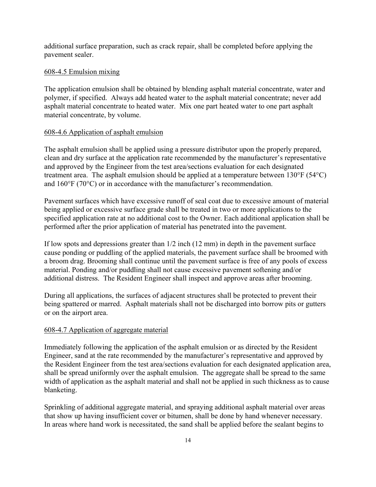additional surface preparation, such as crack repair, shall be completed before applying the pavement sealer.

# 608-4.5 Emulsion mixing

The application emulsion shall be obtained by blending asphalt material concentrate, water and polymer, if specified. Always add heated water to the asphalt material concentrate; never add asphalt material concentrate to heated water. Mix one part heated water to one part asphalt material concentrate, by volume.

# 608-4.6 Application of asphalt emulsion

The asphalt emulsion shall be applied using a pressure distributor upon the properly prepared, clean and dry surface at the application rate recommended by the manufacturer's representative and approved by the Engineer from the test area/sections evaluation for each designated treatment area. The asphalt emulsion should be applied at a temperature between 130°F (54°C) and 160°F (70°C) or in accordance with the manufacturer's recommendation.

Pavement surfaces which have excessive runoff of seal coat due to excessive amount of material being applied or excessive surface grade shall be treated in two or more applications to the specified application rate at no additional cost to the Owner. Each additional application shall be performed after the prior application of material has penetrated into the pavement.

If low spots and depressions greater than 1/2 inch (12 mm) in depth in the pavement surface cause ponding or puddling of the applied materials, the pavement surface shall be broomed with a broom drag. Brooming shall continue until the pavement surface is free of any pools of excess material. Ponding and/or puddling shall not cause excessive pavement softening and/or additional distress. The Resident Engineer shall inspect and approve areas after brooming.

During all applications, the surfaces of adjacent structures shall be protected to prevent their being spattered or marred. Asphalt materials shall not be discharged into borrow pits or gutters or on the airport area.

# 608-4.7 Application of aggregate material

Immediately following the application of the asphalt emulsion or as directed by the Resident Engineer, sand at the rate recommended by the manufacturer's representative and approved by the Resident Engineer from the test area/sections evaluation for each designated application area, shall be spread uniformly over the asphalt emulsion. The aggregate shall be spread to the same width of application as the asphalt material and shall not be applied in such thickness as to cause blanketing.

Sprinkling of additional aggregate material, and spraying additional asphalt material over areas that show up having insufficient cover or bitumen, shall be done by hand whenever necessary. In areas where hand work is necessitated, the sand shall be applied before the sealant begins to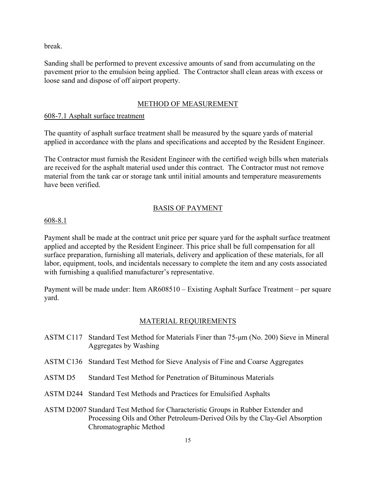break.

Sanding shall be performed to prevent excessive amounts of sand from accumulating on the pavement prior to the emulsion being applied. The Contractor shall clean areas with excess or loose sand and dispose of off airport property.

# METHOD OF MEASUREMENT

# 608-7.1 Asphalt surface treatment

The quantity of asphalt surface treatment shall be measured by the square yards of material applied in accordance with the plans and specifications and accepted by the Resident Engineer.

The Contractor must furnish the Resident Engineer with the certified weigh bills when materials are received for the asphalt material used under this contract. The Contractor must not remove material from the tank car or storage tank until initial amounts and temperature measurements have been verified.

# BASIS OF PAYMENT

608-8.1

Payment shall be made at the contract unit price per square yard for the asphalt surface treatment applied and accepted by the Resident Engineer. This price shall be full compensation for all surface preparation, furnishing all materials, delivery and application of these materials, for all labor, equipment, tools, and incidentals necessary to complete the item and any costs associated with furnishing a qualified manufacturer's representative.

Payment will be made under: Item AR608510 – Existing Asphalt Surface Treatment – per square yard.

# MATERIAL REQUIREMENTS

- ASTM C117 Standard Test Method for Materials Finer than 75-μm (No. 200) Sieve in Mineral Aggregates by Washing
- ASTM C136 Standard Test Method for Sieve Analysis of Fine and Coarse Aggregates
- ASTM D5 Standard Test Method for Penetration of Bituminous Materials
- ASTM D244 Standard Test Methods and Practices for Emulsified Asphalts
- ASTM D2007 Standard Test Method for Characteristic Groups in Rubber Extender and Processing Oils and Other Petroleum-Derived Oils by the Clay-Gel Absorption Chromatographic Method